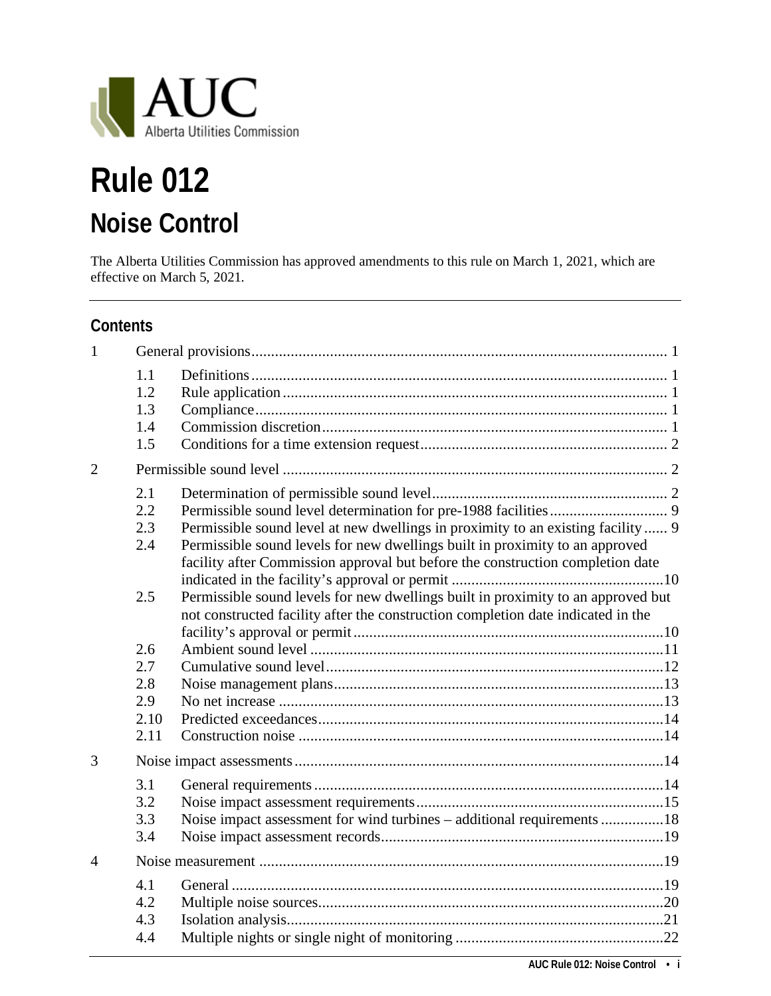

# **Rule 012 Noise Control**

The Alberta Utilities Commission has approved amendments to this rule on March 1, 2021, which are effective on March 5, 2021.

#### **Contents**

| $\mathbf{1}$             |                                 |                                                                                                                                                                                                                                                   |
|--------------------------|---------------------------------|---------------------------------------------------------------------------------------------------------------------------------------------------------------------------------------------------------------------------------------------------|
|                          | 1.1<br>1.2<br>1.3<br>1.4<br>1.5 |                                                                                                                                                                                                                                                   |
| $\overline{2}$           |                                 |                                                                                                                                                                                                                                                   |
|                          | 2.1<br>2.2<br>2.3<br>2.4        | Permissible sound level at new dwellings in proximity to an existing facility 9<br>Permissible sound levels for new dwellings built in proximity to an approved<br>facility after Commission approval but before the construction completion date |
|                          | 2.5                             | Permissible sound levels for new dwellings built in proximity to an approved but<br>not constructed facility after the construction completion date indicated in the                                                                              |
|                          | 2.6                             |                                                                                                                                                                                                                                                   |
|                          | 2.7                             |                                                                                                                                                                                                                                                   |
|                          | 2.8                             |                                                                                                                                                                                                                                                   |
|                          | 2.9                             |                                                                                                                                                                                                                                                   |
|                          | 2.10                            |                                                                                                                                                                                                                                                   |
|                          | 2.11                            |                                                                                                                                                                                                                                                   |
| 3                        |                                 |                                                                                                                                                                                                                                                   |
|                          | 3.1                             |                                                                                                                                                                                                                                                   |
|                          | 3.2                             |                                                                                                                                                                                                                                                   |
|                          | 3.3                             | Noise impact assessment for wind turbines – additional requirements 18                                                                                                                                                                            |
|                          | 3.4                             |                                                                                                                                                                                                                                                   |
| $\boldsymbol{\varDelta}$ |                                 |                                                                                                                                                                                                                                                   |
|                          | 4.1                             |                                                                                                                                                                                                                                                   |
|                          | 4.2                             |                                                                                                                                                                                                                                                   |
|                          | 4.3                             |                                                                                                                                                                                                                                                   |
|                          | 4.4                             |                                                                                                                                                                                                                                                   |
|                          |                                 |                                                                                                                                                                                                                                                   |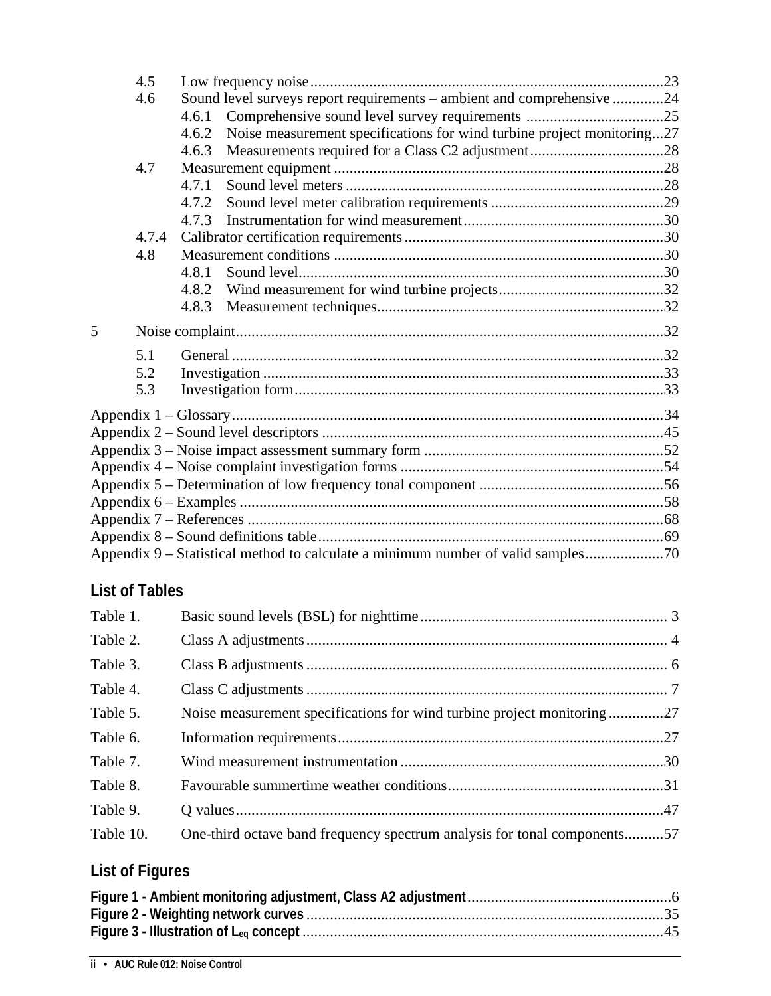|   | 4.5   |       |                                                                                  |  |  |  |
|---|-------|-------|----------------------------------------------------------------------------------|--|--|--|
|   | 4.6   |       | Sound level surveys report requirements – ambient and comprehensive 24           |  |  |  |
|   |       | 4.6.1 |                                                                                  |  |  |  |
|   |       | 4.6.2 | Noise measurement specifications for wind turbine project monitoring27           |  |  |  |
|   |       | 4.6.3 |                                                                                  |  |  |  |
|   | 4.7   |       |                                                                                  |  |  |  |
|   |       | 4.7.1 |                                                                                  |  |  |  |
|   |       | 4.7.2 |                                                                                  |  |  |  |
|   |       | 4.7.3 |                                                                                  |  |  |  |
|   | 4.7.4 |       |                                                                                  |  |  |  |
|   | 4.8   |       |                                                                                  |  |  |  |
|   |       | 4.8.1 |                                                                                  |  |  |  |
|   |       | 4.8.2 |                                                                                  |  |  |  |
|   |       | 4.8.3 |                                                                                  |  |  |  |
| 5 |       |       |                                                                                  |  |  |  |
|   | 5.1   |       |                                                                                  |  |  |  |
|   | 5.2   |       |                                                                                  |  |  |  |
|   | 5.3   |       |                                                                                  |  |  |  |
|   |       |       |                                                                                  |  |  |  |
|   |       |       |                                                                                  |  |  |  |
|   |       |       |                                                                                  |  |  |  |
|   |       |       |                                                                                  |  |  |  |
|   |       |       |                                                                                  |  |  |  |
|   |       |       |                                                                                  |  |  |  |
|   |       |       |                                                                                  |  |  |  |
|   |       |       |                                                                                  |  |  |  |
|   |       |       | Appendix 9 – Statistical method to calculate a minimum number of valid samples70 |  |  |  |

### **List of Tables**

| Table 1.  |                                                                          |  |
|-----------|--------------------------------------------------------------------------|--|
| Table 2.  |                                                                          |  |
| Table 3.  |                                                                          |  |
| Table 4.  |                                                                          |  |
| Table 5.  | Noise measurement specifications for wind turbine project monitoring27   |  |
| Table 6.  |                                                                          |  |
| Table 7.  |                                                                          |  |
| Table 8.  |                                                                          |  |
| Table 9.  |                                                                          |  |
| Table 10. | One-third octave band frequency spectrum analysis for tonal components57 |  |

## **List of Figures**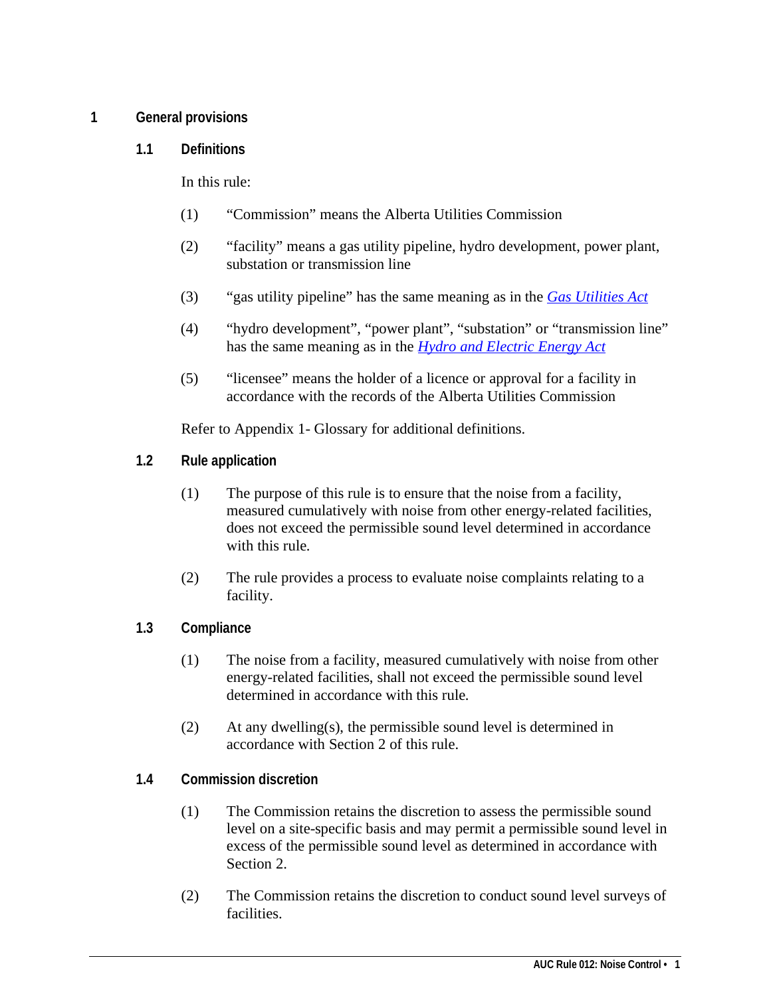#### <span id="page-4-1"></span><span id="page-4-0"></span>**1 General provisions**

**1.1 Definitions**

In this rule:

- (1) "Commission" means the Alberta Utilities Commission
- (2) "facility" means a gas utility pipeline, hydro development, power plant, substation or transmission line
- (3) "gas utility pipeline" has the same meaning as in the *[Gas Utilities Act](http://www.qp.alberta.ca/574.cfm?page=G05.cfm&leg_type=Acts&isbncln=9780779757893)*
- (4) "hydro development", "power plant", "substation" or "transmission line" has the same meaning as in the *[Hydro and Electric Energy Act](http://www.qp.alberta.ca/574.cfm?page=H16.cfm&leg_type=Acts&isbncln=9780779746699)*
- (5) "licensee" means the holder of a licence or approval for a facility in accordance with the records of the Alberta Utilities Commission

Refer to Appendix 1- Glossary for additional definitions.

- <span id="page-4-2"></span>**1.2 Rule application**
	- (1) The purpose of this rule is to ensure that the noise from a facility, measured cumulatively with noise from other energy-related facilities, does not exceed the permissible sound level determined in accordance with this rule.
	- (2) The rule provides a process to evaluate noise complaints relating to a facility.
- <span id="page-4-3"></span>**1.3 Compliance**
	- (1) The noise from a facility, measured cumulatively with noise from other energy-related facilities, shall not exceed the permissible sound level determined in accordance with this rule.
	- (2) At any dwelling(s), the permissible sound level is determined in accordance with Section 2 of this rule.
- <span id="page-4-4"></span>**1.4 Commission discretion**
	- (1) The Commission retains the discretion to assess the permissible sound level on a site-specific basis and may permit a permissible sound level in excess of the permissible sound level as determined in accordance with Section 2.
	- (2) The Commission retains the discretion to conduct sound level surveys of facilities.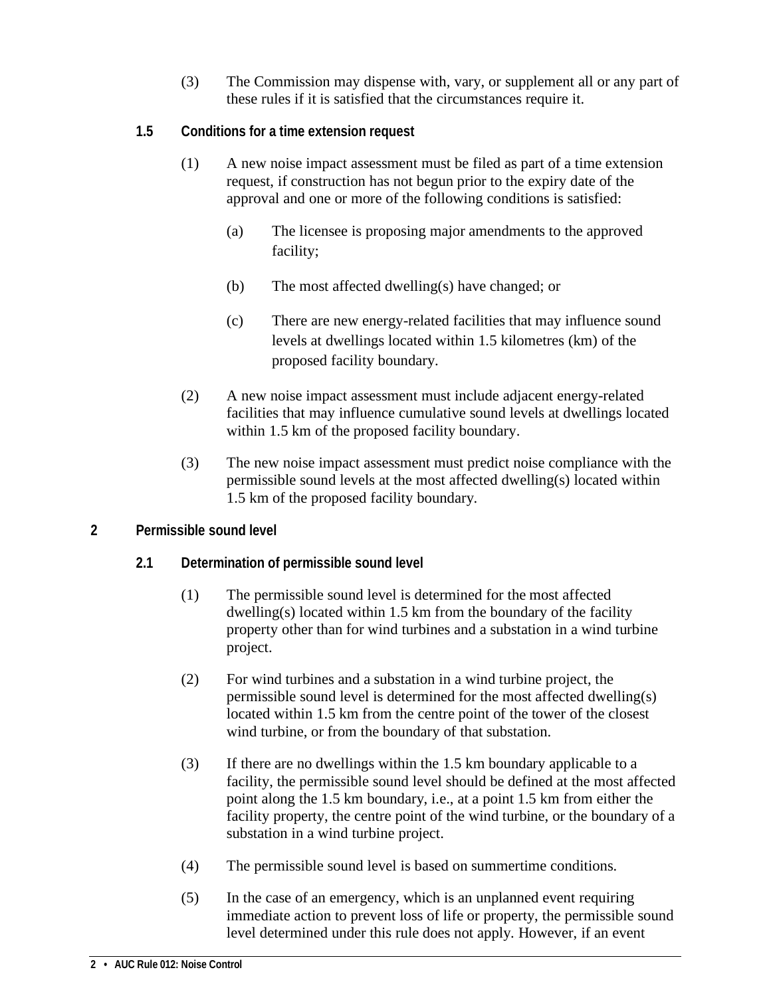- (3) The Commission may dispense with, vary, or supplement all or any part of these rules if it is satisfied that the circumstances require it.
- <span id="page-5-0"></span>**1.5 Conditions for a time extension request**
	- (1) A new noise impact assessment must be filed as part of a time extension request, if construction has not begun prior to the expiry date of the approval and one or more of the following conditions is satisfied:
		- (a) The licensee is proposing major amendments to the approved facility;
		- (b) The most affected dwelling(s) have changed; or
		- (c) There are new energy-related facilities that may influence sound levels at dwellings located within 1.5 kilometres (km) of the proposed facility boundary.
	- (2) A new noise impact assessment must include adjacent energy-related facilities that may influence cumulative sound levels at dwellings located within 1.5 km of the proposed facility boundary.
	- (3) The new noise impact assessment must predict noise compliance with the permissible sound levels at the most affected dwelling(s) located within 1.5 km of the proposed facility boundary.

#### <span id="page-5-2"></span><span id="page-5-1"></span>**2 Permissible sound level**

#### **2.1 Determination of permissible sound level**

- (1) The permissible sound level is determined for the most affected dwelling(s) located within 1.5 km from the boundary of the facility property other than for wind turbines and a substation in a wind turbine project.
- (2) For wind turbines and a substation in a wind turbine project, the permissible sound level is determined for the most affected dwelling(s) located within 1.5 km from the centre point of the tower of the closest wind turbine, or from the boundary of that substation.
- (3) If there are no dwellings within the 1.5 km boundary applicable to a facility, the permissible sound level should be defined at the most affected point along the 1.5 km boundary, i.e., at a point 1.5 km from either the facility property, the centre point of the wind turbine, or the boundary of a substation in a wind turbine project.
- (4) The permissible sound level is based on summertime conditions.
- (5) In the case of an emergency, which is an unplanned event requiring immediate action to prevent loss of life or property, the permissible sound level determined under this rule does not apply. However, if an event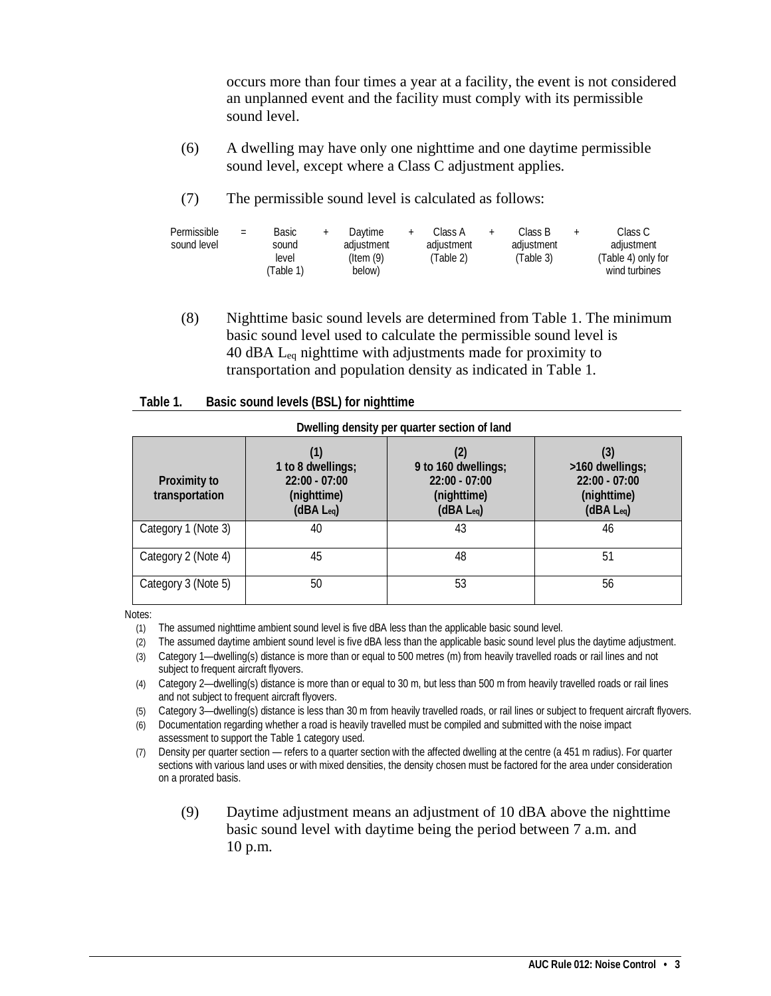occurs more than four times a year at a facility, the event is not considered an unplanned event and the facility must comply with its permissible sound level.

- (6) A dwelling may have only one nighttime and one daytime permissible sound level, except where a Class C adjustment applies.
- (7) The permissible sound level is calculated as follows:

| Permissible<br>sound level | $=$ | Basic<br>sound<br>level<br>Table 1) | Davtime<br>adiustment<br>$($ ltem $(9)$<br>below) | Class A<br>adiustment<br>(Table 2) | Class B<br>adiustment<br>(Table 3) | Class C<br>adiustment<br>(Table 4) only for<br>wind turbines |
|----------------------------|-----|-------------------------------------|---------------------------------------------------|------------------------------------|------------------------------------|--------------------------------------------------------------|
|                            |     |                                     |                                                   |                                    |                                    |                                                              |

(8) Nighttime basic sound levels are determined from Table 1. The minimum basic sound level used to calculate the permissible sound level is 40 dBA Leq nighttime with adjustments made for proximity to transportation and population density as indicated in Table 1.

<span id="page-6-0"></span>

| Table 1. | Basic sound levels (BSL) for nighttime |
|----------|----------------------------------------|
|----------|----------------------------------------|

| Proximity to<br>transportation | 1 to 8 dwellings;<br>$22:00 - 07:00$<br>(nighttime)<br>$(dBA \, L_{eq})$ | $\left( 2\right)$<br>9 to 160 dwellings;<br>$22:00 - 07:00$<br>(nighttime)<br>$(dBA L_{eq})$ | (3)<br>>160 dwellings;<br>$22:00 - 07:00$<br>(nighttime)<br>$(dBA L_{eq})$ |
|--------------------------------|--------------------------------------------------------------------------|----------------------------------------------------------------------------------------------|----------------------------------------------------------------------------|
| Category 1 (Note 3)            | 40                                                                       | 43                                                                                           | 46                                                                         |
| Category 2 (Note 4)            | 45                                                                       | 48                                                                                           | 51                                                                         |
| Category 3 (Note 5)            | 50                                                                       | 53                                                                                           | 56                                                                         |

Notes:

- (1) The assumed nighttime ambient sound level is five dBA less than the applicable basic sound level.
- (2) The assumed daytime ambient sound level is five dBA less than the applicable basic sound level plus the daytime adjustment.
- (3) Category 1—dwelling(s) distance is more than or equal to 500 metres (m) from heavily travelled roads or rail lines and not subject to frequent aircraft flyovers.
- (4) Category 2—dwelling(s) distance is more than or equal to 30 m, but less than 500 m from heavily travelled roads or rail lines and not subject to frequent aircraft flyovers.
- (5) Category 3—dwelling(s) distance is less than 30 m from heavily travelled roads, or rail lines or subject to frequent aircraft flyovers.
- (6) Documentation regarding whether a road is heavily travelled must be compiled and submitted with the noise impact assessment to support the Table 1 category used.
- (7) Density per quarter section refers to a quarter section with the affected dwelling at the centre (a 451 m radius). For quarter sections with various land uses or with mixed densities, the density chosen must be factored for the area under consideration on a prorated basis.
	- (9) Daytime adjustment means an adjustment of 10 dBA above the nighttime basic sound level with daytime being the period between 7 a.m. and 10 p.m.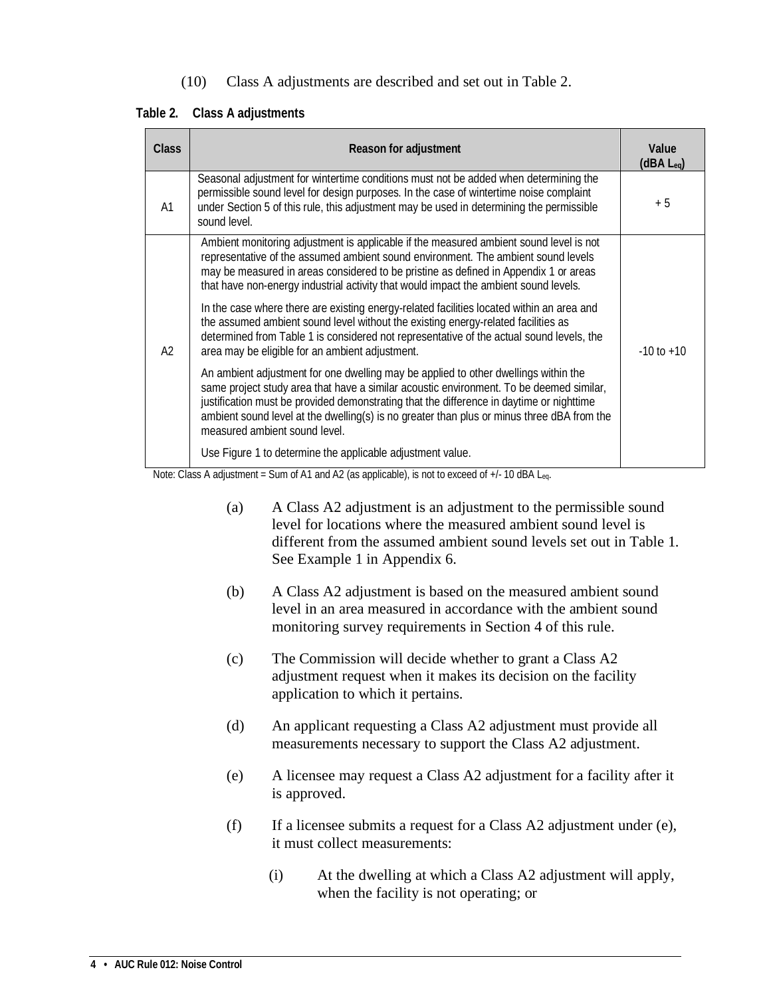(10) Class A adjustments are described and set out in Table 2.

<span id="page-7-0"></span>**Table 2. Class A adjustments**

| <b>Class</b> | Reason for adjustment                                                                                                                                                                                                                                                                                                                                                                                     | Value<br>(dBA L <sub>eg</sub> ) |
|--------------|-----------------------------------------------------------------------------------------------------------------------------------------------------------------------------------------------------------------------------------------------------------------------------------------------------------------------------------------------------------------------------------------------------------|---------------------------------|
| A1           | Seasonal adjustment for wintertime conditions must not be added when determining the<br>permissible sound level for design purposes. In the case of wintertime noise complaint<br>under Section 5 of this rule, this adjustment may be used in determining the permissible<br>sound level.                                                                                                                | $+5$                            |
| A2           | Ambient monitoring adjustment is applicable if the measured ambient sound level is not<br>representative of the assumed ambient sound environment. The ambient sound levels<br>may be measured in areas considered to be pristine as defined in Appendix 1 or areas<br>that have non-energy industrial activity that would impact the ambient sound levels.                                               |                                 |
|              | In the case where there are existing energy-related facilities located within an area and<br>the assumed ambient sound level without the existing energy-related facilities as<br>determined from Table 1 is considered not representative of the actual sound levels, the<br>area may be eligible for an ambient adjustment.                                                                             | $-10$ to $+10$                  |
|              | An ambient adjustment for one dwelling may be applied to other dwellings within the<br>same project study area that have a similar acoustic environment. To be deemed similar,<br>justification must be provided demonstrating that the difference in daytime or nighttime<br>ambient sound level at the dwelling(s) is no greater than plus or minus three dBA from the<br>measured ambient sound level. |                                 |
|              | Use Figure 1 to determine the applicable adjustment value.                                                                                                                                                                                                                                                                                                                                                |                                 |

Note: Class A adjustment = Sum of A1 and A2 (as applicable), is not to exceed of +/- 10 dBA Leq.

- (a) A Class A2 adjustment is an adjustment to the permissible sound level for locations where the measured ambient sound level is different from the assumed ambient sound levels set out in Table 1. See Example 1 in Appendix 6.
- (b) A Class A2 adjustment is based on the measured ambient sound level in an area measured in accordance with the ambient sound monitoring survey requirements in Section 4 of this rule.
- (c) The Commission will decide whether to grant a Class A2 adjustment request when it makes its decision on the facility application to which it pertains.
- (d) An applicant requesting a Class A2 adjustment must provide all measurements necessary to support the Class A2 adjustment.
- (e) A licensee may request a Class A2 adjustment for a facility after it is approved.
- (f) If a licensee submits a request for a Class A2 adjustment under (e), it must collect measurements:
	- (i) At the dwelling at which a Class A2 adjustment will apply, when the facility is not operating; or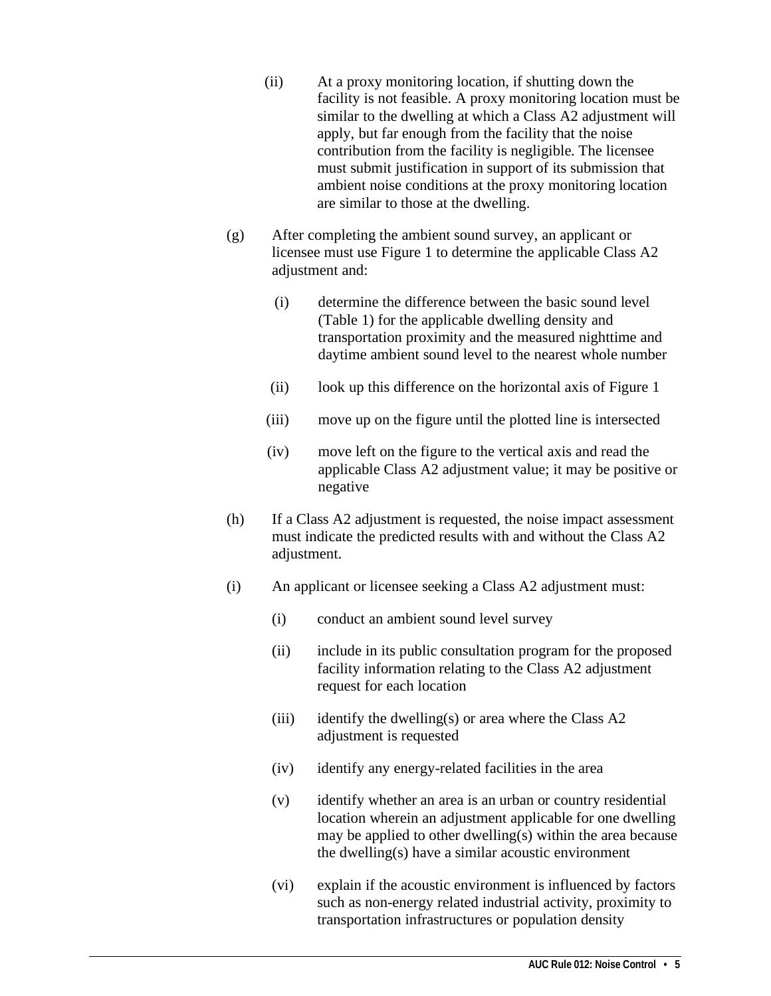- (ii) At a proxy monitoring location, if shutting down the facility is not feasible. A proxy monitoring location must be similar to the dwelling at which a Class A2 adjustment will apply, but far enough from the facility that the noise contribution from the facility is negligible. The licensee must submit justification in support of its submission that ambient noise conditions at the proxy monitoring location are similar to those at the dwelling.
- (g) After completing the ambient sound survey, an applicant or licensee must use Figure 1 to determine the applicable Class A2 adjustment and:
	- (i) determine the difference between the basic sound level (Table 1) for the applicable dwelling density and transportation proximity and the measured nighttime and daytime ambient sound level to the nearest whole number
	- (ii) look up this difference on the horizontal axis of Figure 1
	- (iii) move up on the figure until the plotted line is intersected
	- (iv) move left on the figure to the vertical axis and read the applicable Class A2 adjustment value; it may be positive or negative
- (h) If a Class A2 adjustment is requested, the noise impact assessment must indicate the predicted results with and without the Class A2 adjustment.
- (i) An applicant or licensee seeking a Class A2 adjustment must:
	- (i) conduct an ambient sound level survey
	- (ii) include in its public consultation program for the proposed facility information relating to the Class A2 adjustment request for each location
	- (iii) identify the dwelling(s) or area where the Class  $A2$ adjustment is requested
	- (iv) identify any energy-related facilities in the area
	- (v) identify whether an area is an urban or country residential location wherein an adjustment applicable for one dwelling may be applied to other dwelling(s) within the area because the dwelling(s) have a similar acoustic environment
	- (vi) explain if the acoustic environment is influenced by factors such as non-energy related industrial activity, proximity to transportation infrastructures or population density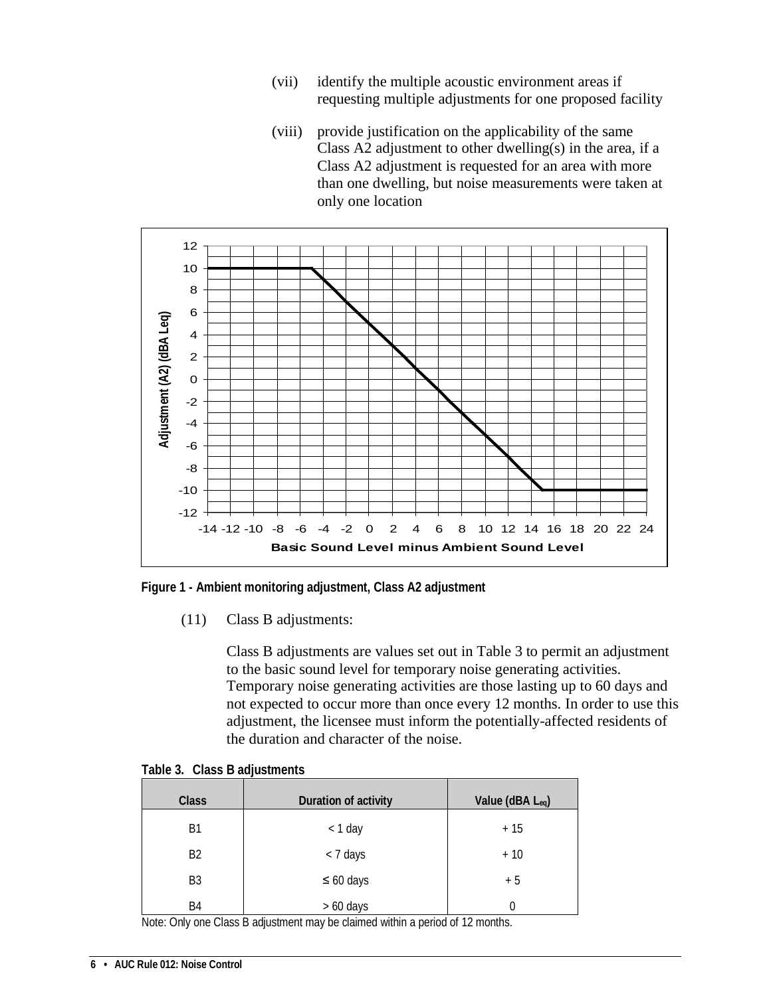- (vii) identify the multiple acoustic environment areas if requesting multiple adjustments for one proposed facility
- (viii) provide justification on the applicability of the same Class A2 adjustment to other dwelling(s) in the area, if a Class A2 adjustment is requested for an area with more than one dwelling, but noise measurements were taken at only one location



<span id="page-9-1"></span>**Figure 1 - Ambient monitoring adjustment, Class A2 adjustment**

(11) Class B adjustments:

Class B adjustments are values set out in Table 3 to permit an adjustment to the basic sound level for temporary noise generating activities. Temporary noise generating activities are those lasting up to 60 days and not expected to occur more than once every 12 months. In order to use this adjustment, the licensee must inform the potentially-affected residents of the duration and character of the noise.

| <b>Class</b>   | Duration of activity | Value (dBA Leq) |
|----------------|----------------------|-----------------|
| B1             | $<$ 1 day            | $+15$           |
| <b>B2</b>      | < 7 days             | $+10$           |
| B <sub>3</sub> | $\leq 60$ days       | $+5$            |
| B4             | $> 60$ days          |                 |

<span id="page-9-0"></span>**Table 3. Class B adjustments**

Note: Only one Class B adjustment may be claimed within a period of 12 months.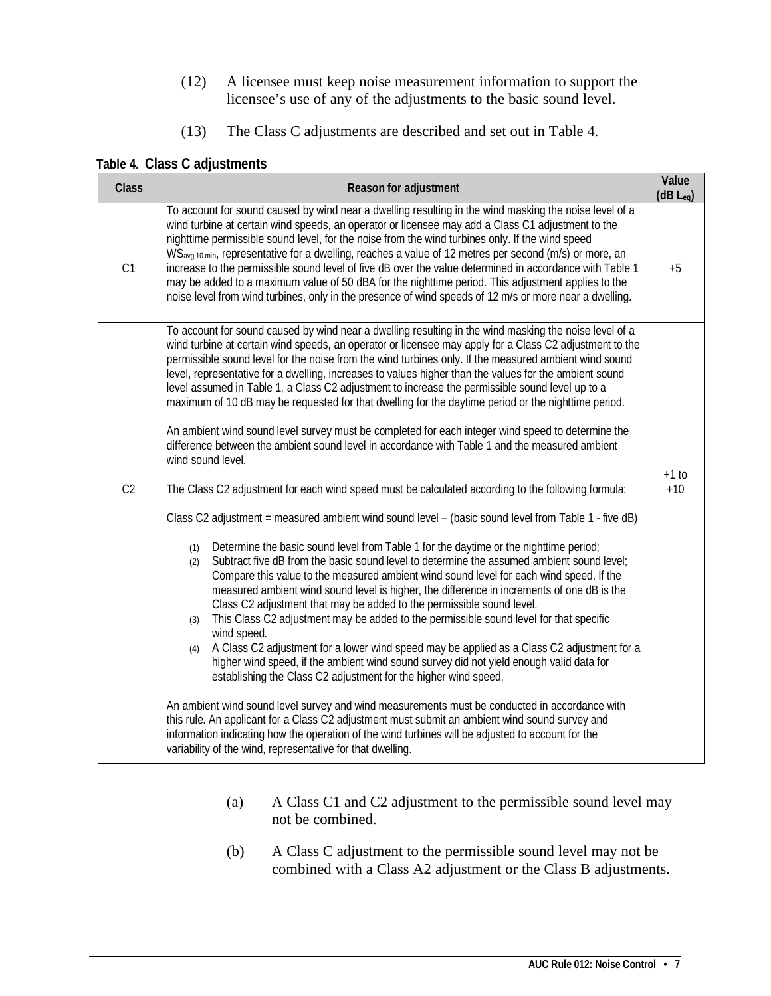- (12) A licensee must keep noise measurement information to support the licensee's use of any of the adjustments to the basic sound level.
- (13) The Class C adjustments are described and set out in Table 4.

#### <span id="page-10-0"></span>**Table 4. Class C adjustments**

| <b>Class</b>   | Reason for adjustment                                                                                                                                                                                                                                                                                                                                                                                                                                                                                                                                                                                                                                                                                                                                                                                                                                                      | Value<br>$(dB L_{eq})$ |  |  |
|----------------|----------------------------------------------------------------------------------------------------------------------------------------------------------------------------------------------------------------------------------------------------------------------------------------------------------------------------------------------------------------------------------------------------------------------------------------------------------------------------------------------------------------------------------------------------------------------------------------------------------------------------------------------------------------------------------------------------------------------------------------------------------------------------------------------------------------------------------------------------------------------------|------------------------|--|--|
| C1             | To account for sound caused by wind near a dwelling resulting in the wind masking the noise level of a<br>wind turbine at certain wind speeds, an operator or licensee may add a Class C1 adjustment to the<br>nighttime permissible sound level, for the noise from the wind turbines only. If the wind speed<br>WS <sub>avg,10 min</sub> , representative for a dwelling, reaches a value of 12 metres per second (m/s) or more, an<br>increase to the permissible sound level of five dB over the value determined in accordance with Table 1<br>may be added to a maximum value of 50 dBA for the nighttime period. This adjustment applies to the<br>noise level from wind turbines, only in the presence of wind speeds of 12 m/s or more near a dwelling.                                                                                                           |                        |  |  |
|                | To account for sound caused by wind near a dwelling resulting in the wind masking the noise level of a<br>wind turbine at certain wind speeds, an operator or licensee may apply for a Class C2 adjustment to the<br>permissible sound level for the noise from the wind turbines only. If the measured ambient wind sound<br>level, representative for a dwelling, increases to values higher than the values for the ambient sound<br>level assumed in Table 1, a Class C2 adjustment to increase the permissible sound level up to a<br>maximum of 10 dB may be requested for that dwelling for the daytime period or the nighttime period.<br>An ambient wind sound level survey must be completed for each integer wind speed to determine the<br>difference between the ambient sound level in accordance with Table 1 and the measured ambient<br>wind sound level. |                        |  |  |
| C <sub>2</sub> | The Class C2 adjustment for each wind speed must be calculated according to the following formula:                                                                                                                                                                                                                                                                                                                                                                                                                                                                                                                                                                                                                                                                                                                                                                         | $+1$ to<br>$+10$       |  |  |
|                | Class C2 adjustment = measured ambient wind sound level - (basic sound level from Table 1 - five dB)                                                                                                                                                                                                                                                                                                                                                                                                                                                                                                                                                                                                                                                                                                                                                                       |                        |  |  |
|                | Determine the basic sound level from Table 1 for the daytime or the nighttime period;<br>(1)<br>Subtract five dB from the basic sound level to determine the assumed ambient sound level;<br>(2)<br>Compare this value to the measured ambient wind sound level for each wind speed. If the<br>measured ambient wind sound level is higher, the difference in increments of one dB is the<br>Class C2 adjustment that may be added to the permissible sound level.<br>This Class C2 adjustment may be added to the permissible sound level for that specific<br>(3)<br>wind speed.<br>A Class C2 adjustment for a lower wind speed may be applied as a Class C2 adjustment for a<br>(4)<br>higher wind speed, if the ambient wind sound survey did not yield enough valid data for<br>establishing the Class C2 adjustment for the higher wind speed.                      |                        |  |  |
|                | An ambient wind sound level survey and wind measurements must be conducted in accordance with<br>this rule. An applicant for a Class C2 adjustment must submit an ambient wind sound survey and<br>information indicating how the operation of the wind turbines will be adjusted to account for the<br>variability of the wind, representative for that dwelling.                                                                                                                                                                                                                                                                                                                                                                                                                                                                                                         |                        |  |  |

- (a) A Class C1 and C2 adjustment to the permissible sound level may not be combined.
- (b) A Class C adjustment to the permissible sound level may not be combined with a Class A2 adjustment or the Class B adjustments.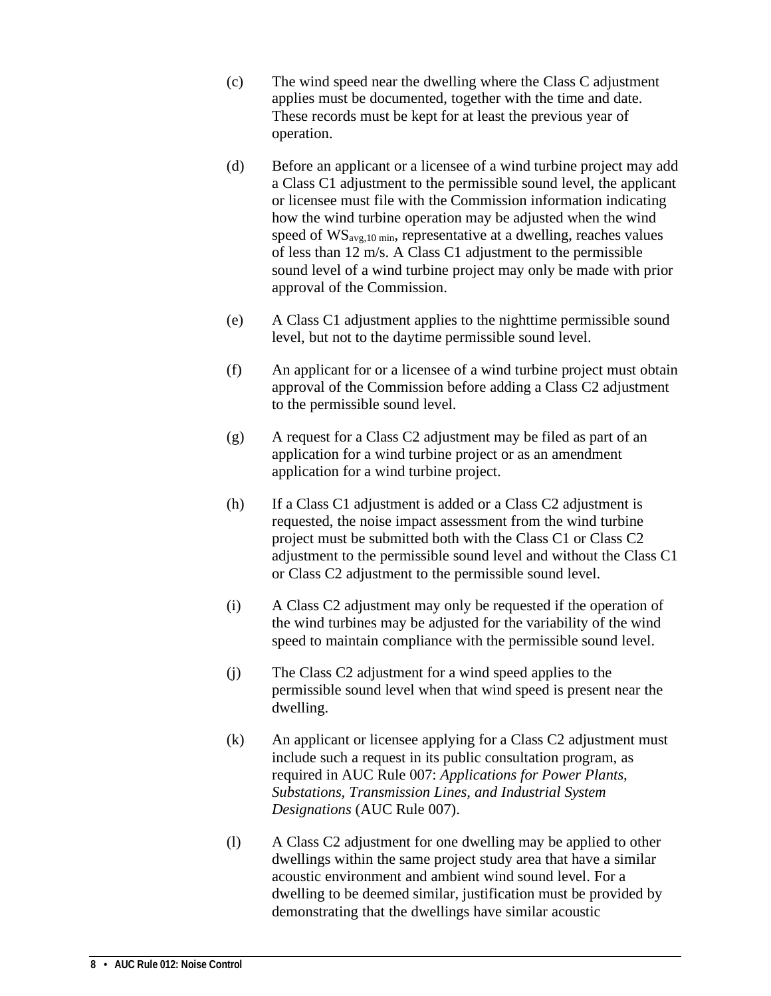- (c) The wind speed near the dwelling where the Class C adjustment applies must be documented, together with the time and date. These records must be kept for at least the previous year of operation.
- (d) Before an applicant or a licensee of a wind turbine project may add a Class C1 adjustment to the permissible sound level, the applicant or licensee must file with the Commission information indicating how the wind turbine operation may be adjusted when the wind speed of  $WS_{\text{avg},10 \text{ min}}$ , representative at a dwelling, reaches values of less than 12 m/s. A Class C1 adjustment to the permissible sound level of a wind turbine project may only be made with prior approval of the Commission.
- (e) A Class C1 adjustment applies to the nighttime permissible sound level, but not to the daytime permissible sound level.
- (f) An applicant for or a licensee of a wind turbine project must obtain approval of the Commission before adding a Class C2 adjustment to the permissible sound level.
- (g) A request for a Class C2 adjustment may be filed as part of an application for a wind turbine project or as an amendment application for a wind turbine project.
- (h) If a Class C1 adjustment is added or a Class C2 adjustment is requested, the noise impact assessment from the wind turbine project must be submitted both with the Class C1 or Class C2 adjustment to the permissible sound level and without the Class C1 or Class C2 adjustment to the permissible sound level.
- (i) A Class C2 adjustment may only be requested if the operation of the wind turbines may be adjusted for the variability of the wind speed to maintain compliance with the permissible sound level.
- (j) The Class C2 adjustment for a wind speed applies to the permissible sound level when that wind speed is present near the dwelling.
- (k) An applicant or licensee applying for a Class C2 adjustment must include such a request in its public consultation program, as required in AUC Rule 007: *Applications for Power Plants, Substations, Transmission Lines, and Industrial System Designations* (AUC Rule 007).
- (l) A Class C2 adjustment for one dwelling may be applied to other dwellings within the same project study area that have a similar acoustic environment and ambient wind sound level. For a dwelling to be deemed similar, justification must be provided by demonstrating that the dwellings have similar acoustic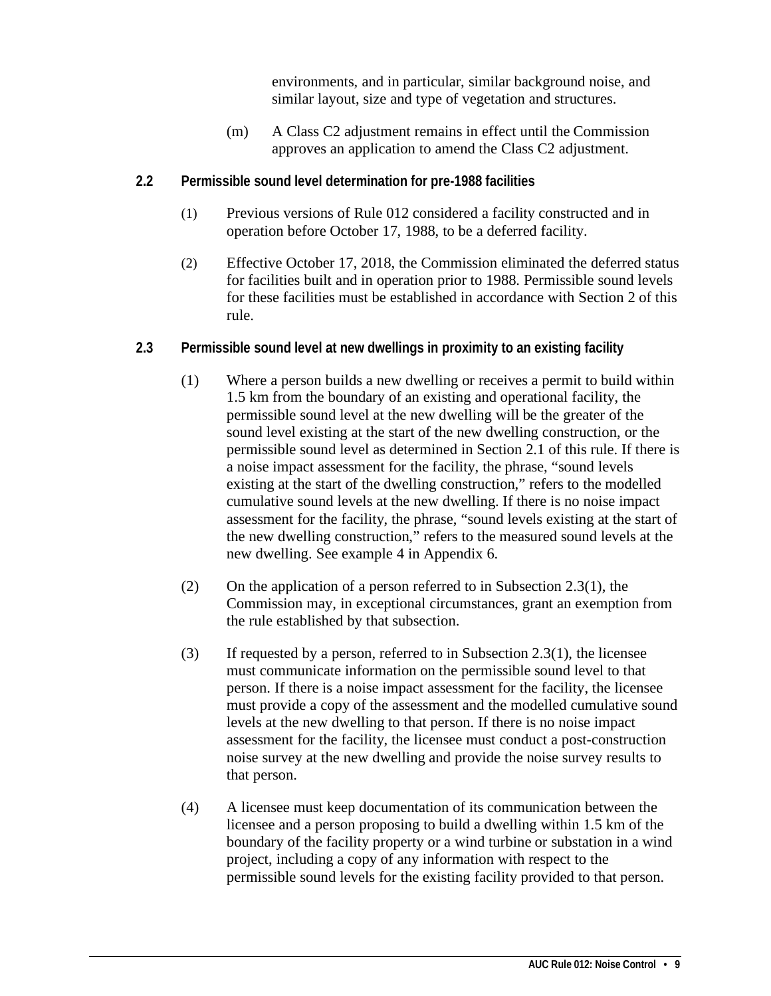environments, and in particular, similar background noise, and similar layout, size and type of vegetation and structures.

- (m) A Class C2 adjustment remains in effect until the Commission approves an application to amend the Class C2 adjustment.
- <span id="page-12-0"></span>**2.2 Permissible sound level determination for pre-1988 facilities**
	- (1) Previous versions of Rule 012 considered a facility constructed and in operation before October 17, 1988, to be a deferred facility.
	- (2) Effective October 17, 2018, the Commission eliminated the deferred status for facilities built and in operation prior to 1988. Permissible sound levels for these facilities must be established in accordance with Section 2 of this rule.
- <span id="page-12-1"></span>**2.3 Permissible sound level at new dwellings in proximity to an existing facility**
	- (1) Where a person builds a new dwelling or receives a permit to build within 1.5 km from the boundary of an existing and operational facility, the permissible sound level at the new dwelling will be the greater of the sound level existing at the start of the new dwelling construction, or the permissible sound level as determined in Section 2.1 of this rule. If there is a noise impact assessment for the facility, the phrase, "sound levels existing at the start of the dwelling construction," refers to the modelled cumulative sound levels at the new dwelling. If there is no noise impact assessment for the facility, the phrase, "sound levels existing at the start of the new dwelling construction," refers to the measured sound levels at the new dwelling. See example 4 in Appendix 6.
	- (2) On the application of a person referred to in Subsection 2.3(1), the Commission may, in exceptional circumstances, grant an exemption from the rule established by that subsection.
	- (3) If requested by a person, referred to in Subsection 2.3(1), the licensee must communicate information on the permissible sound level to that person. If there is a noise impact assessment for the facility, the licensee must provide a copy of the assessment and the modelled cumulative sound levels at the new dwelling to that person. If there is no noise impact assessment for the facility, the licensee must conduct a post-construction noise survey at the new dwelling and provide the noise survey results to that person.
	- (4) A licensee must keep documentation of its communication between the licensee and a person proposing to build a dwelling within 1.5 km of the boundary of the facility property or a wind turbine or substation in a wind project, including a copy of any information with respect to the permissible sound levels for the existing facility provided to that person.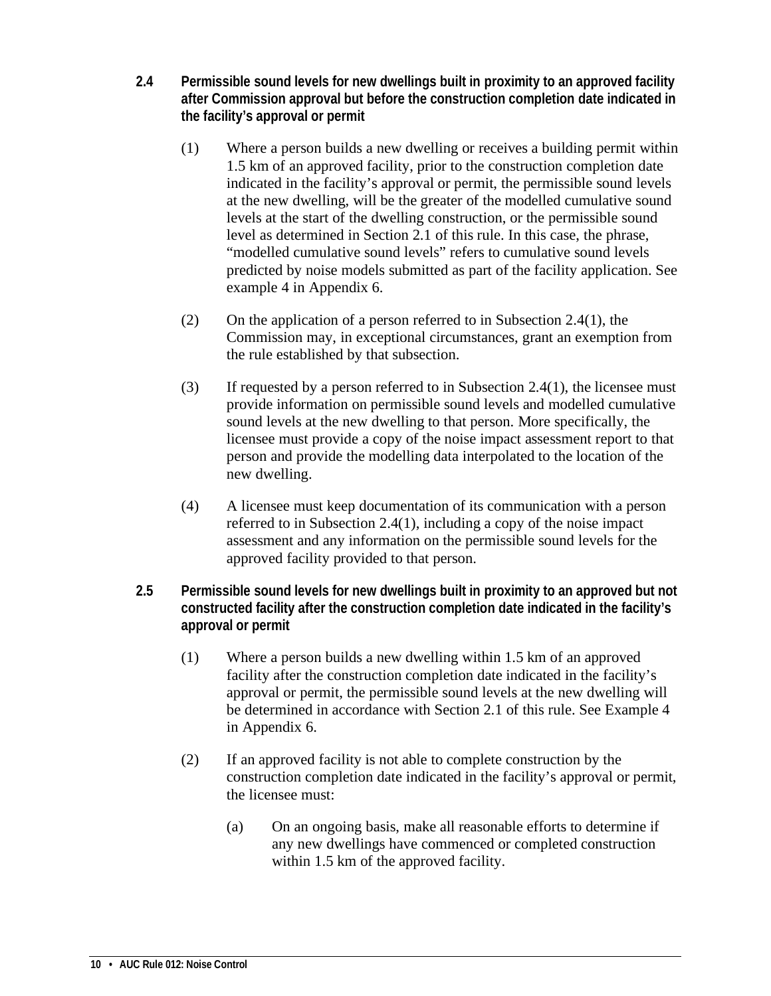- <span id="page-13-0"></span>**2.4 Permissible sound levels for new dwellings built in proximity to an approved facility after Commission approval but before the construction completion date indicated in the facility's approval or permit**
	- (1) Where a person builds a new dwelling or receives a building permit within 1.5 km of an approved facility, prior to the construction completion date indicated in the facility's approval or permit, the permissible sound levels at the new dwelling, will be the greater of the modelled cumulative sound levels at the start of the dwelling construction, or the permissible sound level as determined in Section 2.1 of this rule. In this case, the phrase, "modelled cumulative sound levels" refers to cumulative sound levels predicted by noise models submitted as part of the facility application. See example 4 in Appendix 6.
	- (2) On the application of a person referred to in Subsection 2.4(1), the Commission may, in exceptional circumstances, grant an exemption from the rule established by that subsection.
	- (3) If requested by a person referred to in Subsection 2.4(1), the licensee must provide information on permissible sound levels and modelled cumulative sound levels at the new dwelling to that person. More specifically, the licensee must provide a copy of the noise impact assessment report to that person and provide the modelling data interpolated to the location of the new dwelling.
	- (4) A licensee must keep documentation of its communication with a person referred to in Subsection 2.4(1), including a copy of the noise impact assessment and any information on the permissible sound levels for the approved facility provided to that person.
- <span id="page-13-1"></span>**2.5 Permissible sound levels for new dwellings built in proximity to an approved but not constructed facility after the construction completion date indicated in the facility's approval or permit** 
	- (1) Where a person builds a new dwelling within 1.5 km of an approved facility after the construction completion date indicated in the facility's approval or permit, the permissible sound levels at the new dwelling will be determined in accordance with Section 2.1 of this rule. See Example 4 in Appendix 6.
	- (2) If an approved facility is not able to complete construction by the construction completion date indicated in the facility's approval or permit, the licensee must:
		- (a) On an ongoing basis, make all reasonable efforts to determine if any new dwellings have commenced or completed construction within 1.5 km of the approved facility.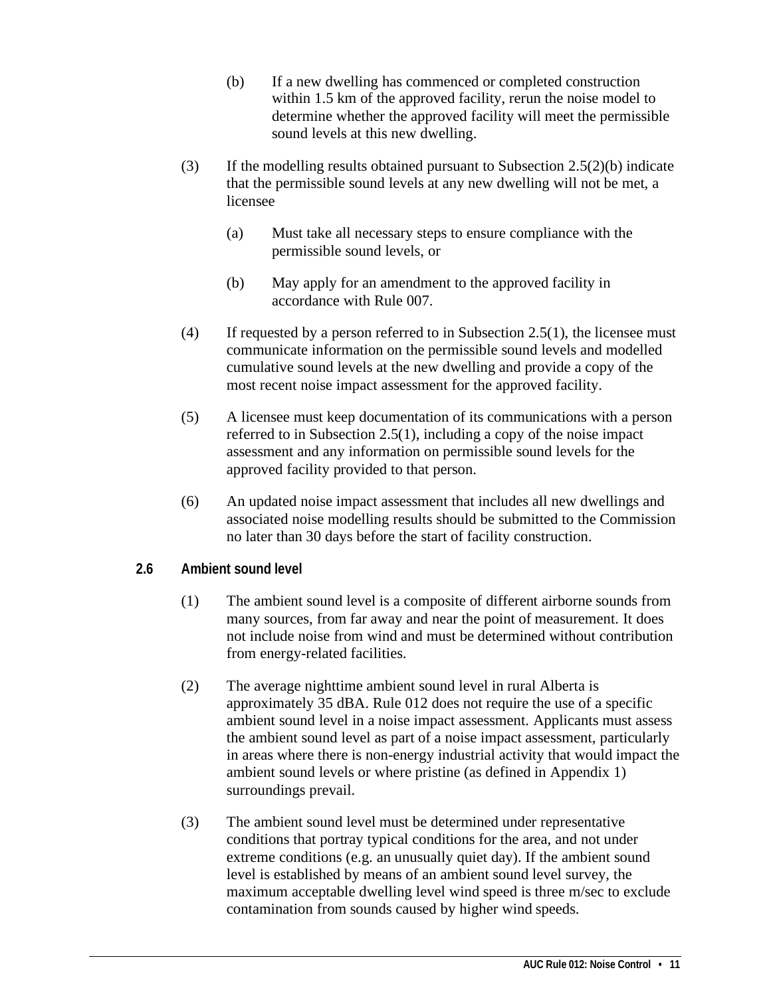- (b) If a new dwelling has commenced or completed construction within 1.5 km of the approved facility, rerun the noise model to determine whether the approved facility will meet the permissible sound levels at this new dwelling.
- (3) If the modelling results obtained pursuant to Subsection  $2.5(2)(b)$  indicate that the permissible sound levels at any new dwelling will not be met, a licensee
	- (a) Must take all necessary steps to ensure compliance with the permissible sound levels, or
	- (b) May apply for an amendment to the approved facility in accordance with Rule 007.
- (4) If requested by a person referred to in Subsection 2.5(1), the licensee must communicate information on the permissible sound levels and modelled cumulative sound levels at the new dwelling and provide a copy of the most recent noise impact assessment for the approved facility.
- (5) A licensee must keep documentation of its communications with a person referred to in Subsection 2.5(1), including a copy of the noise impact assessment and any information on permissible sound levels for the approved facility provided to that person.
- (6) An updated noise impact assessment that includes all new dwellings and associated noise modelling results should be submitted to the Commission no later than 30 days before the start of facility construction.

#### <span id="page-14-0"></span>**2.6 Ambient sound level**

- (1) The ambient sound level is a composite of different airborne sounds from many sources, from far away and near the point of measurement. It does not include noise from wind and must be determined without contribution from energy-related facilities.
- (2) The average nighttime ambient sound level in rural Alberta is approximately 35 dBA. Rule 012 does not require the use of a specific ambient sound level in a noise impact assessment. Applicants must assess the ambient sound level as part of a noise impact assessment, particularly in areas where there is non-energy industrial activity that would impact the ambient sound levels or where pristine (as defined in Appendix 1) surroundings prevail.
- (3) The ambient sound level must be determined under representative conditions that portray typical conditions for the area, and not under extreme conditions (e.g. an unusually quiet day). If the ambient sound level is established by means of an ambient sound level survey, the maximum acceptable dwelling level wind speed is three m/sec to exclude contamination from sounds caused by higher wind speeds.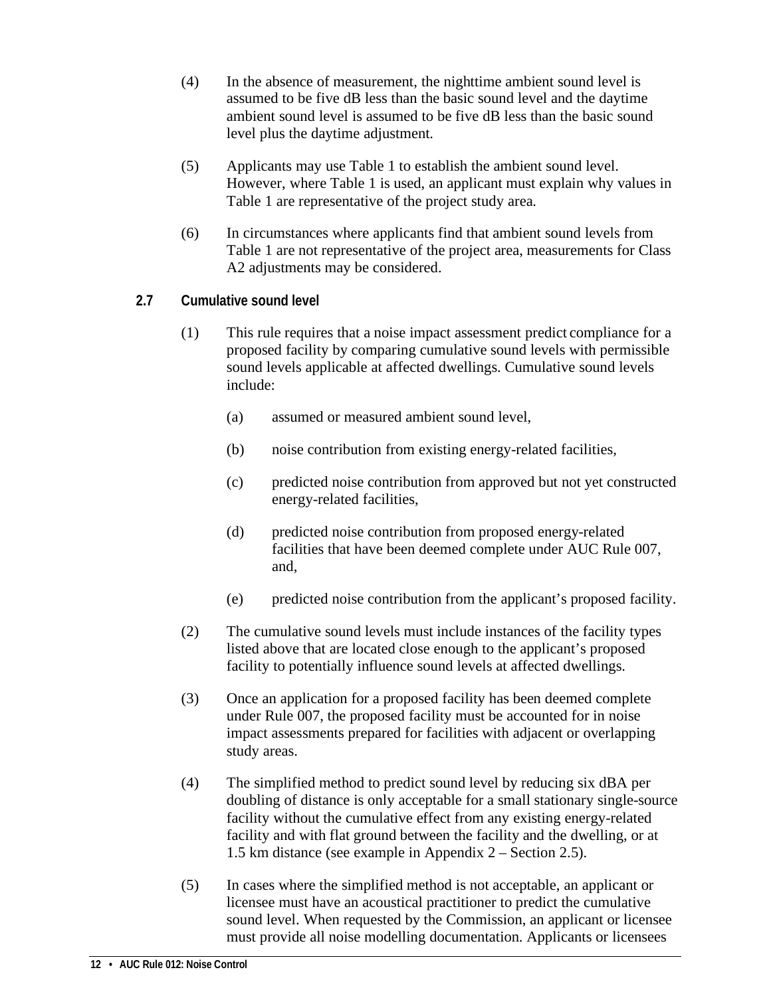- (4) In the absence of measurement, the nighttime ambient sound level is assumed to be five dB less than the basic sound level and the daytime ambient sound level is assumed to be five dB less than the basic sound level plus the daytime adjustment.
- (5) Applicants may use Table 1 to establish the ambient sound level. However, where Table 1 is used, an applicant must explain why values in Table 1 are representative of the project study area.
- (6) In circumstances where applicants find that ambient sound levels from Table 1 are not representative of the project area, measurements for Class A2 adjustments may be considered.
- <span id="page-15-0"></span>**2.7 Cumulative sound level** 
	- (1) This rule requires that a noise impact assessment predict compliance for a proposed facility by comparing cumulative sound levels with permissible sound levels applicable at affected dwellings. Cumulative sound levels include:
		- (a) assumed or measured ambient sound level,
		- (b) noise contribution from existing energy-related facilities,
		- (c) predicted noise contribution from approved but not yet constructed energy-related facilities,
		- (d) predicted noise contribution from proposed energy-related facilities that have been deemed complete under AUC Rule 007, and,
		- (e) predicted noise contribution from the applicant's proposed facility.
	- (2) The cumulative sound levels must include instances of the facility types listed above that are located close enough to the applicant's proposed facility to potentially influence sound levels at affected dwellings.
	- (3) Once an application for a proposed facility has been deemed complete under Rule 007, the proposed facility must be accounted for in noise impact assessments prepared for facilities with adjacent or overlapping study areas.
	- (4) The simplified method to predict sound level by reducing six dBA per doubling of distance is only acceptable for a small stationary single-source facility without the cumulative effect from any existing energy-related facility and with flat ground between the facility and the dwelling, or at 1.5 km distance (see example in Appendix 2 – Section 2.5).
	- (5) In cases where the simplified method is not acceptable, an applicant or licensee must have an acoustical practitioner to predict the cumulative sound level. When requested by the Commission, an applicant or licensee must provide all noise modelling documentation. Applicants or licensees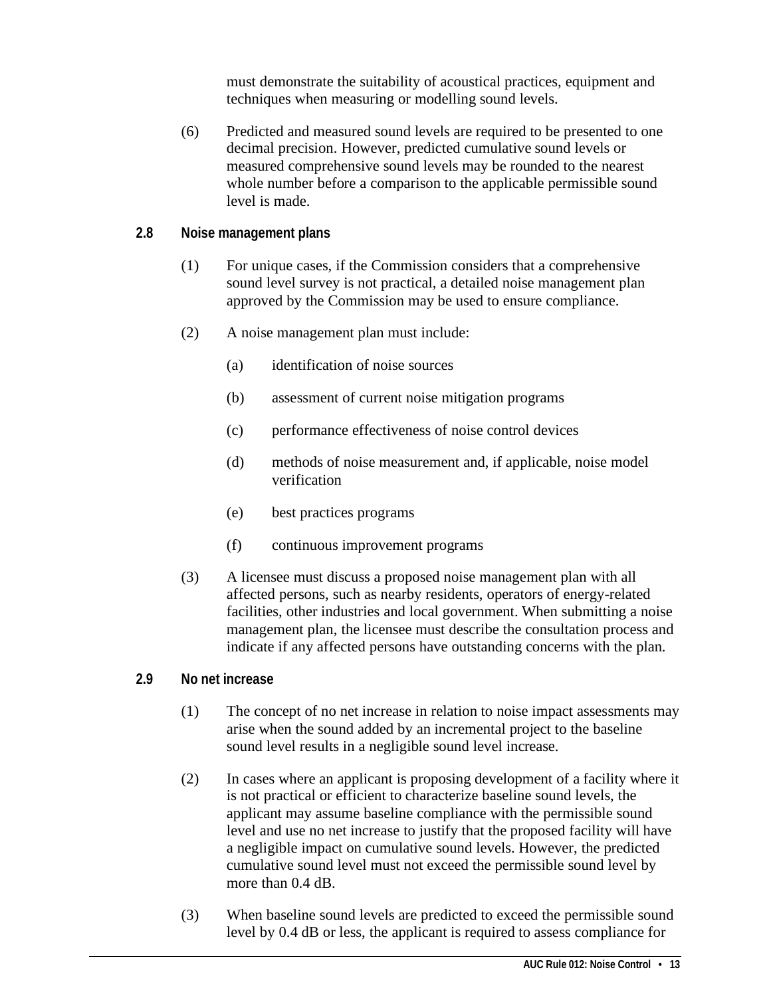must demonstrate the suitability of acoustical practices, equipment and techniques when measuring or modelling sound levels.

- (6) Predicted and measured sound levels are required to be presented to one decimal precision. However, predicted cumulative sound levels or measured comprehensive sound levels may be rounded to the nearest whole number before a comparison to the applicable permissible sound level is made.
- <span id="page-16-0"></span>**2.8 Noise management plans**
	- (1) For unique cases, if the Commission considers that a comprehensive sound level survey is not practical, a detailed noise management plan approved by the Commission may be used to ensure compliance.
	- (2) A noise management plan must include:
		- (a) identification of noise sources
		- (b) assessment of current noise mitigation programs
		- (c) performance effectiveness of noise control devices
		- (d) methods of noise measurement and, if applicable, noise model verification
		- (e) best practices programs
		- (f) continuous improvement programs
	- (3) A licensee must discuss a proposed noise management plan with all affected persons, such as nearby residents, operators of energy-related facilities, other industries and local government. When submitting a noise management plan, the licensee must describe the consultation process and indicate if any affected persons have outstanding concerns with the plan.

#### <span id="page-16-1"></span>**2.9 No net increase**

- (1) The concept of no net increase in relation to noise impact assessments may arise when the sound added by an incremental project to the baseline sound level results in a negligible sound level increase.
- (2) In cases where an applicant is proposing development of a facility where it is not practical or efficient to characterize baseline sound levels, the applicant may assume baseline compliance with the permissible sound level and use no net increase to justify that the proposed facility will have a negligible impact on cumulative sound levels. However, the predicted cumulative sound level must not exceed the permissible sound level by more than 0.4 dB.
- (3) When baseline sound levels are predicted to exceed the permissible sound level by 0.4 dB or less, the applicant is required to assess compliance for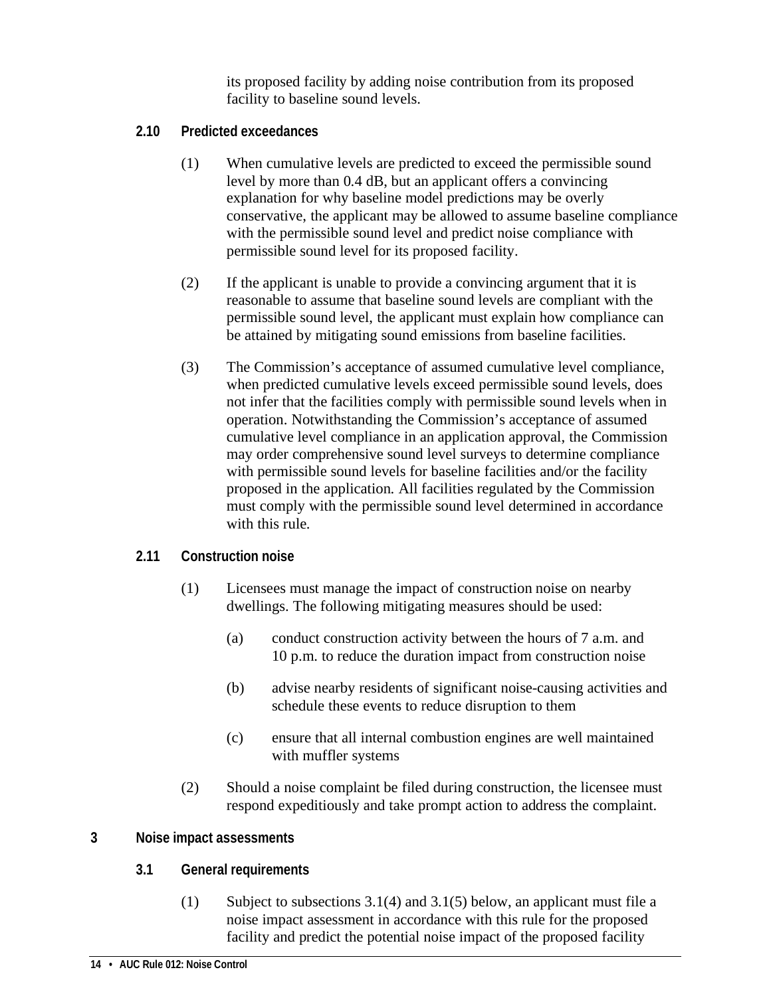its proposed facility by adding noise contribution from its proposed facility to baseline sound levels.

- <span id="page-17-0"></span>**2.10 Predicted exceedances**
	- (1) When cumulative levels are predicted to exceed the permissible sound level by more than 0.4 dB, but an applicant offers a convincing explanation for why baseline model predictions may be overly conservative, the applicant may be allowed to assume baseline compliance with the permissible sound level and predict noise compliance with permissible sound level for its proposed facility.
	- (2) If the applicant is unable to provide a convincing argument that it is reasonable to assume that baseline sound levels are compliant with the permissible sound level, the applicant must explain how compliance can be attained by mitigating sound emissions from baseline facilities.
	- (3) The Commission's acceptance of assumed cumulative level compliance, when predicted cumulative levels exceed permissible sound levels, does not infer that the facilities comply with permissible sound levels when in operation. Notwithstanding the Commission's acceptance of assumed cumulative level compliance in an application approval, the Commission may order comprehensive sound level surveys to determine compliance with permissible sound levels for baseline facilities and/or the facility proposed in the application. All facilities regulated by the Commission must comply with the permissible sound level determined in accordance with this rule.

#### <span id="page-17-1"></span>**2.11 Construction noise**

- (1) Licensees must manage the impact of construction noise on nearby dwellings. The following mitigating measures should be used:
	- (a) conduct construction activity between the hours of 7 a.m. and 10 p.m. to reduce the duration impact from construction noise
	- (b) advise nearby residents of significant noise-causing activities and schedule these events to reduce disruption to them
	- (c) ensure that all internal combustion engines are well maintained with muffler systems
- (2) Should a noise complaint be filed during construction, the licensee must respond expeditiously and take prompt action to address the complaint.

#### <span id="page-17-3"></span><span id="page-17-2"></span>**3 Noise impact assessments**

#### **3.1 General requirements**

(1) Subject to subsections 3.1(4) and 3.1(5) below, an applicant must file a noise impact assessment in accordance with this rule for the proposed facility and predict the potential noise impact of the proposed facility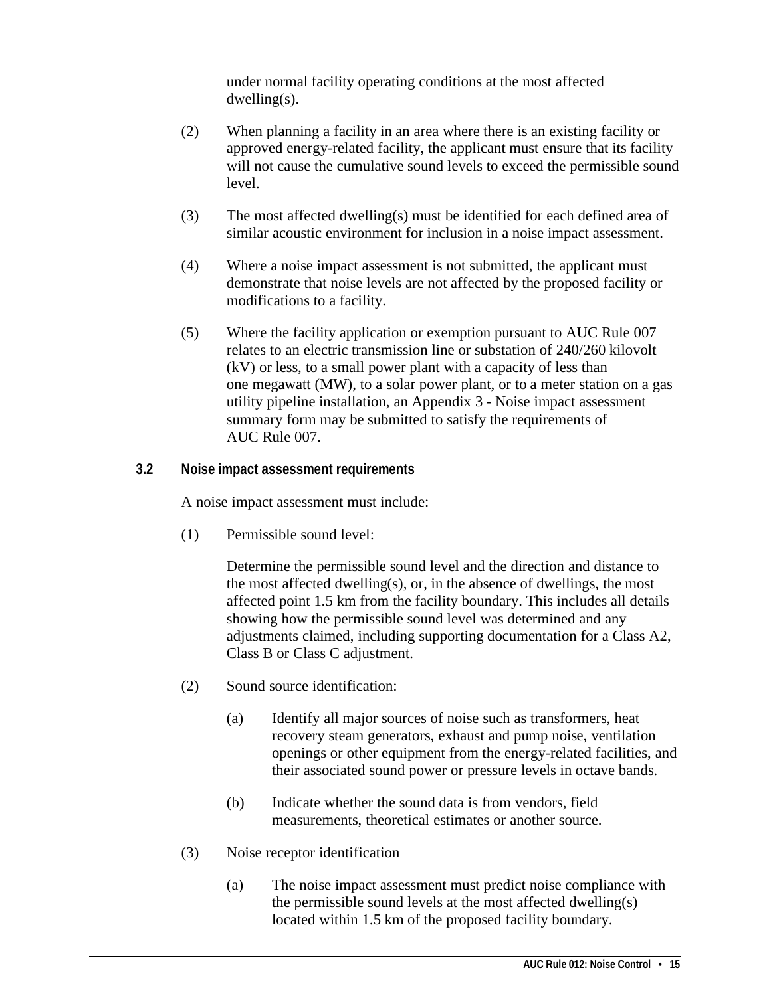under normal facility operating conditions at the most affected dwelling(s).

- (2) When planning a facility in an area where there is an existing facility or approved energy-related facility, the applicant must ensure that its facility will not cause the cumulative sound levels to exceed the permissible sound level.
- (3) The most affected dwelling(s) must be identified for each defined area of similar acoustic environment for inclusion in a noise impact assessment.
- (4) Where a noise impact assessment is not submitted, the applicant must demonstrate that noise levels are not affected by the proposed facility or modifications to a facility.
- (5) Where the facility application or exemption pursuant to AUC Rule 007 relates to an electric transmission line or substation of 240/260 kilovolt (kV) or less, to a small power plant with a capacity of less than one megawatt (MW), to a solar power plant, or to a meter station on a gas utility pipeline installation, an Appendix 3 - Noise impact assessment summary form may be submitted to satisfy the requirements of AUC Rule 007.

#### <span id="page-18-0"></span>**3.2 Noise impact assessment requirements**

A noise impact assessment must include:

(1) Permissible sound level:

Determine the permissible sound level and the direction and distance to the most affected dwelling(s), or, in the absence of dwellings, the most affected point 1.5 km from the facility boundary. This includes all details showing how the permissible sound level was determined and any adjustments claimed, including supporting documentation for a Class A2, Class B or Class C adjustment.

- (2) Sound source identification:
	- (a) Identify all major sources of noise such as transformers, heat recovery steam generators, exhaust and pump noise, ventilation openings or other equipment from the energy-related facilities, and their associated sound power or pressure levels in octave bands.
	- (b) Indicate whether the sound data is from vendors, field measurements, theoretical estimates or another source.
- (3) Noise receptor identification
	- (a) The noise impact assessment must predict noise compliance with the permissible sound levels at the most affected dwelling(s) located within 1.5 km of the proposed facility boundary.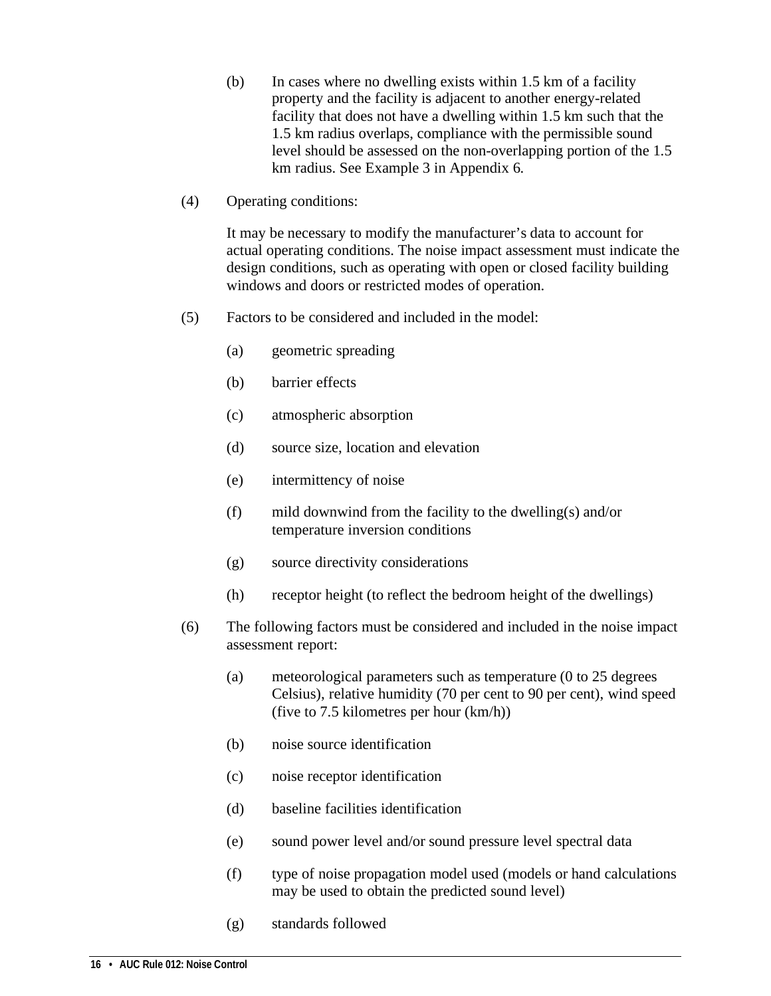- (b) In cases where no dwelling exists within 1.5 km of a facility property and the facility is adjacent to another energy-related facility that does not have a dwelling within 1.5 km such that the 1.5 km radius overlaps, compliance with the permissible sound level should be assessed on the non-overlapping portion of the 1.5 km radius. See Example 3 in Appendix 6.
- (4) Operating conditions:

It may be necessary to modify the manufacturer's data to account for actual operating conditions. The noise impact assessment must indicate the design conditions, such as operating with open or closed facility building windows and doors or restricted modes of operation.

- (5) Factors to be considered and included in the model:
	- (a) geometric spreading
	- (b) barrier effects
	- (c) atmospheric absorption
	- (d) source size, location and elevation
	- (e) intermittency of noise
	- (f) mild downwind from the facility to the dwelling(s) and/or temperature inversion conditions
	- (g) source directivity considerations
	- (h) receptor height (to reflect the bedroom height of the dwellings)
- (6) The following factors must be considered and included in the noise impact assessment report:
	- (a) meteorological parameters such as temperature (0 to 25 degrees Celsius), relative humidity (70 per cent to 90 per cent), wind speed (five to 7.5 kilometres per hour (km/h))
	- (b) noise source identification
	- (c) noise receptor identification
	- (d) baseline facilities identification
	- (e) sound power level and/or sound pressure level spectral data
	- (f) type of noise propagation model used (models or hand calculations may be used to obtain the predicted sound level)
	- (g) standards followed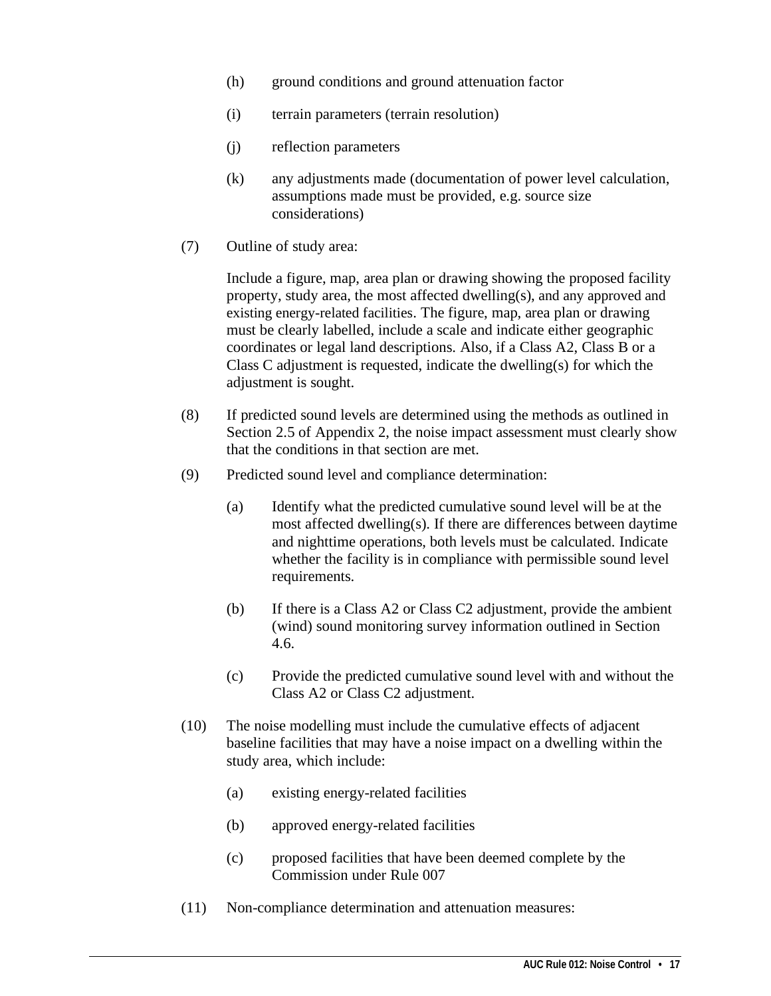- (h) ground conditions and ground attenuation factor
- (i) terrain parameters (terrain resolution)
- (j) reflection parameters
- (k) any adjustments made (documentation of power level calculation, assumptions made must be provided, e.g. source size considerations)
- (7) Outline of study area:

Include a figure, map, area plan or drawing showing the proposed facility property, study area, the most affected dwelling(s), and any approved and existing energy-related facilities. The figure, map, area plan or drawing must be clearly labelled, include a scale and indicate either geographic coordinates or legal land descriptions. Also, if a Class A2, Class B or a Class C adjustment is requested, indicate the dwelling(s) for which the adjustment is sought.

- (8) If predicted sound levels are determined using the methods as outlined in Section 2.5 of Appendix 2, the noise impact assessment must clearly show that the conditions in that section are met.
- (9) Predicted sound level and compliance determination:
	- (a) Identify what the predicted cumulative sound level will be at the most affected dwelling(s). If there are differences between daytime and nighttime operations, both levels must be calculated. Indicate whether the facility is in compliance with permissible sound level requirements.
	- (b) If there is a Class A2 or Class C2 adjustment, provide the ambient (wind) sound monitoring survey information outlined in Section 4.6.
	- (c) Provide the predicted cumulative sound level with and without the Class A2 or Class C2 adjustment.
- (10) The noise modelling must include the cumulative effects of adjacent baseline facilities that may have a noise impact on a dwelling within the study area, which include:
	- (a) existing energy-related facilities
	- (b) approved energy-related facilities
	- (c) proposed facilities that have been deemed complete by the Commission under Rule 007
- (11) Non-compliance determination and attenuation measures: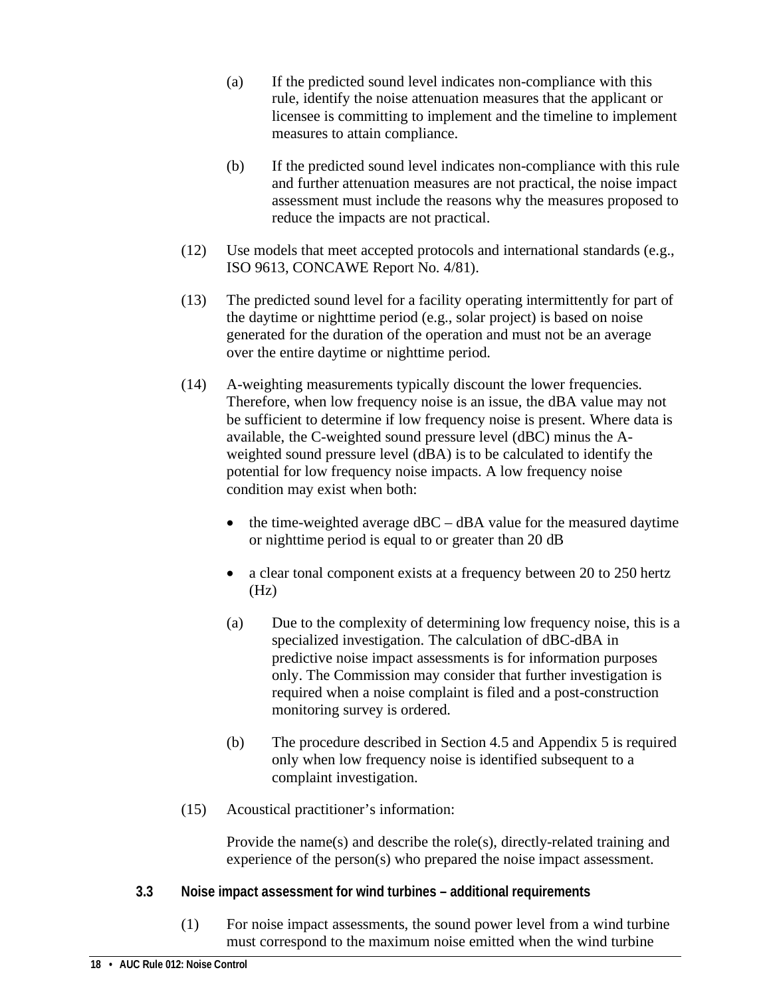- (a) If the predicted sound level indicates non-compliance with this rule, identify the noise attenuation measures that the applicant or licensee is committing to implement and the timeline to implement measures to attain compliance.
- (b) If the predicted sound level indicates non-compliance with this rule and further attenuation measures are not practical, the noise impact assessment must include the reasons why the measures proposed to reduce the impacts are not practical.
- (12) Use models that meet accepted protocols and international standards (e.g., ISO 9613, CONCAWE Report No. 4/81).
- (13) The predicted sound level for a facility operating intermittently for part of the daytime or nighttime period (e.g., solar project) is based on noise generated for the duration of the operation and must not be an average over the entire daytime or nighttime period.
- (14) A-weighting measurements typically discount the lower frequencies. Therefore, when low frequency noise is an issue, the dBA value may not be sufficient to determine if low frequency noise is present. Where data is available, the C-weighted sound pressure level (dBC) minus the Aweighted sound pressure level (dBA) is to be calculated to identify the potential for low frequency noise impacts. A low frequency noise condition may exist when both:
	- the time-weighted average  $dBC dBA$  value for the measured daytime or nighttime period is equal to or greater than 20 dB
	- a clear tonal component exists at a frequency between 20 to 250 hertz  $(Hz)$
	- (a) Due to the complexity of determining low frequency noise, this is a specialized investigation. The calculation of dBC-dBA in predictive noise impact assessments is for information purposes only. The Commission may consider that further investigation is required when a noise complaint is filed and a post-construction monitoring survey is ordered.
	- (b) The procedure described in Section 4.5 and Appendix 5 is required only when low frequency noise is identified subsequent to a complaint investigation.
- (15) Acoustical practitioner's information:

Provide the name(s) and describe the role(s), directly-related training and experience of the person(s) who prepared the noise impact assessment.

- <span id="page-21-0"></span>**3.3 Noise impact assessment for wind turbines – additional requirements**
	- (1) For noise impact assessments, the sound power level from a wind turbine must correspond to the maximum noise emitted when the wind turbine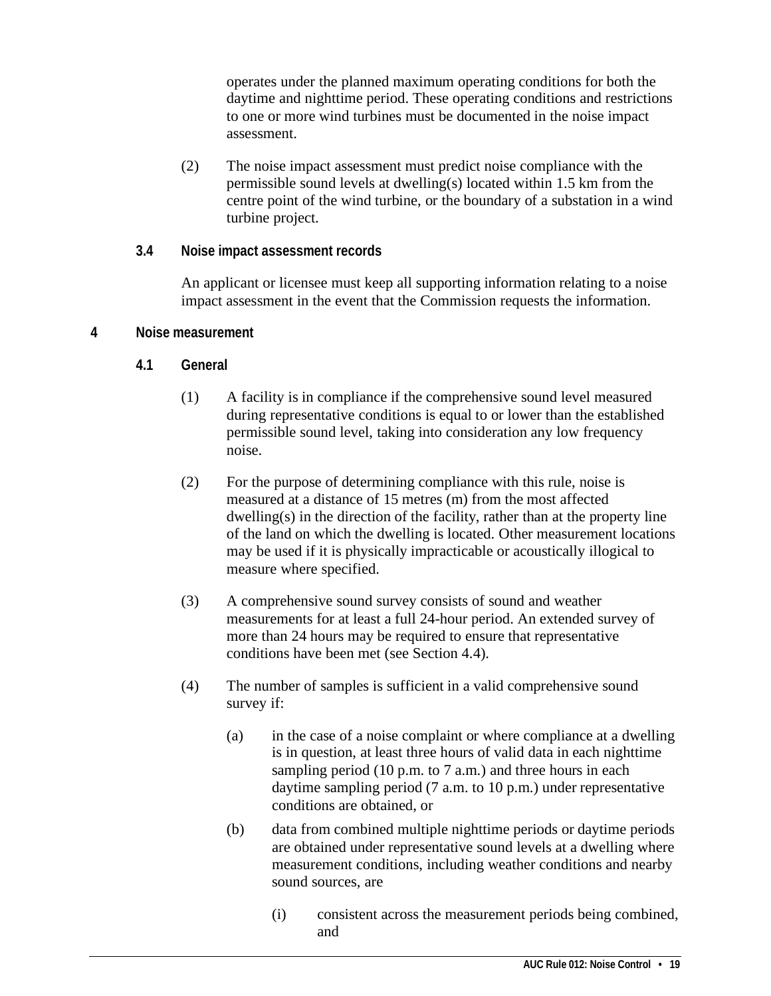operates under the planned maximum operating conditions for both the daytime and nighttime period. These operating conditions and restrictions to one or more wind turbines must be documented in the noise impact assessment.

(2) The noise impact assessment must predict noise compliance with the permissible sound levels at dwelling(s) located within 1.5 km from the centre point of the wind turbine, or the boundary of a substation in a wind turbine project.

#### <span id="page-22-0"></span>**3.4 Noise impact assessment records**

An applicant or licensee must keep all supporting information relating to a noise impact assessment in the event that the Commission requests the information.

#### <span id="page-22-2"></span><span id="page-22-1"></span>**4 Noise measurement**

- **4.1 General**
	- (1) A facility is in compliance if the comprehensive sound level measured during representative conditions is equal to or lower than the established permissible sound level, taking into consideration any low frequency noise.
	- (2) For the purpose of determining compliance with this rule, noise is measured at a distance of 15 metres (m) from the most affected dwelling(s) in the direction of the facility, rather than at the property line of the land on which the dwelling is located. Other measurement locations may be used if it is physically impracticable or acoustically illogical to measure where specified.
	- (3) A comprehensive sound survey consists of sound and weather measurements for at least a full 24-hour period. An extended survey of more than 24 hours may be required to ensure that representative conditions have been met (see Section 4.4).
	- (4) The number of samples is sufficient in a valid comprehensive sound survey if:
		- (a) in the case of a noise complaint or where compliance at a dwelling is in question, at least three hours of valid data in each nighttime sampling period (10 p.m. to 7 a.m.) and three hours in each daytime sampling period (7 a.m. to 10 p.m.) under representative conditions are obtained, or
		- (b) data from combined multiple nighttime periods or daytime periods are obtained under representative sound levels at a dwelling where measurement conditions, including weather conditions and nearby sound sources, are
			- (i) consistent across the measurement periods being combined, and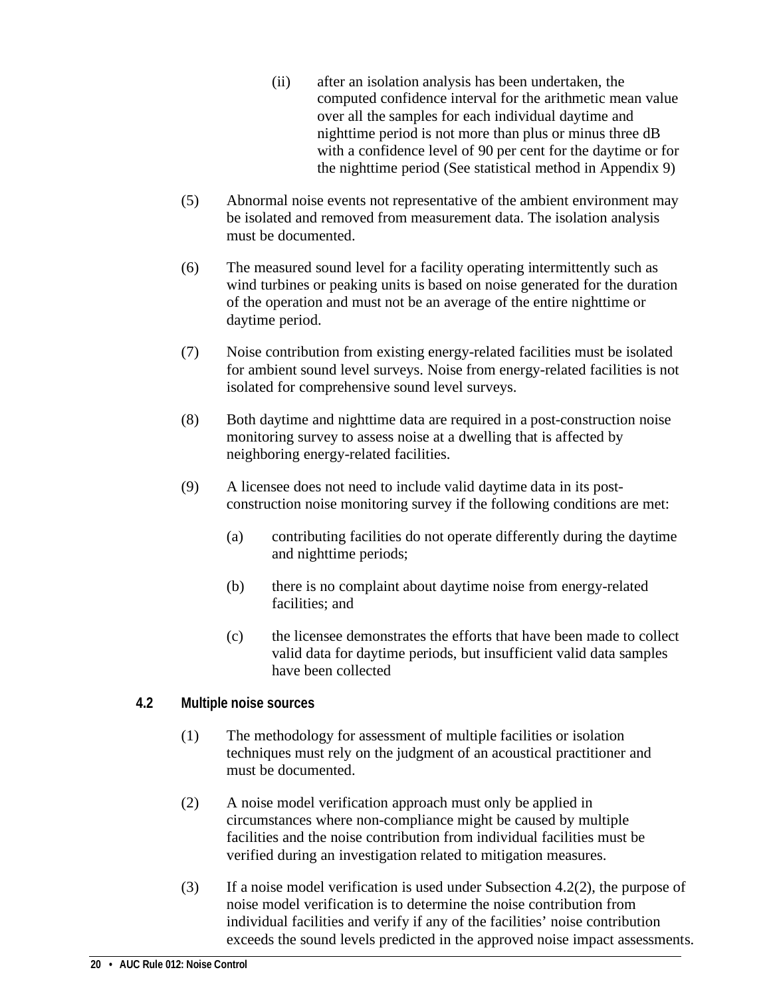- (ii) after an isolation analysis has been undertaken, the computed confidence interval for the arithmetic mean value over all the samples for each individual daytime and nighttime period is not more than plus or minus three dB with a confidence level of 90 per cent for the daytime or for the nighttime period (See statistical method in Appendix 9)
- (5) Abnormal noise events not representative of the ambient environment may be isolated and removed from measurement data. The isolation analysis must be documented.
- (6) The measured sound level for a facility operating intermittently such as wind turbines or peaking units is based on noise generated for the duration of the operation and must not be an average of the entire nighttime or daytime period.
- (7) Noise contribution from existing energy-related facilities must be isolated for ambient sound level surveys. Noise from energy-related facilities is not isolated for comprehensive sound level surveys.
- (8) Both daytime and nighttime data are required in a post-construction noise monitoring survey to assess noise at a dwelling that is affected by neighboring energy-related facilities.
- (9) A licensee does not need to include valid daytime data in its postconstruction noise monitoring survey if the following conditions are met:
	- (a) contributing facilities do not operate differently during the daytime and nighttime periods;
	- (b) there is no complaint about daytime noise from energy-related facilities; and
	- (c) the licensee demonstrates the efforts that have been made to collect valid data for daytime periods, but insufficient valid data samples have been collected

#### <span id="page-23-0"></span>**4.2 Multiple noise sources**

- (1) The methodology for assessment of multiple facilities or isolation techniques must rely on the judgment of an acoustical practitioner and must be documented.
- (2) A noise model verification approach must only be applied in circumstances where non-compliance might be caused by multiple facilities and the noise contribution from individual facilities must be verified during an investigation related to mitigation measures.
- (3) If a noise model verification is used under Subsection 4.2(2), the purpose of noise model verification is to determine the noise contribution from individual facilities and verify if any of the facilities' noise contribution exceeds the sound levels predicted in the approved noise impact assessments.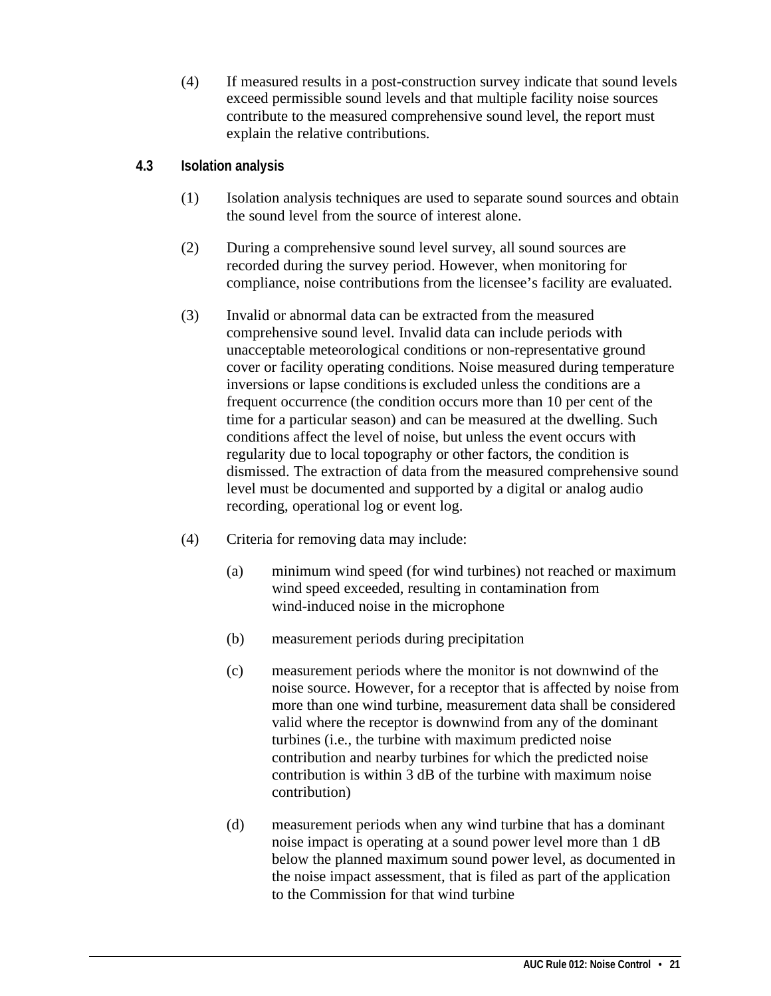(4) If measured results in a post-construction survey indicate that sound levels exceed permissible sound levels and that multiple facility noise sources contribute to the measured comprehensive sound level, the report must explain the relative contributions.

#### <span id="page-24-0"></span>**4.3 Isolation analysis**

- (1) Isolation analysis techniques are used to separate sound sources and obtain the sound level from the source of interest alone.
- (2) During a comprehensive sound level survey, all sound sources are recorded during the survey period. However, when monitoring for compliance, noise contributions from the licensee's facility are evaluated.
- (3) Invalid or abnormal data can be extracted from the measured comprehensive sound level. Invalid data can include periods with unacceptable meteorological conditions or non-representative ground cover or facility operating conditions. Noise measured during temperature inversions or lapse conditionsis excluded unless the conditions are a frequent occurrence (the condition occurs more than 10 per cent of the time for a particular season) and can be measured at the dwelling. Such conditions affect the level of noise, but unless the event occurs with regularity due to local topography or other factors, the condition is dismissed. The extraction of data from the measured comprehensive sound level must be documented and supported by a digital or analog audio recording, operational log or event log.
- (4) Criteria for removing data may include:
	- (a) minimum wind speed (for wind turbines) not reached or maximum wind speed exceeded, resulting in contamination from wind-induced noise in the microphone
	- (b) measurement periods during precipitation
	- (c) measurement periods where the monitor is not downwind of the noise source. However, for a receptor that is affected by noise from more than one wind turbine, measurement data shall be considered valid where the receptor is downwind from any of the dominant turbines (i.e., the turbine with maximum predicted noise contribution and nearby turbines for which the predicted noise contribution is within 3 dB of the turbine with maximum noise contribution)
	- (d) measurement periods when any wind turbine that has a dominant noise impact is operating at a sound power level more than 1 dB below the planned maximum sound power level, as documented in the noise impact assessment, that is filed as part of the application to the Commission for that wind turbine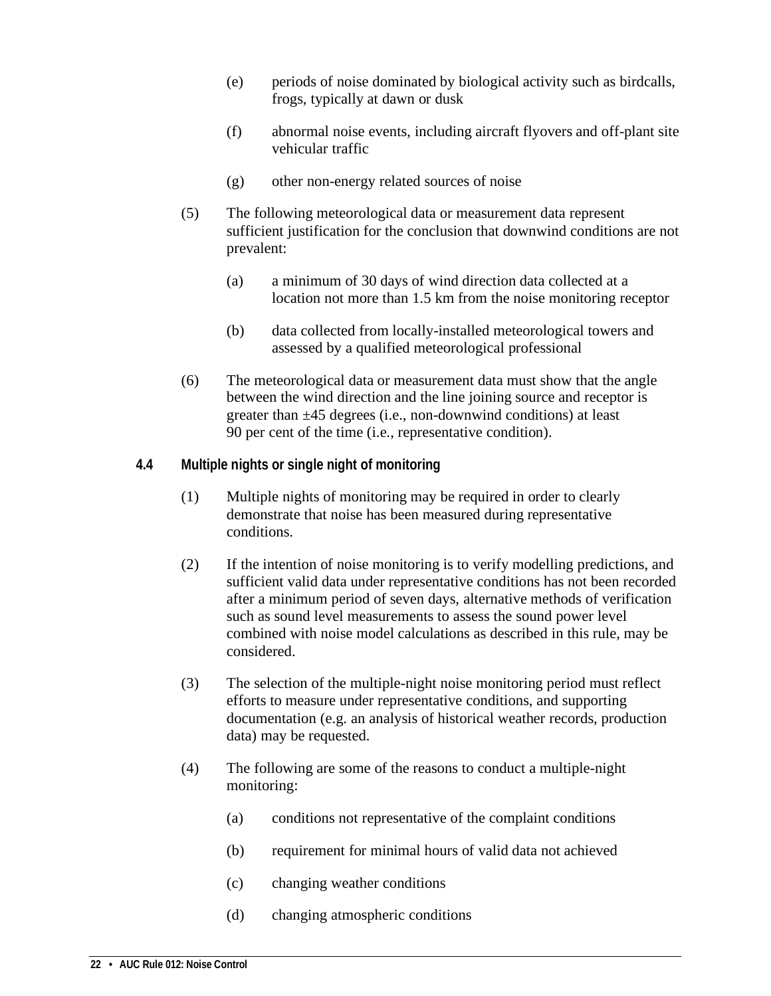- (e) periods of noise dominated by biological activity such as birdcalls, frogs, typically at dawn or dusk
- (f) abnormal noise events, including aircraft flyovers and off-plant site vehicular traffic
- (g) other non-energy related sources of noise
- (5) The following meteorological data or measurement data represent sufficient justification for the conclusion that downwind conditions are not prevalent:
	- (a) a minimum of 30 days of wind direction data collected at a location not more than 1.5 km from the noise monitoring receptor
	- (b) data collected from locally-installed meteorological towers and assessed by a qualified meteorological professional
- (6) The meteorological data or measurement data must show that the angle between the wind direction and the line joining source and receptor is greater than ±45 degrees (i.e., non-downwind conditions) at least 90 per cent of the time (i.e., representative condition).

#### <span id="page-25-0"></span>**4.4 Multiple nights or single night of monitoring**

- (1) Multiple nights of monitoring may be required in order to clearly demonstrate that noise has been measured during representative conditions.
- (2) If the intention of noise monitoring is to verify modelling predictions, and sufficient valid data under representative conditions has not been recorded after a minimum period of seven days, alternative methods of verification such as sound level measurements to assess the sound power level combined with noise model calculations as described in this rule, may be considered.
- (3) The selection of the multiple-night noise monitoring period must reflect efforts to measure under representative conditions, and supporting documentation (e.g. an analysis of historical weather records, production data) may be requested.
- (4) The following are some of the reasons to conduct a multiple-night monitoring:
	- (a) conditions not representative of the complaint conditions
	- (b) requirement for minimal hours of valid data not achieved
	- (c) changing weather conditions
	- (d) changing atmospheric conditions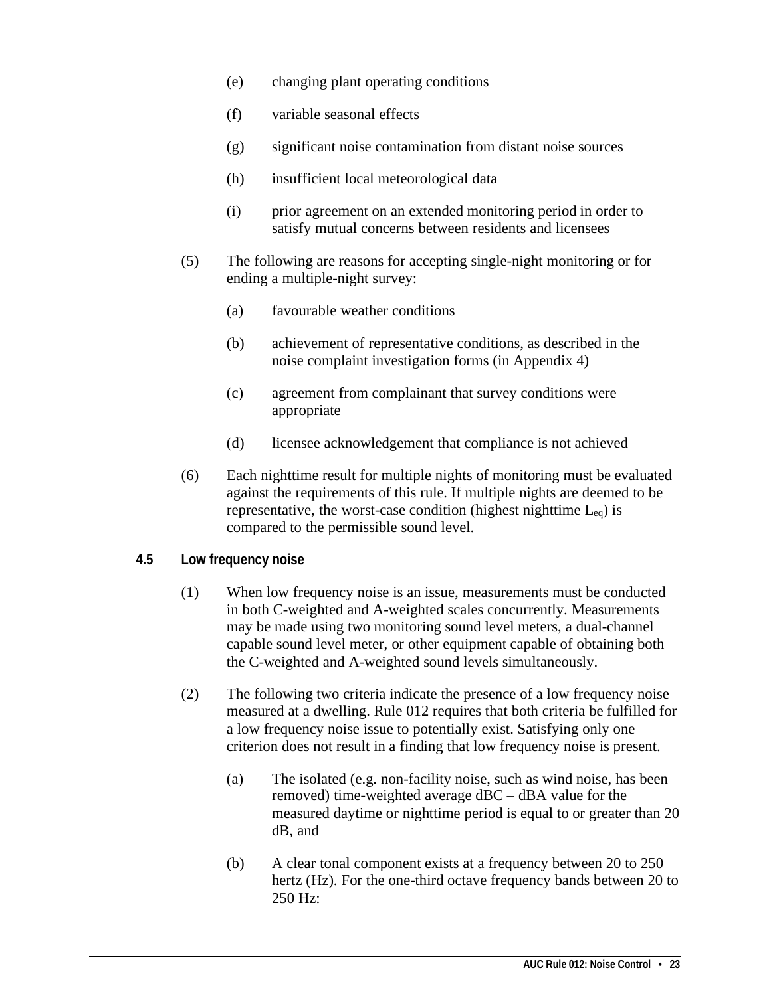- (e) changing plant operating conditions
- (f) variable seasonal effects
- (g) significant noise contamination from distant noise sources
- (h) insufficient local meteorological data
- (i) prior agreement on an extended monitoring period in order to satisfy mutual concerns between residents and licensees
- (5) The following are reasons for accepting single-night monitoring or for ending a multiple-night survey:
	- (a) favourable weather conditions
	- (b) achievement of representative conditions, as described in the noise complaint investigation forms (in Appendix 4)
	- (c) agreement from complainant that survey conditions were appropriate
	- (d) licensee acknowledgement that compliance is not achieved
- (6) Each nighttime result for multiple nights of monitoring must be evaluated against the requirements of this rule. If multiple nights are deemed to be representative, the worst-case condition (highest nighttime  $L_{eq}$ ) is compared to the permissible sound level.

#### <span id="page-26-0"></span>**4.5 Low frequency noise**

- (1) When low frequency noise is an issue, measurements must be conducted in both C-weighted and A-weighted scales concurrently. Measurements may be made using two monitoring sound level meters, a dual-channel capable sound level meter, or other equipment capable of obtaining both the C-weighted and A-weighted sound levels simultaneously.
- (2) The following two criteria indicate the presence of a low frequency noise measured at a dwelling. Rule 012 requires that both criteria be fulfilled for a low frequency noise issue to potentially exist. Satisfying only one criterion does not result in a finding that low frequency noise is present.
	- (a) The isolated (e.g. non-facility noise, such as wind noise, has been removed) time-weighted average dBC – dBA value for the measured daytime or nighttime period is equal to or greater than 20 dB, and
	- (b) A clear tonal component exists at a frequency between 20 to 250 hertz (Hz). For the one-third octave frequency bands between 20 to 250 Hz: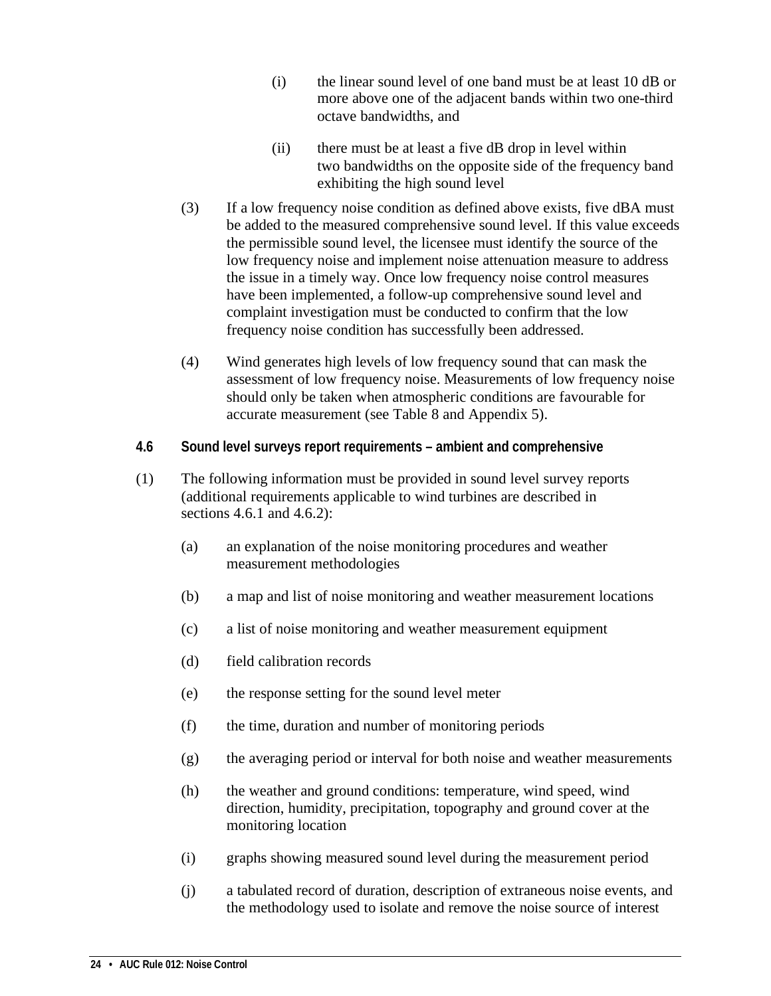- (i) the linear sound level of one band must be at least 10 dB or more above one of the adjacent bands within two one-third octave bandwidths, and
- (ii) there must be at least a five dB drop in level within two bandwidths on the opposite side of the frequency band exhibiting the high sound level
- (3) If a low frequency noise condition as defined above exists, five dBA must be added to the measured comprehensive sound level. If this value exceeds the permissible sound level, the licensee must identify the source of the low frequency noise and implement noise attenuation measure to address the issue in a timely way. Once low frequency noise control measures have been implemented, a follow-up comprehensive sound level and complaint investigation must be conducted to confirm that the low frequency noise condition has successfully been addressed.
- (4) Wind generates high levels of low frequency sound that can mask the assessment of low frequency noise. Measurements of low frequency noise should only be taken when atmospheric conditions are favourable for accurate measurement (see Table 8 and Appendix 5).
- <span id="page-27-0"></span>**4.6 Sound level surveys report requirements – ambient and comprehensive**
- (1) The following information must be provided in sound level survey reports (additional requirements applicable to wind turbines are described in sections 4.6.1 and 4.6.2):
	- (a) an explanation of the noise monitoring procedures and weather measurement methodologies
	- (b) a map and list of noise monitoring and weather measurement locations
	- (c) a list of noise monitoring and weather measurement equipment
	- (d) field calibration records
	- (e) the response setting for the sound level meter
	- (f) the time, duration and number of monitoring periods
	- (g) the averaging period or interval for both noise and weather measurements
	- (h) the weather and ground conditions: temperature, wind speed, wind direction, humidity, precipitation, topography and ground cover at the monitoring location
	- (i) graphs showing measured sound level during the measurement period
	- (j) a tabulated record of duration, description of extraneous noise events, and the methodology used to isolate and remove the noise source of interest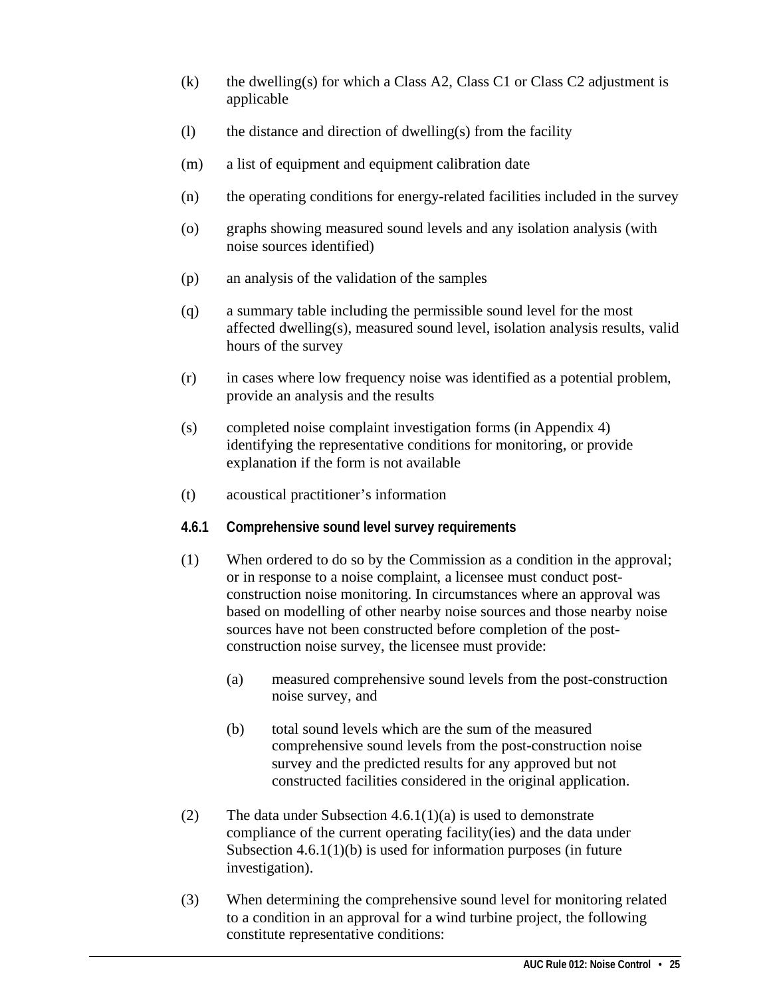- (k) the dwelling(s) for which a Class A2, Class C1 or Class C2 adjustment is applicable
- $(l)$  the distance and direction of dwelling(s) from the facility
- (m) a list of equipment and equipment calibration date
- (n) the operating conditions for energy-related facilities included in the survey
- (o) graphs showing measured sound levels and any isolation analysis (with noise sources identified)
- (p) an analysis of the validation of the samples
- (q) a summary table including the permissible sound level for the most affected dwelling(s), measured sound level, isolation analysis results, valid hours of the survey
- (r) in cases where low frequency noise was identified as a potential problem, provide an analysis and the results
- (s) completed noise complaint investigation forms (in Appendix 4) identifying the representative conditions for monitoring, or provide explanation if the form is not available
- (t) acoustical practitioner's information
- <span id="page-28-0"></span>**4.6.1 Comprehensive sound level survey requirements**
- (1) When ordered to do so by the Commission as a condition in the approval; or in response to a noise complaint, a licensee must conduct postconstruction noise monitoring. In circumstances where an approval was based on modelling of other nearby noise sources and those nearby noise sources have not been constructed before completion of the postconstruction noise survey, the licensee must provide:
	- (a) measured comprehensive sound levels from the post-construction noise survey, and
	- (b) total sound levels which are the sum of the measured comprehensive sound levels from the post-construction noise survey and the predicted results for any approved but not constructed facilities considered in the original application.
- (2) The data under Subsection  $4.6.1(1)(a)$  is used to demonstrate compliance of the current operating facility(ies) and the data under Subsection 4.6.1(1)(b) is used for information purposes (in future investigation).
- (3) When determining the comprehensive sound level for monitoring related to a condition in an approval for a wind turbine project, the following constitute representative conditions: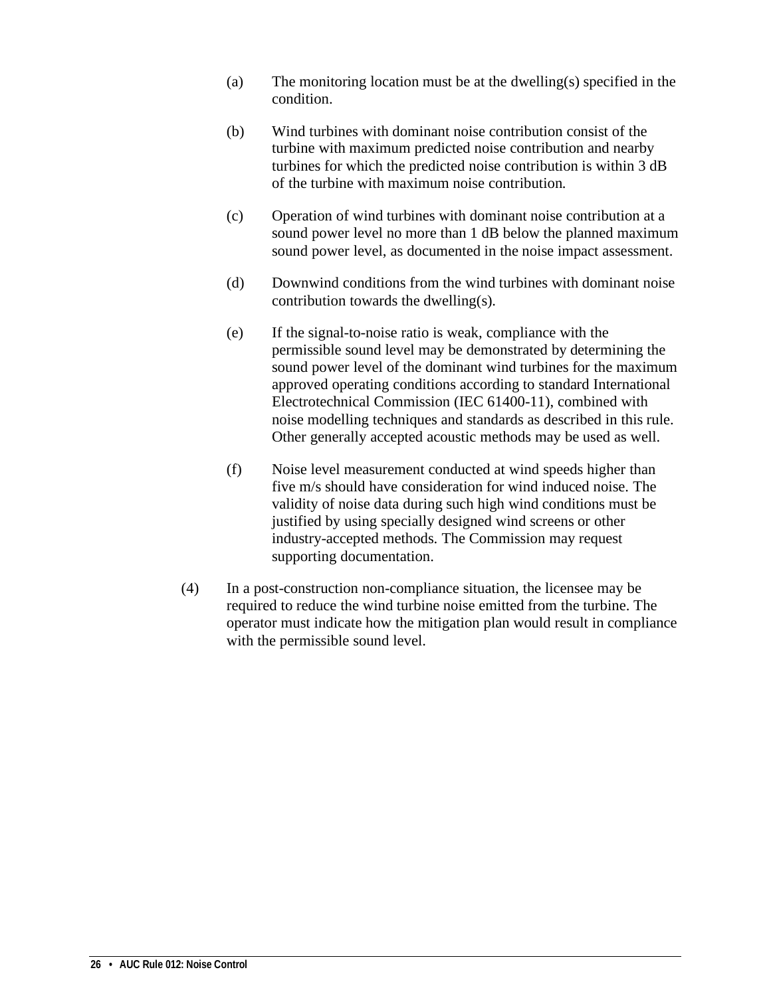- (a) The monitoring location must be at the dwelling(s) specified in the condition.
- (b) Wind turbines with dominant noise contribution consist of the turbine with maximum predicted noise contribution and nearby turbines for which the predicted noise contribution is within 3 dB of the turbine with maximum noise contribution.
- (c) Operation of wind turbines with dominant noise contribution at a sound power level no more than 1 dB below the planned maximum sound power level, as documented in the noise impact assessment.
- (d) Downwind conditions from the wind turbines with dominant noise contribution towards the dwelling(s).
- (e) If the signal-to-noise ratio is weak, compliance with the permissible sound level may be demonstrated by determining the sound power level of the dominant wind turbines for the maximum approved operating conditions according to standard International Electrotechnical Commission (IEC 61400-11), combined with noise modelling techniques and standards as described in this rule. Other generally accepted acoustic methods may be used as well.
- (f) Noise level measurement conducted at wind speeds higher than five m/s should have consideration for wind induced noise. The validity of noise data during such high wind conditions must be justified by using specially designed wind screens or other industry-accepted methods. The Commission may request supporting documentation.
- (4) In a post-construction non-compliance situation, the licensee may be required to reduce the wind turbine noise emitted from the turbine. The operator must indicate how the mitigation plan would result in compliance with the permissible sound level.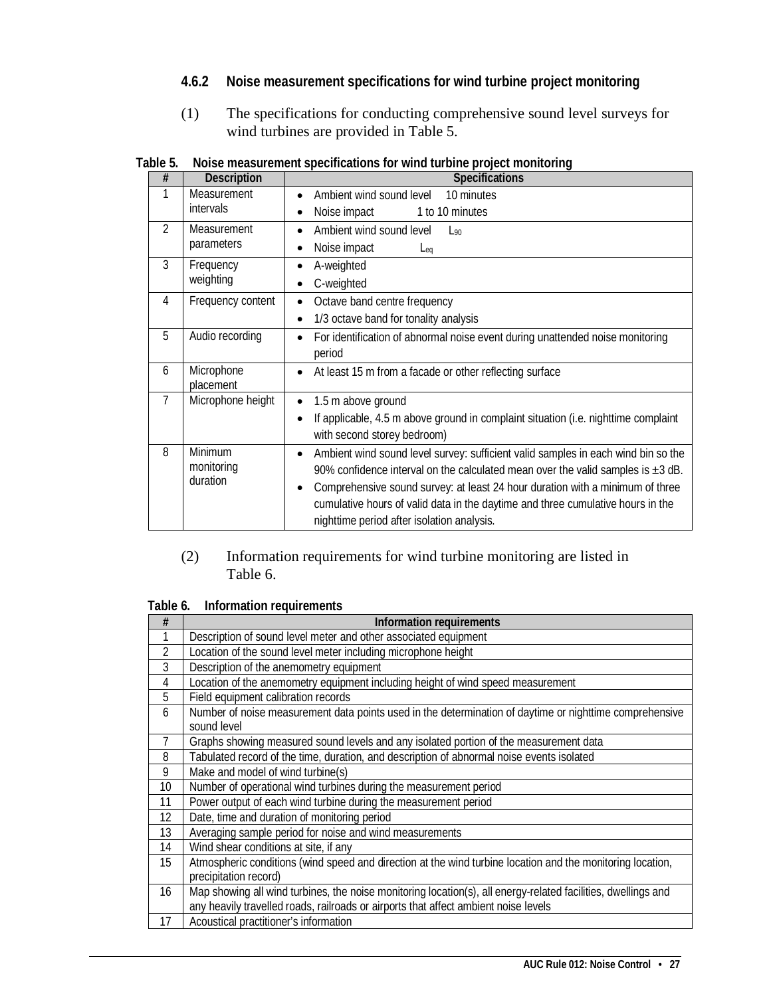#### <span id="page-30-0"></span>**4.6.2 Noise measurement specifications for wind turbine project monitoring**

(1) The specifications for conducting comprehensive sound level surveys for wind turbines are provided in Table 5.

| #              | <b>Description</b> | <b>Specifications</b>                                                                          |
|----------------|--------------------|------------------------------------------------------------------------------------------------|
|                | Measurement        | Ambient wind sound level<br>10 minutes<br>$\bullet$                                            |
|                | intervals          | Noise impact<br>1 to 10 minutes                                                                |
| $\mathfrak{D}$ | Measurement        | Ambient wind sound level<br>$L_{90}$<br>$\bullet$                                              |
|                | parameters         | Noise impact<br>$L_{eq}$                                                                       |
| 3              | Frequency          | A-weighted<br>٠                                                                                |
|                | weighting          | C-weighted                                                                                     |
| 4              | Frequency content  | Octave band centre frequency                                                                   |
|                |                    | 1/3 octave band for tonality analysis<br>٠                                                     |
| 5              | Audio recording    | For identification of abnormal noise event during unattended noise monitoring                  |
|                |                    | period                                                                                         |
| 6              | Microphone         | At least 15 m from a facade or other reflecting surface<br>$\bullet$                           |
|                | placement          |                                                                                                |
| 7              | Microphone height  | 1.5 m above ground<br>٠                                                                        |
|                |                    | If applicable, 4.5 m above ground in complaint situation (i.e. nighttime complaint             |
|                |                    | with second storey bedroom)                                                                    |
| 8              | Minimum            | Ambient wind sound level survey: sufficient valid samples in each wind bin so the<br>$\bullet$ |
|                | monitoring         | 90% confidence interval on the calculated mean over the valid samples is $\pm 3$ dB.           |
|                | duration           | Comprehensive sound survey: at least 24 hour duration with a minimum of three                  |
|                |                    | cumulative hours of valid data in the daytime and three cumulative hours in the                |
|                |                    | nighttime period after isolation analysis.                                                     |

<span id="page-30-1"></span>**Table 5. Noise measurement specifications for wind turbine project monitoring** 

#### (2) Information requirements for wind turbine monitoring are listed in Table 6.

<span id="page-30-2"></span>

| #  | Information requirements                                                                                      |  |
|----|---------------------------------------------------------------------------------------------------------------|--|
|    | Description of sound level meter and other associated equipment                                               |  |
| 2  | Location of the sound level meter including microphone height                                                 |  |
| 3  | Description of the anemometry equipment                                                                       |  |
| 4  | Location of the anemometry equipment including height of wind speed measurement                               |  |
| 5  | Field equipment calibration records                                                                           |  |
| 6  | Number of noise measurement data points used in the determination of daytime or nighttime comprehensive       |  |
|    | sound level                                                                                                   |  |
| 7  | Graphs showing measured sound levels and any isolated portion of the measurement data                         |  |
| 8  | Tabulated record of the time, duration, and description of abnormal noise events isolated                     |  |
| 9  | Make and model of wind turbine(s)                                                                             |  |
| 10 | Number of operational wind turbines during the measurement period                                             |  |
| 11 | Power output of each wind turbine during the measurement period                                               |  |
| 12 | Date, time and duration of monitoring period                                                                  |  |
| 13 | Averaging sample period for noise and wind measurements                                                       |  |
| 14 | Wind shear conditions at site, if any                                                                         |  |
| 15 | Atmospheric conditions (wind speed and direction at the wind turbine location and the monitoring location,    |  |
|    | precipitation record)                                                                                         |  |
| 16 | Map showing all wind turbines, the noise monitoring location(s), all energy-related facilities, dwellings and |  |
|    | any heavily travelled roads, railroads or airports that affect ambient noise levels                           |  |
| 17 | Acoustical practitioner's information                                                                         |  |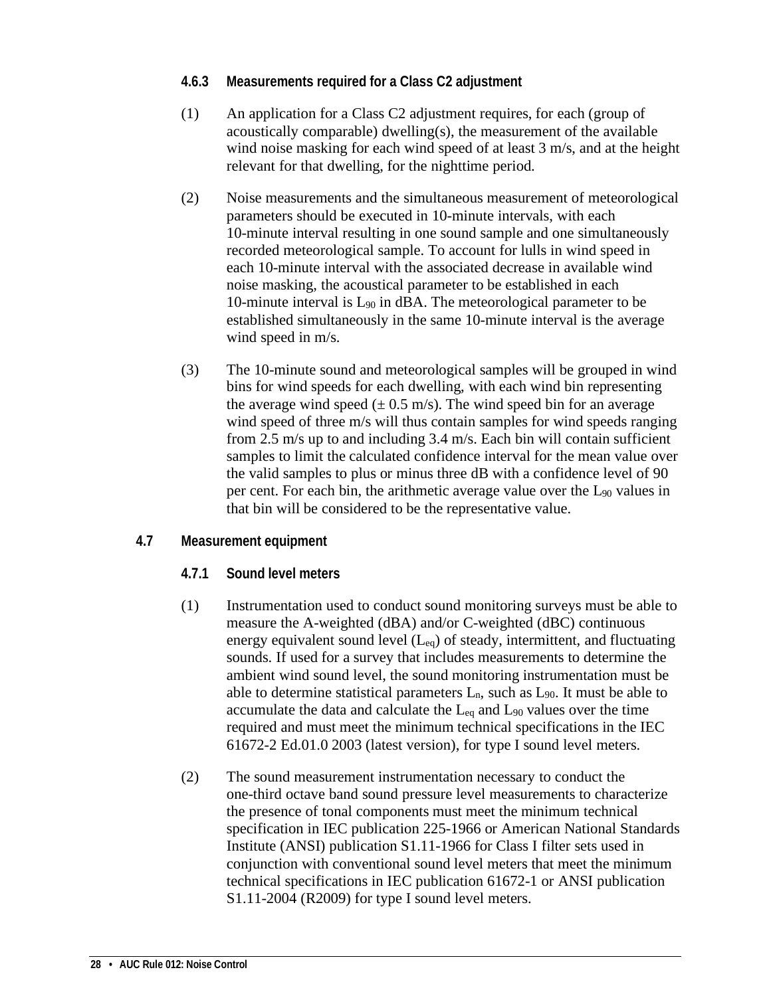#### <span id="page-31-0"></span>**4.6.3 Measurements required for a Class C2 adjustment**

- (1) An application for a Class C2 adjustment requires, for each (group of acoustically comparable) dwelling(s), the measurement of the available wind noise masking for each wind speed of at least 3 m/s, and at the height relevant for that dwelling, for the nighttime period.
- (2) Noise measurements and the simultaneous measurement of meteorological parameters should be executed in 10-minute intervals, with each 10-minute interval resulting in one sound sample and one simultaneously recorded meteorological sample. To account for lulls in wind speed in each 10-minute interval with the associated decrease in available wind noise masking, the acoustical parameter to be established in each 10-minute interval is L90 in dBA. The meteorological parameter to be established simultaneously in the same 10-minute interval is the average wind speed in m/s.
- (3) The 10-minute sound and meteorological samples will be grouped in wind bins for wind speeds for each dwelling, with each wind bin representing the average wind speed  $(\pm 0.5 \text{ m/s})$ . The wind speed bin for an average wind speed of three m/s will thus contain samples for wind speeds ranging from 2.5 m/s up to and including 3.4 m/s. Each bin will contain sufficient samples to limit the calculated confidence interval for the mean value over the valid samples to plus or minus three dB with a confidence level of 90 per cent. For each bin, the arithmetic average value over the L90 values in that bin will be considered to be the representative value.

#### <span id="page-31-2"></span><span id="page-31-1"></span>**4.7 Measurement equipment**

- **4.7.1 Sound level meters**
- (1) Instrumentation used to conduct sound monitoring surveys must be able to measure the A-weighted (dBA) and/or C-weighted (dBC) continuous energy equivalent sound level  $(L_{eq})$  of steady, intermittent, and fluctuating sounds. If used for a survey that includes measurements to determine the ambient wind sound level, the sound monitoring instrumentation must be able to determine statistical parameters  $L_n$ , such as  $L_{90}$ . It must be able to accumulate the data and calculate the  $L_{eq}$  and  $L_{90}$  values over the time required and must meet the minimum technical specifications in the IEC 61672-2 Ed.01.0 2003 (latest version), for type I sound level meters.
- (2) The sound measurement instrumentation necessary to conduct the one-third octave band sound pressure level measurements to characterize the presence of tonal components must meet the minimum technical specification in IEC publication 225-1966 or American National Standards Institute (ANSI) publication S1.11-1966 for Class I filter sets used in conjunction with conventional sound level meters that meet the minimum technical specifications in IEC publication 61672-1 or ANSI publication S1.11-2004 (R2009) for type I sound level meters.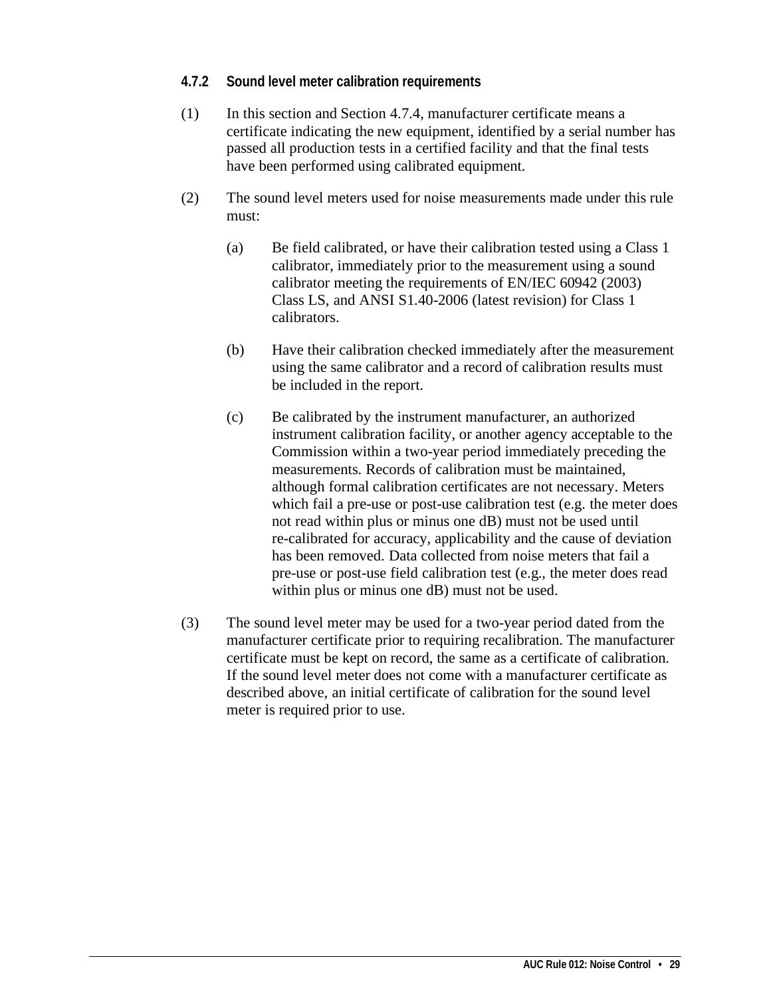#### <span id="page-32-0"></span>**4.7.2 Sound level meter calibration requirements**

- (1) In this section and Section 4.7.4, manufacturer certificate means a certificate indicating the new equipment, identified by a serial number has passed all production tests in a certified facility and that the final tests have been performed using calibrated equipment.
- (2) The sound level meters used for noise measurements made under this rule must:
	- (a) Be field calibrated, or have their calibration tested using a Class 1 calibrator, immediately prior to the measurement using a sound calibrator meeting the requirements of EN/IEC 60942 (2003) Class LS, and ANSI S1.40-2006 (latest revision) for Class 1 calibrators.
	- (b) Have their calibration checked immediately after the measurement using the same calibrator and a record of calibration results must be included in the report.
	- (c) Be calibrated by the instrument manufacturer, an authorized instrument calibration facility, or another agency acceptable to the Commission within a two-year period immediately preceding the measurements. Records of calibration must be maintained, although formal calibration certificates are not necessary. Meters which fail a pre-use or post-use calibration test (e.g. the meter does not read within plus or minus one dB) must not be used until re-calibrated for accuracy, applicability and the cause of deviation has been removed. Data collected from noise meters that fail a pre-use or post-use field calibration test (e.g., the meter does read within plus or minus one dB) must not be used.
- (3) The sound level meter may be used for a two-year period dated from the manufacturer certificate prior to requiring recalibration. The manufacturer certificate must be kept on record, the same as a certificate of calibration. If the sound level meter does not come with a manufacturer certificate as described above, an initial certificate of calibration for the sound level meter is required prior to use.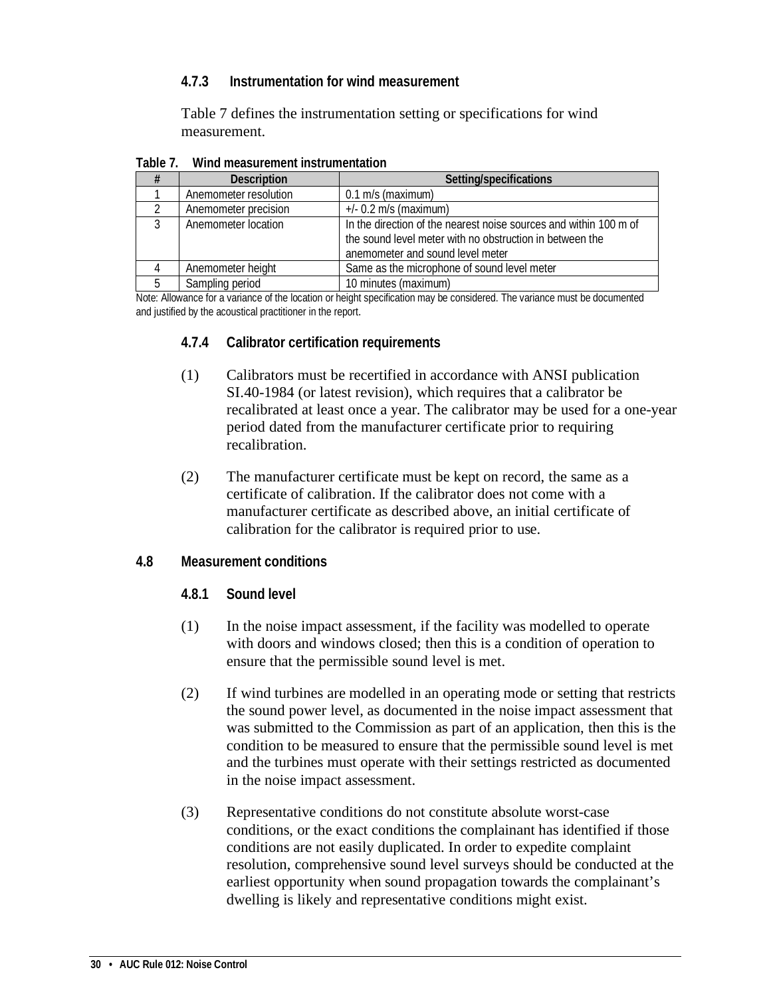#### <span id="page-33-0"></span>**4.7.3 Instrumentation for wind measurement**

Table 7 defines the instrumentation setting or specifications for wind measurement.

<span id="page-33-4"></span>

| . | ווטווואווטוווא ווטווויט ושכטטווו שווויש |                                                                                                                                                                   |
|---|-----------------------------------------|-------------------------------------------------------------------------------------------------------------------------------------------------------------------|
|   | <b>Description</b>                      | Setting/specifications                                                                                                                                            |
|   | Anemometer resolution                   | $0.1$ m/s (maximum)                                                                                                                                               |
|   | Anemometer precision                    | $+/- 0.2$ m/s (maximum)                                                                                                                                           |
|   | Anemometer location                     | In the direction of the nearest noise sources and within 100 m of<br>the sound level meter with no obstruction in between the<br>anemometer and sound level meter |
|   | Anemometer height                       | Same as the microphone of sound level meter                                                                                                                       |
|   | Sampling period                         | 10 minutes (maximum)                                                                                                                                              |

**Table 7. Wind measurement instrumentation**

<span id="page-33-1"></span>Note: Allowance for a variance of the location or height specification may be considered. The variance must be documented and justified by the acoustical practitioner in the report.

- **4.7.4 Calibrator certification requirements**
- (1) Calibrators must be recertified in accordance with ANSI publication SI.40-1984 (or latest revision), which requires that a calibrator be recalibrated at least once a year. The calibrator may be used for a one-year period dated from the manufacturer certificate prior to requiring recalibration.
- (2) The manufacturer certificate must be kept on record, the same as a certificate of calibration. If the calibrator does not come with a manufacturer certificate as described above, an initial certificate of calibration for the calibrator is required prior to use.

#### <span id="page-33-3"></span><span id="page-33-2"></span>**4.8 Measurement conditions**

- **4.8.1 Sound level**
- (1) In the noise impact assessment, if the facility was modelled to operate with doors and windows closed; then this is a condition of operation to ensure that the permissible sound level is met.
- (2) If wind turbines are modelled in an operating mode or setting that restricts the sound power level, as documented in the noise impact assessment that was submitted to the Commission as part of an application, then this is the condition to be measured to ensure that the permissible sound level is met and the turbines must operate with their settings restricted as documented in the noise impact assessment.
- (3) Representative conditions do not constitute absolute worst-case conditions, or the exact conditions the complainant has identified if those conditions are not easily duplicated. In order to expedite complaint resolution, comprehensive sound level surveys should be conducted at the earliest opportunity when sound propagation towards the complainant's dwelling is likely and representative conditions might exist.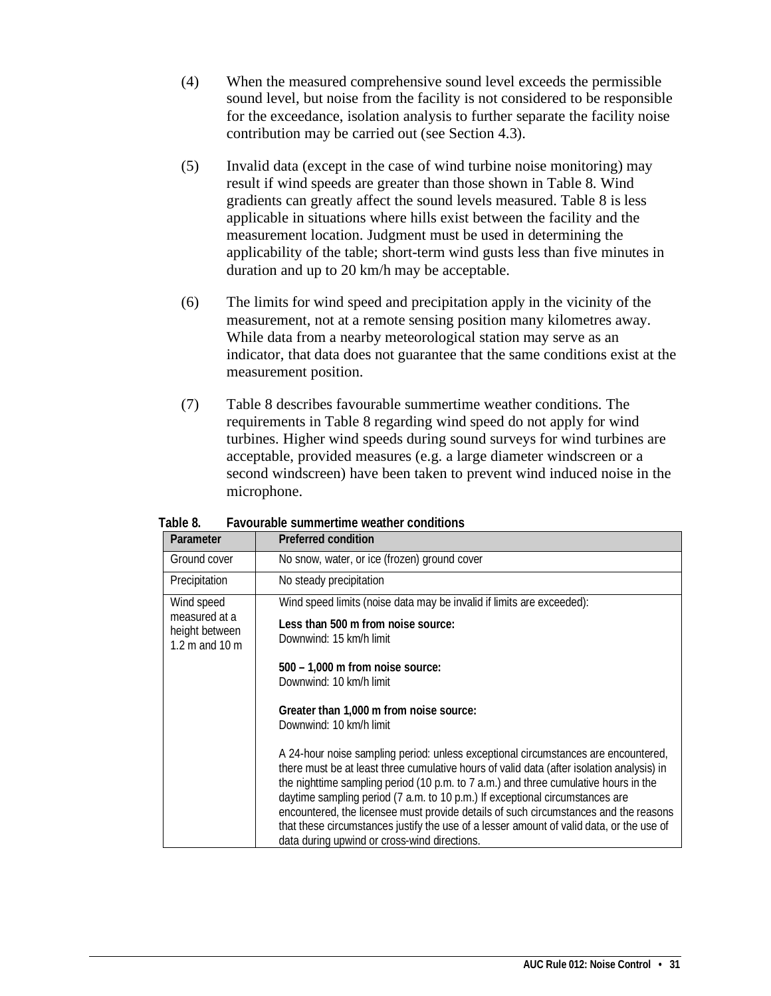- (4) When the measured comprehensive sound level exceeds the permissible sound level, but noise from the facility is not considered to be responsible for the exceedance, isolation analysis to further separate the facility noise contribution may be carried out (see Section 4.3).
- (5) Invalid data (except in the case of wind turbine noise monitoring) may result if wind speeds are greater than those shown in Table 8. Wind gradients can greatly affect the sound levels measured. Table 8 is less applicable in situations where hills exist between the facility and the measurement location. Judgment must be used in determining the applicability of the table; short-term wind gusts less than five minutes in duration and up to 20 km/h may be acceptable.
- (6) The limits for wind speed and precipitation apply in the vicinity of the measurement, not at a remote sensing position many kilometres away. While data from a nearby meteorological station may serve as an indicator, that data does not guarantee that the same conditions exist at the measurement position.
- (7) Table 8 describes favourable summertime weather conditions. The requirements in Table 8 regarding wind speed do not apply for wind turbines. Higher wind speeds during sound surveys for wind turbines are acceptable, provided measures (e.g. a large diameter windscreen or a second windscreen) have been taken to prevent wind induced noise in the microphone.

| Parameter                                                       | <b>Preferred condition</b>                                                                                                                                                                                                                                                                                                                                                                                                                                                                                                                                                                                                                                                                                                                                                                                                                                                  |
|-----------------------------------------------------------------|-----------------------------------------------------------------------------------------------------------------------------------------------------------------------------------------------------------------------------------------------------------------------------------------------------------------------------------------------------------------------------------------------------------------------------------------------------------------------------------------------------------------------------------------------------------------------------------------------------------------------------------------------------------------------------------------------------------------------------------------------------------------------------------------------------------------------------------------------------------------------------|
| Ground cover                                                    | No snow, water, or ice (frozen) ground cover                                                                                                                                                                                                                                                                                                                                                                                                                                                                                                                                                                                                                                                                                                                                                                                                                                |
| Precipitation                                                   | No steady precipitation                                                                                                                                                                                                                                                                                                                                                                                                                                                                                                                                                                                                                                                                                                                                                                                                                                                     |
| Wind speed<br>measured at a<br>height between<br>1.2 m and 10 m | Wind speed limits (noise data may be invalid if limits are exceeded):<br>Less than 500 m from noise source:<br>Downwind: 15 km/h limit<br>$500 - 1,000$ m from noise source:<br>Downwind: 10 km/h limit<br>Greater than 1,000 m from noise source:<br>Downwind: 10 km/h limit<br>A 24-hour noise sampling period: unless exceptional circumstances are encountered,<br>there must be at least three cumulative hours of valid data (after isolation analysis) in<br>the nighttime sampling period (10 p.m. to 7 a.m.) and three cumulative hours in the<br>daytime sampling period (7 a.m. to 10 p.m.) If exceptional circumstances are<br>encountered, the licensee must provide details of such circumstances and the reasons<br>that these circumstances justify the use of a lesser amount of valid data, or the use of<br>data during upwind or cross-wind directions. |

<span id="page-34-0"></span>**Table 8. Favourable summertime weather conditions**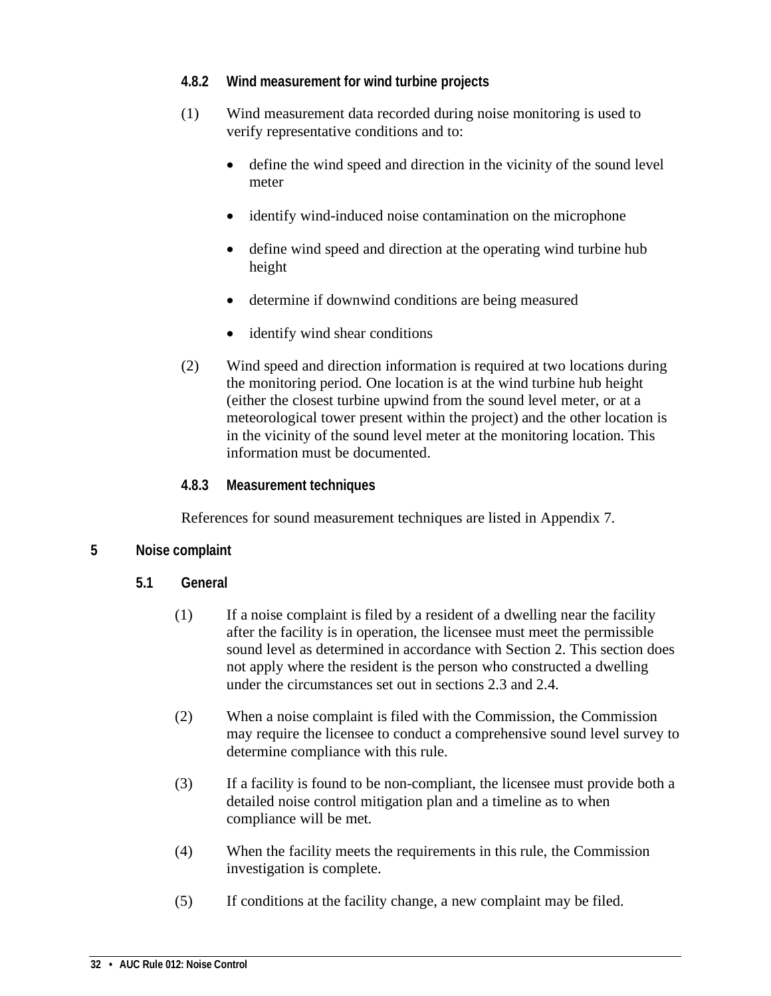#### <span id="page-35-0"></span>**4.8.2 Wind measurement for wind turbine projects**

- (1) Wind measurement data recorded during noise monitoring is used to verify representative conditions and to:
	- define the wind speed and direction in the vicinity of the sound level meter
	- identify wind-induced noise contamination on the microphone
	- define wind speed and direction at the operating wind turbine hub height
	- determine if downwind conditions are being measured
	- identify wind shear conditions
- (2) Wind speed and direction information is required at two locations during the monitoring period. One location is at the wind turbine hub height (either the closest turbine upwind from the sound level meter, or at a meteorological tower present within the project) and the other location is in the vicinity of the sound level meter at the monitoring location. This information must be documented.

#### **4.8.3 Measurement techniques**

References for sound measurement techniques are listed in Appendix 7.

#### <span id="page-35-3"></span><span id="page-35-2"></span><span id="page-35-1"></span>**5 Noise complaint**

- **5.1 General**
	- (1) If a noise complaint is filed by a resident of a dwelling near the facility after the facility is in operation, the licensee must meet the permissible sound level as determined in accordance with Section 2. This section does not apply where the resident is the person who constructed a dwelling under the circumstances set out in sections 2.3 and 2.4.
	- (2) When a noise complaint is filed with the Commission, the Commission may require the licensee to conduct a comprehensive sound level survey to determine compliance with this rule.
	- (3) If a facility is found to be non-compliant, the licensee must provide both a detailed noise control mitigation plan and a timeline as to when compliance will be met.
	- (4) When the facility meets the requirements in this rule, the Commission investigation is complete.
	- (5) If conditions at the facility change, a new complaint may be filed.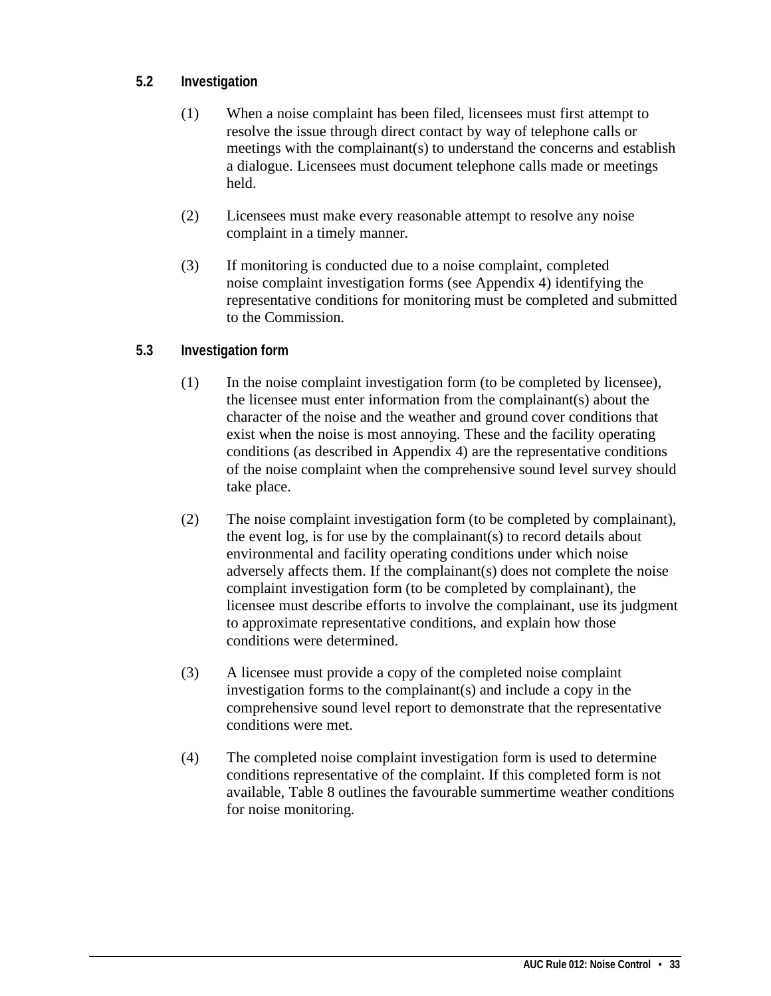### **5.2 Investigation**

- (1) When a noise complaint has been filed, licensees must first attempt to resolve the issue through direct contact by way of telephone calls or meetings with the complainant(s) to understand the concerns and establish a dialogue. Licensees must document telephone calls made or meetings held.
- (2) Licensees must make every reasonable attempt to resolve any noise complaint in a timely manner.
- (3) If monitoring is conducted due to a noise complaint, completed noise complaint investigation forms (see Appendix 4) identifying the representative conditions for monitoring must be completed and submitted to the Commission.

### **5.3 Investigation form**

- (1) In the noise complaint investigation form (to be completed by licensee), the licensee must enter information from the complainant(s) about the character of the noise and the weather and ground cover conditions that exist when the noise is most annoying. These and the facility operating conditions (as described in Appendix 4) are the representative conditions of the noise complaint when the comprehensive sound level survey should take place.
- (2) The noise complaint investigation form (to be completed by complainant), the event log, is for use by the complainant(s) to record details about environmental and facility operating conditions under which noise adversely affects them. If the complainant(s) does not complete the noise complaint investigation form (to be completed by complainant), the licensee must describe efforts to involve the complainant, use its judgment to approximate representative conditions, and explain how those conditions were determined.
- (3) A licensee must provide a copy of the completed noise complaint investigation forms to the complainant(s) and include a copy in the comprehensive sound level report to demonstrate that the representative conditions were met.
- (4) The completed noise complaint investigation form is used to determine conditions representative of the complaint. If this completed form is not available, Table 8 outlines the favourable summertime weather conditions for noise monitoring.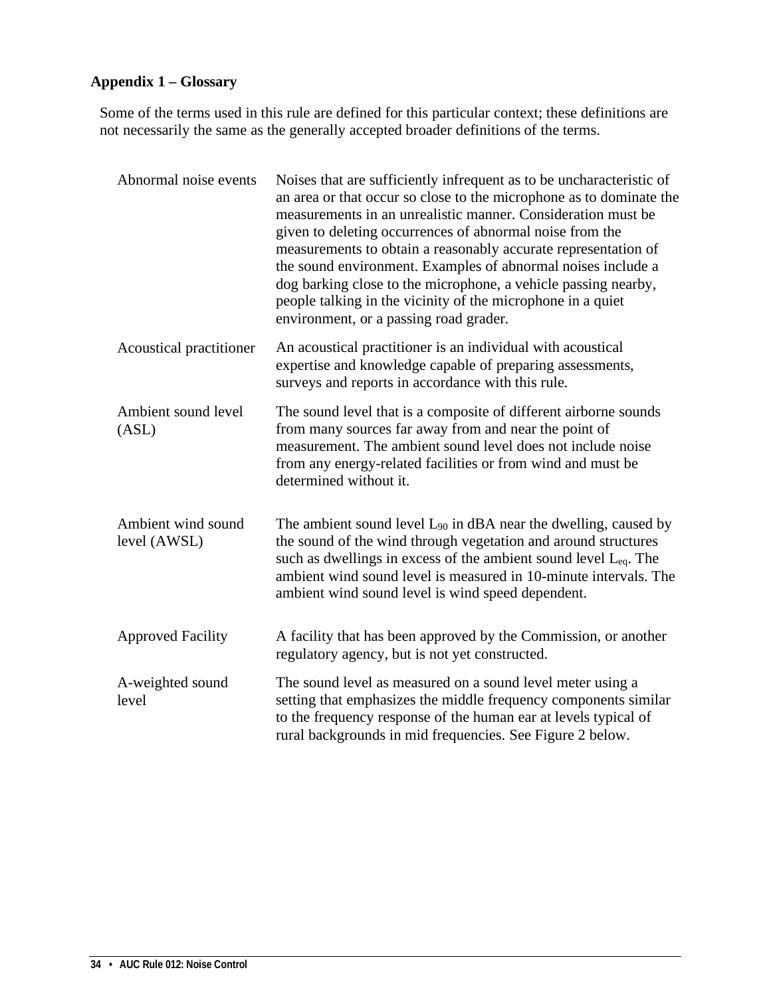## **Appendix 1 – Glossary**

Some of the terms used in this rule are defined for this particular context; these definitions are not necessarily the same as the generally accepted broader definitions of the terms.

| Abnormal noise events              | Noises that are sufficiently infrequent as to be uncharacteristic of<br>an area or that occur so close to the microphone as to dominate the<br>measurements in an unrealistic manner. Consideration must be<br>given to deleting occurrences of abnormal noise from the<br>measurements to obtain a reasonably accurate representation of<br>the sound environment. Examples of abnormal noises include a<br>dog barking close to the microphone, a vehicle passing nearby,<br>people talking in the vicinity of the microphone in a quiet<br>environment, or a passing road grader. |
|------------------------------------|--------------------------------------------------------------------------------------------------------------------------------------------------------------------------------------------------------------------------------------------------------------------------------------------------------------------------------------------------------------------------------------------------------------------------------------------------------------------------------------------------------------------------------------------------------------------------------------|
| Acoustical practitioner            | An acoustical practitioner is an individual with acoustical<br>expertise and knowledge capable of preparing assessments,<br>surveys and reports in accordance with this rule.                                                                                                                                                                                                                                                                                                                                                                                                        |
| Ambient sound level<br>(ASL)       | The sound level that is a composite of different airborne sounds<br>from many sources far away from and near the point of<br>measurement. The ambient sound level does not include noise<br>from any energy-related facilities or from wind and must be<br>determined without it.                                                                                                                                                                                                                                                                                                    |
| Ambient wind sound<br>level (AWSL) | The ambient sound level $L_{90}$ in dBA near the dwelling, caused by<br>the sound of the wind through vegetation and around structures<br>such as dwellings in excess of the ambient sound level L <sub>eq</sub> . The<br>ambient wind sound level is measured in 10-minute intervals. The<br>ambient wind sound level is wind speed dependent.                                                                                                                                                                                                                                      |
| <b>Approved Facility</b>           | A facility that has been approved by the Commission, or another<br>regulatory agency, but is not yet constructed.                                                                                                                                                                                                                                                                                                                                                                                                                                                                    |
| A-weighted sound<br>level          | The sound level as measured on a sound level meter using a<br>setting that emphasizes the middle frequency components similar<br>to the frequency response of the human ear at levels typical of<br>rural backgrounds in mid frequencies. See Figure 2 below.                                                                                                                                                                                                                                                                                                                        |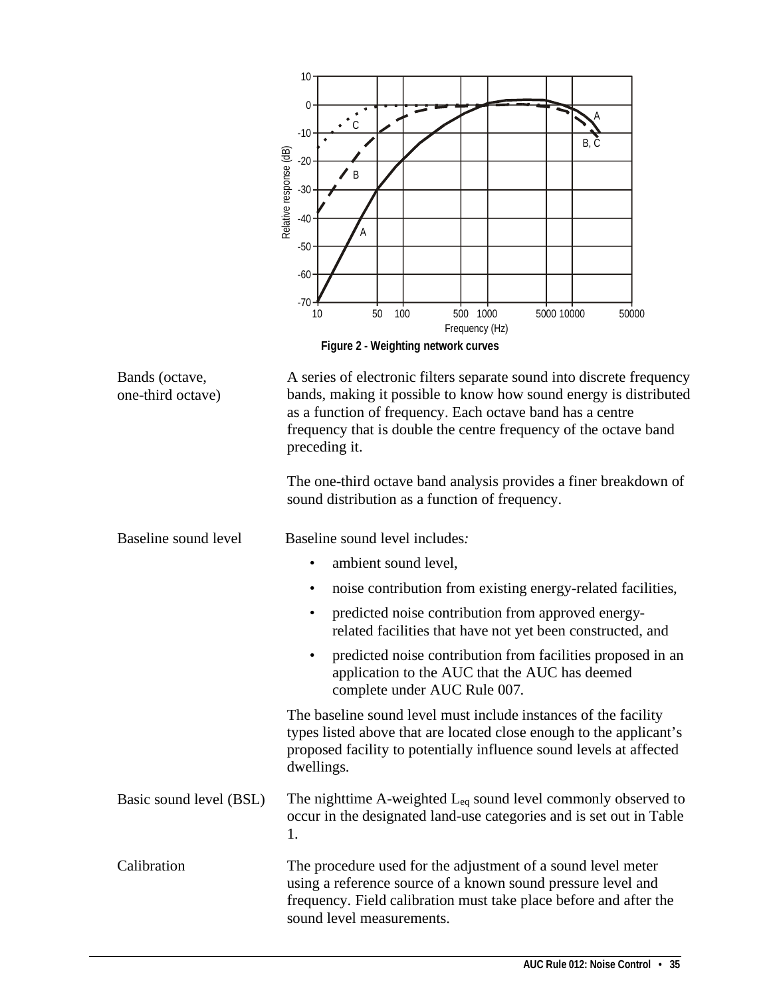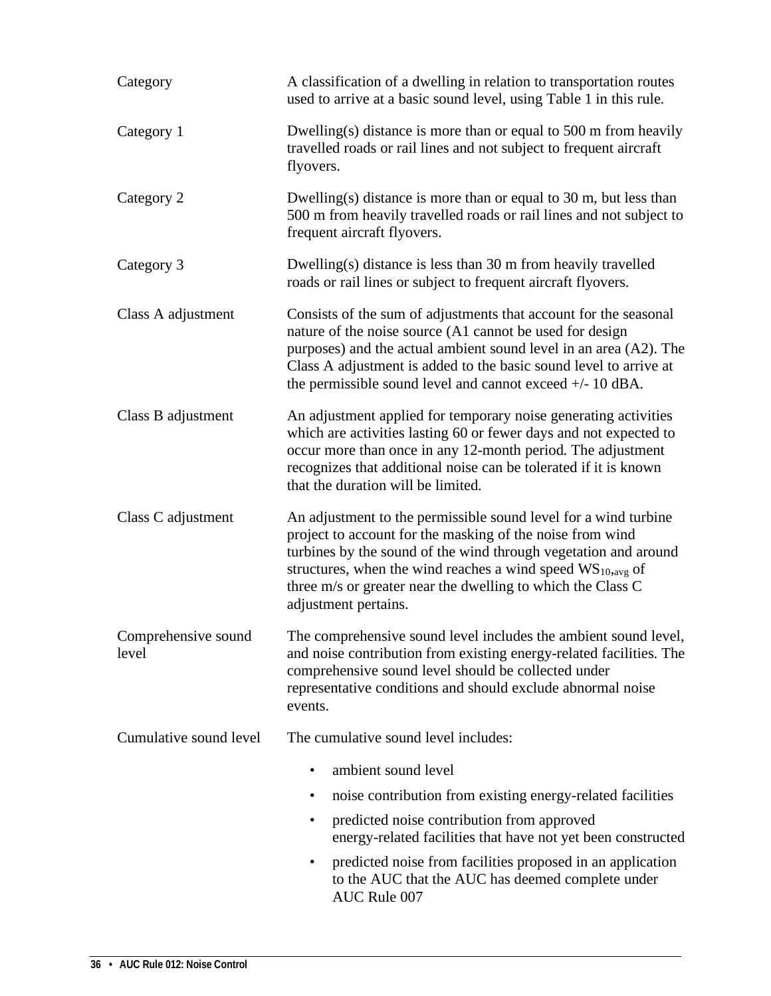| Category                     | A classification of a dwelling in relation to transportation routes<br>used to arrive at a basic sound level, using Table 1 in this rule.                                                                                                                                                                                                                 |  |
|------------------------------|-----------------------------------------------------------------------------------------------------------------------------------------------------------------------------------------------------------------------------------------------------------------------------------------------------------------------------------------------------------|--|
| Category 1                   | Dwelling(s) distance is more than or equal to 500 m from heavily<br>travelled roads or rail lines and not subject to frequent aircraft<br>flyovers.                                                                                                                                                                                                       |  |
| Category 2                   | Dwelling(s) distance is more than or equal to $30 \text{ m}$ , but less than<br>500 m from heavily travelled roads or rail lines and not subject to<br>frequent aircraft flyovers.                                                                                                                                                                        |  |
| Category 3                   | Dwelling(s) distance is less than 30 m from heavily travelled<br>roads or rail lines or subject to frequent aircraft flyovers.                                                                                                                                                                                                                            |  |
| Class A adjustment           | Consists of the sum of adjustments that account for the seasonal<br>nature of the noise source (A1 cannot be used for design<br>purposes) and the actual ambient sound level in an area (A2). The<br>Class A adjustment is added to the basic sound level to arrive at<br>the permissible sound level and cannot exceed $+/-10$ dBA.                      |  |
| Class B adjustment           | An adjustment applied for temporary noise generating activities<br>which are activities lasting 60 or fewer days and not expected to<br>occur more than once in any 12-month period. The adjustment<br>recognizes that additional noise can be tolerated if it is known<br>that the duration will be limited.                                             |  |
| Class C adjustment           | An adjustment to the permissible sound level for a wind turbine<br>project to account for the masking of the noise from wind<br>turbines by the sound of the wind through vegetation and around<br>structures, when the wind reaches a wind speed $WS_{10,avg}$ of<br>three m/s or greater near the dwelling to which the Class C<br>adjustment pertains. |  |
| Comprehensive sound<br>level | The comprehensive sound level includes the ambient sound level,<br>and noise contribution from existing energy-related facilities. The<br>comprehensive sound level should be collected under<br>representative conditions and should exclude abnormal noise<br>events.                                                                                   |  |
| Cumulative sound level       | The cumulative sound level includes:                                                                                                                                                                                                                                                                                                                      |  |
|                              | ambient sound level                                                                                                                                                                                                                                                                                                                                       |  |
|                              | noise contribution from existing energy-related facilities                                                                                                                                                                                                                                                                                                |  |
|                              | predicted noise contribution from approved<br>energy-related facilities that have not yet been constructed                                                                                                                                                                                                                                                |  |
|                              | predicted noise from facilities proposed in an application<br>٠<br>to the AUC that the AUC has deemed complete under<br>AUC Rule 007                                                                                                                                                                                                                      |  |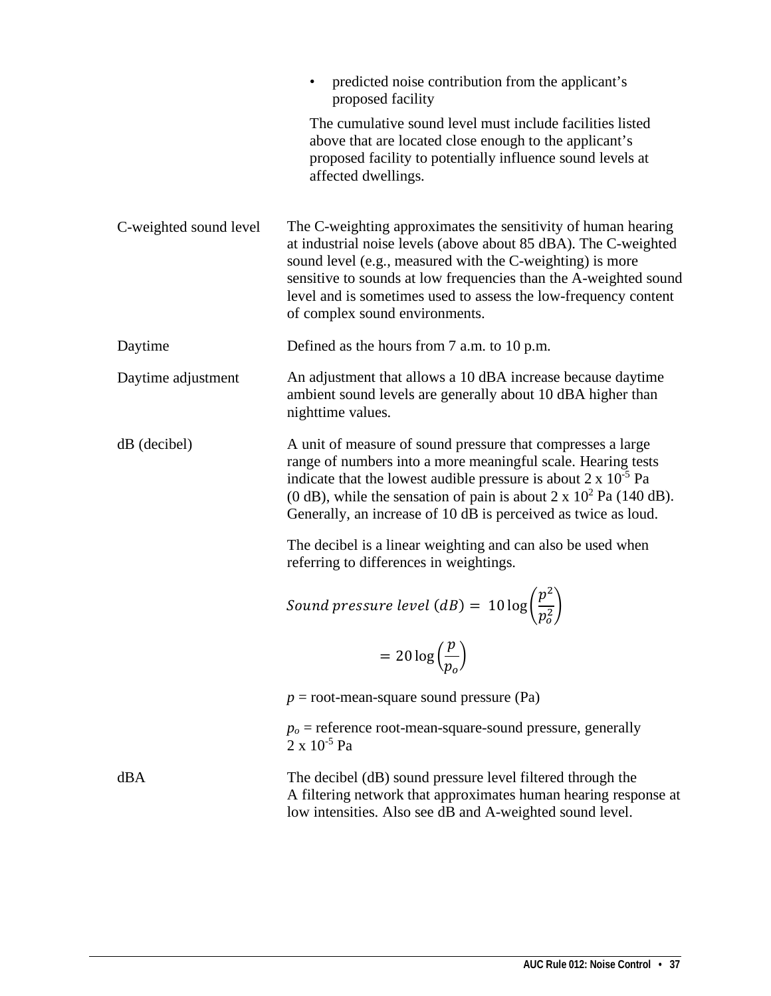|                        | predicted noise contribution from the applicant's<br>proposed facility                                                                                                                                                                                                                                                                                                 |
|------------------------|------------------------------------------------------------------------------------------------------------------------------------------------------------------------------------------------------------------------------------------------------------------------------------------------------------------------------------------------------------------------|
|                        | The cumulative sound level must include facilities listed<br>above that are located close enough to the applicant's<br>proposed facility to potentially influence sound levels at<br>affected dwellings.                                                                                                                                                               |
| C-weighted sound level | The C-weighting approximates the sensitivity of human hearing<br>at industrial noise levels (above about 85 dBA). The C-weighted<br>sound level (e.g., measured with the C-weighting) is more<br>sensitive to sounds at low frequencies than the A-weighted sound<br>level and is sometimes used to assess the low-frequency content<br>of complex sound environments. |
| Daytime                | Defined as the hours from 7 a.m. to 10 p.m.                                                                                                                                                                                                                                                                                                                            |
| Daytime adjustment     | An adjustment that allows a 10 dBA increase because daytime<br>ambient sound levels are generally about 10 dBA higher than<br>nighttime values.                                                                                                                                                                                                                        |
| $dB$ (decibel)         | A unit of measure of sound pressure that compresses a large<br>range of numbers into a more meaningful scale. Hearing tests<br>indicate that the lowest audible pressure is about $2 \times 10^{-5}$ Pa<br>(0 dB), while the sensation of pain is about $2 \times 10^2$ Pa (140 dB).<br>Generally, an increase of 10 dB is perceived as twice as loud.                 |
|                        | The decibel is a linear weighting and can also be used when<br>referring to differences in weightings.                                                                                                                                                                                                                                                                 |
|                        | Sound pressure level (dB) = $10 \log \left(\frac{p^2}{p_o^2}\right)$                                                                                                                                                                                                                                                                                                   |
|                        | $=20\log\left(\frac{p}{p_o}\right)$                                                                                                                                                                                                                                                                                                                                    |
|                        | $p =$ root-mean-square sound pressure (Pa)                                                                                                                                                                                                                                                                                                                             |
|                        | $po$ = reference root-mean-square-sound pressure, generally<br>$2 \times 10^{-5}$ Pa                                                                                                                                                                                                                                                                                   |
| dBA                    | The decibel (dB) sound pressure level filtered through the<br>A filtering network that approximates human hearing response at<br>low intensities. Also see dB and A-weighted sound level.                                                                                                                                                                              |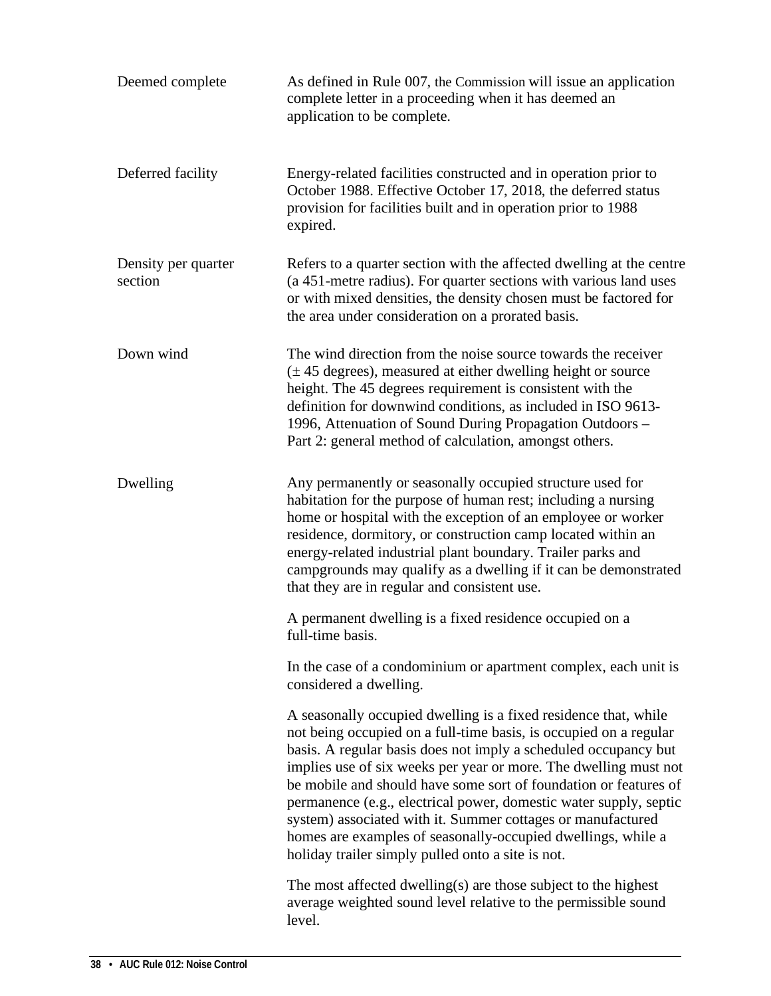| Deemed complete                | As defined in Rule 007, the Commission will issue an application<br>complete letter in a proceeding when it has deemed an<br>application to be complete.                                                                                                                                                                                                                                                                                                                                                                                                                                                 |
|--------------------------------|----------------------------------------------------------------------------------------------------------------------------------------------------------------------------------------------------------------------------------------------------------------------------------------------------------------------------------------------------------------------------------------------------------------------------------------------------------------------------------------------------------------------------------------------------------------------------------------------------------|
| Deferred facility              | Energy-related facilities constructed and in operation prior to<br>October 1988. Effective October 17, 2018, the deferred status<br>provision for facilities built and in operation prior to 1988<br>expired.                                                                                                                                                                                                                                                                                                                                                                                            |
| Density per quarter<br>section | Refers to a quarter section with the affected dwelling at the centre<br>(a 451-metre radius). For quarter sections with various land uses<br>or with mixed densities, the density chosen must be factored for<br>the area under consideration on a prorated basis.                                                                                                                                                                                                                                                                                                                                       |
| Down wind                      | The wind direction from the noise source towards the receiver<br>$(\pm 45$ degrees), measured at either dwelling height or source<br>height. The 45 degrees requirement is consistent with the<br>definition for downwind conditions, as included in ISO 9613-<br>1996, Attenuation of Sound During Propagation Outdoors -<br>Part 2: general method of calculation, amongst others.                                                                                                                                                                                                                     |
| Dwelling                       | Any permanently or seasonally occupied structure used for<br>habitation for the purpose of human rest; including a nursing<br>home or hospital with the exception of an employee or worker<br>residence, dormitory, or construction camp located within an<br>energy-related industrial plant boundary. Trailer parks and<br>campgrounds may qualify as a dwelling if it can be demonstrated<br>that they are in regular and consistent use.                                                                                                                                                             |
|                                | A permanent dwelling is a fixed residence occupied on a<br>full-time basis.                                                                                                                                                                                                                                                                                                                                                                                                                                                                                                                              |
|                                | In the case of a condominium or apartment complex, each unit is<br>considered a dwelling.                                                                                                                                                                                                                                                                                                                                                                                                                                                                                                                |
|                                | A seasonally occupied dwelling is a fixed residence that, while<br>not being occupied on a full-time basis, is occupied on a regular<br>basis. A regular basis does not imply a scheduled occupancy but<br>implies use of six weeks per year or more. The dwelling must not<br>be mobile and should have some sort of foundation or features of<br>permanence (e.g., electrical power, domestic water supply, septic<br>system) associated with it. Summer cottages or manufactured<br>homes are examples of seasonally-occupied dwellings, while a<br>holiday trailer simply pulled onto a site is not. |
|                                | The most affected dwelling(s) are those subject to the highest<br>average weighted sound level relative to the permissible sound<br>level.                                                                                                                                                                                                                                                                                                                                                                                                                                                               |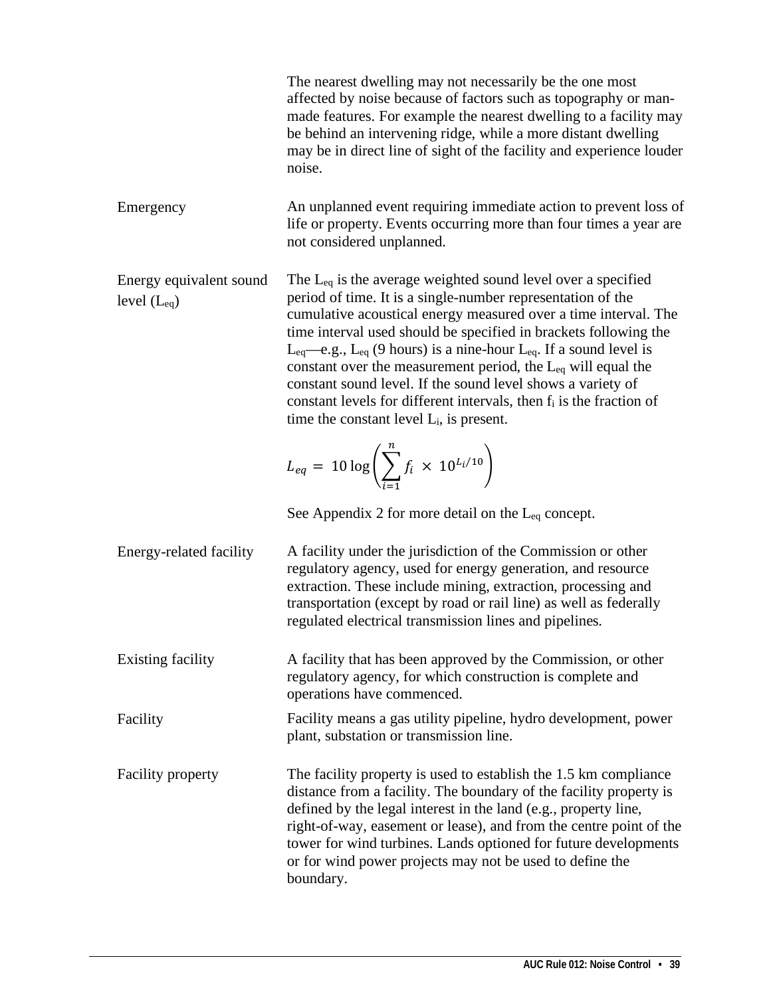The nearest dwelling may not necessarily be the one most affected by noise because of factors such as topography or manmade features. For example the nearest dwelling to a facility may be behind an intervening ridge, while a more distant dwelling may be in direct line of sight of the facility and experience louder noise.

Emergency An unplanned event requiring immediate action to prevent loss of life or property. Events occurring more than four times a year are not considered unplanned.

Energy equivalent sound level  $(L_{eq})$ The L<sub>eq</sub> is the average weighted sound level over a specified period of time. It is a single-number representation of the cumulative acoustical energy measured over a time interval. The time interval used should be specified in brackets following the Leq—e.g., Leq (9 hours) is a nine-hour Leq. If a sound level is constant over the measurement period, the  $L_{eq}$  will equal the constant sound level. If the sound level shows a variety of constant levels for different intervals, then fi is the fraction of time the constant level Li, is present.

$$
L_{eq} = 10 \log \left( \sum_{i=1}^{n} f_i \times 10^{L_i/10} \right)
$$

See Appendix 2 for more detail on the Leq concept.

Energy-related facility A facility under the jurisdiction of the Commission or other regulatory agency, used for energy generation, and resource extraction. These include mining, extraction, processing and transportation (except by road or rail line) as well as federally regulated electrical transmission lines and pipelines.

Existing facility A facility that has been approved by the Commission, or other regulatory agency, for which construction is complete and operations have commenced.

## Facility Facility means a gas utility pipeline, hydro development, power plant, substation or transmission line.

Facility property The facility property is used to establish the 1.5 km compliance distance from a facility. The boundary of the facility property is defined by the legal interest in the land (e.g., property line, right-of-way, easement or lease), and from the centre point of the tower for wind turbines. Lands optioned for future developments or for wind power projects may not be used to define the boundary.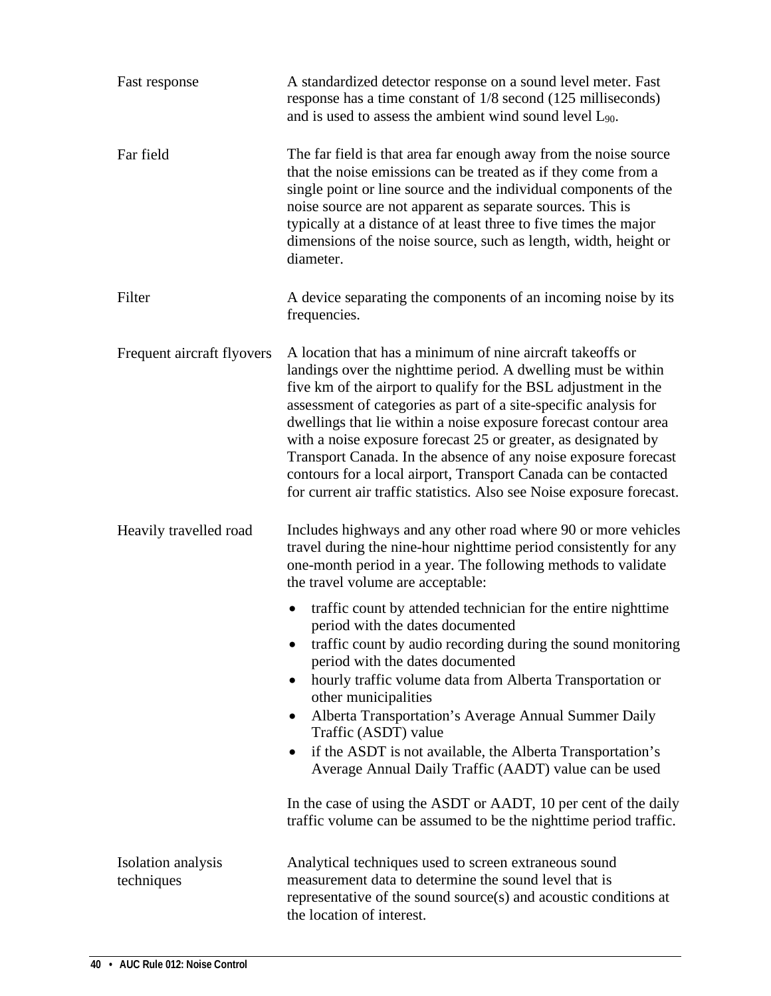| Fast response                    | A standardized detector response on a sound level meter. Fast<br>response has a time constant of 1/8 second (125 milliseconds)<br>and is used to assess the ambient wind sound level $L_{90}$ .                                                                                                                                                                                                                                                                                                                                                                                                                                                                                  |  |
|----------------------------------|----------------------------------------------------------------------------------------------------------------------------------------------------------------------------------------------------------------------------------------------------------------------------------------------------------------------------------------------------------------------------------------------------------------------------------------------------------------------------------------------------------------------------------------------------------------------------------------------------------------------------------------------------------------------------------|--|
| Far field                        | The far field is that area far enough away from the noise source<br>that the noise emissions can be treated as if they come from a<br>single point or line source and the individual components of the<br>noise source are not apparent as separate sources. This is<br>typically at a distance of at least three to five times the major<br>dimensions of the noise source, such as length, width, height or<br>diameter.                                                                                                                                                                                                                                                       |  |
| Filter                           | A device separating the components of an incoming noise by its<br>frequencies.                                                                                                                                                                                                                                                                                                                                                                                                                                                                                                                                                                                                   |  |
| Frequent aircraft flyovers       | A location that has a minimum of nine aircraft takeoffs or<br>landings over the nighttime period. A dwelling must be within<br>five km of the airport to qualify for the BSL adjustment in the<br>assessment of categories as part of a site-specific analysis for<br>dwellings that lie within a noise exposure forecast contour area<br>with a noise exposure forecast 25 or greater, as designated by<br>Transport Canada. In the absence of any noise exposure forecast<br>contours for a local airport, Transport Canada can be contacted<br>for current air traffic statistics. Also see Noise exposure forecast.                                                          |  |
| Heavily travelled road           | Includes highways and any other road where 90 or more vehicles<br>travel during the nine-hour nighttime period consistently for any<br>one-month period in a year. The following methods to validate<br>the travel volume are acceptable:                                                                                                                                                                                                                                                                                                                                                                                                                                        |  |
|                                  | traffic count by attended technician for the entire nighttime<br>period with the dates documented<br>traffic count by audio recording during the sound monitoring<br>$\bullet$<br>period with the dates documented<br>hourly traffic volume data from Alberta Transportation or<br>other municipalities<br>Alberta Transportation's Average Annual Summer Daily<br>$\bullet$<br>Traffic (ASDT) value<br>if the ASDT is not available, the Alberta Transportation's<br>$\bullet$<br>Average Annual Daily Traffic (AADT) value can be used<br>In the case of using the ASDT or AADT, 10 per cent of the daily<br>traffic volume can be assumed to be the nighttime period traffic. |  |
| Isolation analysis<br>techniques | Analytical techniques used to screen extraneous sound<br>measurement data to determine the sound level that is<br>representative of the sound source(s) and acoustic conditions at<br>the location of interest.                                                                                                                                                                                                                                                                                                                                                                                                                                                                  |  |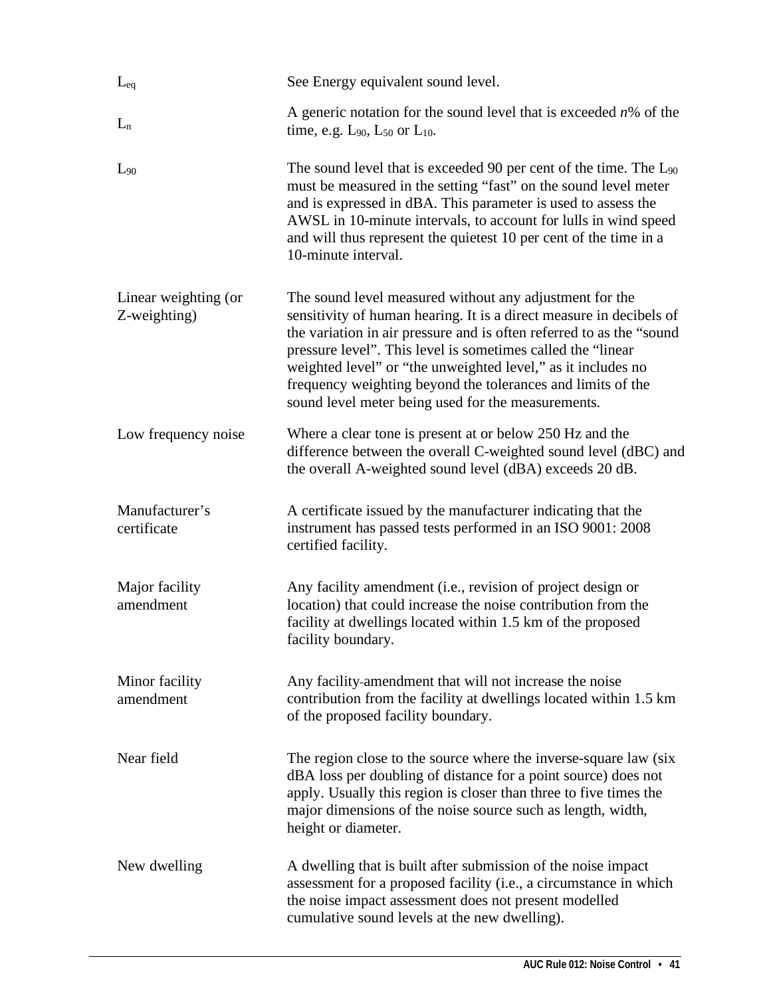| $L_{eq}$                             | See Energy equivalent sound level.                                                                                                                                                                                                                                                                                                                                                                                                                          |  |
|--------------------------------------|-------------------------------------------------------------------------------------------------------------------------------------------------------------------------------------------------------------------------------------------------------------------------------------------------------------------------------------------------------------------------------------------------------------------------------------------------------------|--|
| $L_n$                                | A generic notation for the sound level that is exceeded $n\%$ of the<br>time, e.g. $L_{90}$ , $L_{50}$ or $L_{10}$ .                                                                                                                                                                                                                                                                                                                                        |  |
| $L_{90}$                             | The sound level that is exceeded 90 per cent of the time. The $L_{90}$<br>must be measured in the setting "fast" on the sound level meter<br>and is expressed in dBA. This parameter is used to assess the<br>AWSL in 10-minute intervals, to account for lulls in wind speed<br>and will thus represent the quietest 10 per cent of the time in a<br>10-minute interval.                                                                                   |  |
| Linear weighting (or<br>Z-weighting) | The sound level measured without any adjustment for the<br>sensitivity of human hearing. It is a direct measure in decibels of<br>the variation in air pressure and is often referred to as the "sound<br>pressure level". This level is sometimes called the "linear"<br>weighted level" or "the unweighted level," as it includes no<br>frequency weighting beyond the tolerances and limits of the<br>sound level meter being used for the measurements. |  |
| Low frequency noise                  | Where a clear tone is present at or below 250 Hz and the<br>difference between the overall C-weighted sound level (dBC) and<br>the overall A-weighted sound level (dBA) exceeds 20 dB.                                                                                                                                                                                                                                                                      |  |
| Manufacturer's<br>certificate        | A certificate issued by the manufacturer indicating that the<br>instrument has passed tests performed in an ISO 9001: 2008<br>certified facility.                                                                                                                                                                                                                                                                                                           |  |
| Major facility<br>amendment          | Any facility amendment (i.e., revision of project design or<br>location) that could increase the noise contribution from the<br>facility at dwellings located within 1.5 km of the proposed<br>facility boundary.                                                                                                                                                                                                                                           |  |
| Minor facility<br>amendment          | Any facility-amendment that will not increase the noise<br>contribution from the facility at dwellings located within 1.5 km<br>of the proposed facility boundary.                                                                                                                                                                                                                                                                                          |  |
| Near field                           | The region close to the source where the inverse-square law (six<br>dBA loss per doubling of distance for a point source) does not<br>apply. Usually this region is closer than three to five times the<br>major dimensions of the noise source such as length, width,<br>height or diameter.                                                                                                                                                               |  |
| New dwelling                         | A dwelling that is built after submission of the noise impact<br>assessment for a proposed facility (i.e., a circumstance in which<br>the noise impact assessment does not present modelled<br>cumulative sound levels at the new dwelling).                                                                                                                                                                                                                |  |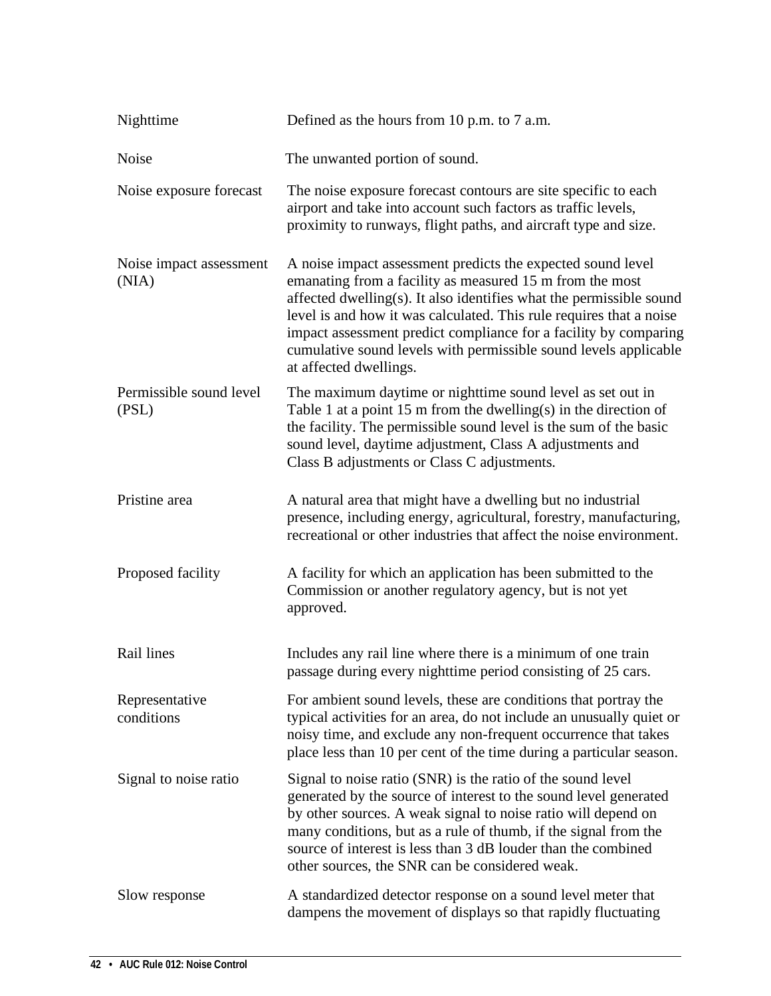| Nighttime                        | Defined as the hours from 10 p.m. to 7 a.m.                                                                                                                                                                                                                                                                                                                                                                                             |  |
|----------------------------------|-----------------------------------------------------------------------------------------------------------------------------------------------------------------------------------------------------------------------------------------------------------------------------------------------------------------------------------------------------------------------------------------------------------------------------------------|--|
| Noise                            | The unwanted portion of sound.                                                                                                                                                                                                                                                                                                                                                                                                          |  |
| Noise exposure forecast          | The noise exposure forecast contours are site specific to each<br>airport and take into account such factors as traffic levels,<br>proximity to runways, flight paths, and aircraft type and size.                                                                                                                                                                                                                                      |  |
| Noise impact assessment<br>(NIA) | A noise impact assessment predicts the expected sound level<br>emanating from a facility as measured 15 m from the most<br>affected dwelling(s). It also identifies what the permissible sound<br>level is and how it was calculated. This rule requires that a noise<br>impact assessment predict compliance for a facility by comparing<br>cumulative sound levels with permissible sound levels applicable<br>at affected dwellings. |  |
| Permissible sound level<br>(PSL) | The maximum daytime or nighttime sound level as set out in<br>Table 1 at a point 15 m from the dwelling(s) in the direction of<br>the facility. The permissible sound level is the sum of the basic<br>sound level, daytime adjustment, Class A adjustments and<br>Class B adjustments or Class C adjustments.                                                                                                                          |  |
| Pristine area                    | A natural area that might have a dwelling but no industrial<br>presence, including energy, agricultural, forestry, manufacturing,<br>recreational or other industries that affect the noise environment.                                                                                                                                                                                                                                |  |
| Proposed facility                | A facility for which an application has been submitted to the<br>Commission or another regulatory agency, but is not yet<br>approved.                                                                                                                                                                                                                                                                                                   |  |
| Rail lines                       | Includes any rail line where there is a minimum of one train<br>passage during every nighttime period consisting of 25 cars.                                                                                                                                                                                                                                                                                                            |  |
| Representative<br>conditions     | For ambient sound levels, these are conditions that portray the<br>typical activities for an area, do not include an unusually quiet or<br>noisy time, and exclude any non-frequent occurrence that takes<br>place less than 10 per cent of the time during a particular season.                                                                                                                                                        |  |
| Signal to noise ratio            | Signal to noise ratio (SNR) is the ratio of the sound level<br>generated by the source of interest to the sound level generated<br>by other sources. A weak signal to noise ratio will depend on<br>many conditions, but as a rule of thumb, if the signal from the<br>source of interest is less than 3 dB louder than the combined<br>other sources, the SNR can be considered weak.                                                  |  |
| Slow response                    | A standardized detector response on a sound level meter that<br>dampens the movement of displays so that rapidly fluctuating                                                                                                                                                                                                                                                                                                            |  |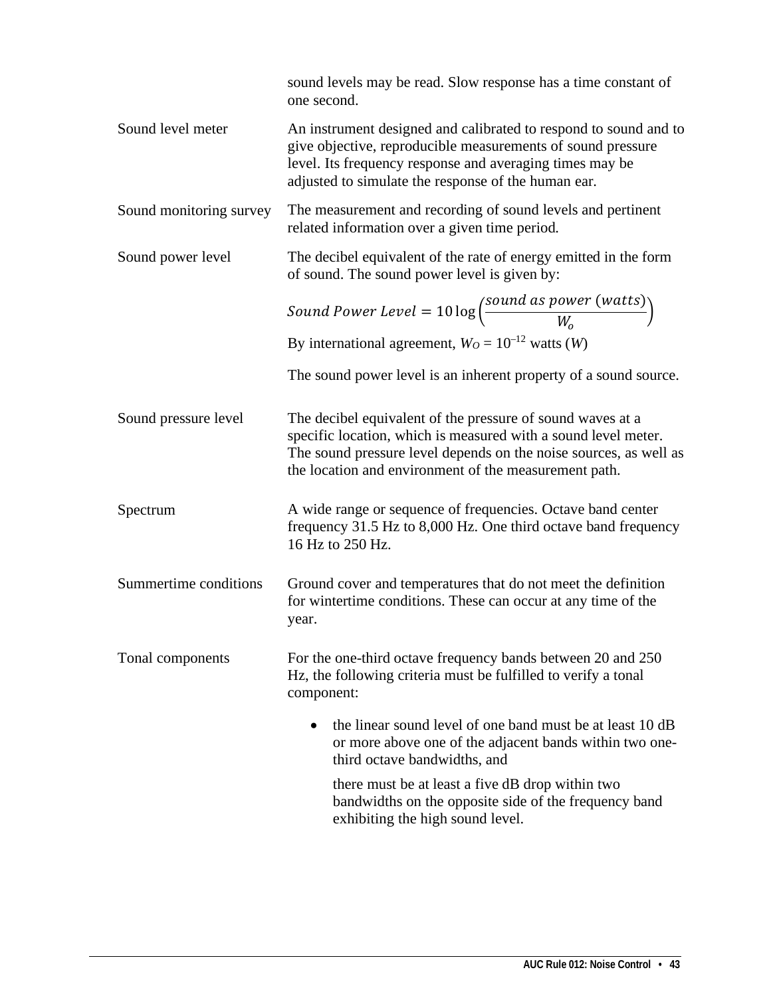|                         | sound levels may be read. Slow response has a time constant of<br>one second.                                                                                                                                                                              |  |  |
|-------------------------|------------------------------------------------------------------------------------------------------------------------------------------------------------------------------------------------------------------------------------------------------------|--|--|
| Sound level meter       | An instrument designed and calibrated to respond to sound and to<br>give objective, reproducible measurements of sound pressure<br>level. Its frequency response and averaging times may be<br>adjusted to simulate the response of the human ear.         |  |  |
| Sound monitoring survey | The measurement and recording of sound levels and pertinent<br>related information over a given time period.                                                                                                                                               |  |  |
| Sound power level       | The decibel equivalent of the rate of energy emitted in the form<br>of sound. The sound power level is given by:                                                                                                                                           |  |  |
|                         | Sound Power Level = $10 \log \left( \frac{\text{sound as power (watts)}}{W_0} \right)$                                                                                                                                                                     |  |  |
|                         | By international agreement, $W_O = 10^{-12}$ watts (W)                                                                                                                                                                                                     |  |  |
|                         | The sound power level is an inherent property of a sound source.                                                                                                                                                                                           |  |  |
| Sound pressure level    | The decibel equivalent of the pressure of sound waves at a<br>specific location, which is measured with a sound level meter.<br>The sound pressure level depends on the noise sources, as well as<br>the location and environment of the measurement path. |  |  |
| Spectrum                | A wide range or sequence of frequencies. Octave band center<br>frequency 31.5 Hz to 8,000 Hz. One third octave band frequency<br>16 Hz to 250 Hz.                                                                                                          |  |  |
| Summertime conditions   | Ground cover and temperatures that do not meet the definition<br>for wintertime conditions. These can occur at any time of the<br>year.                                                                                                                    |  |  |
| Tonal components        | For the one-third octave frequency bands between 20 and 250<br>Hz, the following criteria must be fulfilled to verify a tonal<br>component:                                                                                                                |  |  |
|                         | the linear sound level of one band must be at least 10 dB<br>or more above one of the adjacent bands within two one-<br>third octave bandwidths, and                                                                                                       |  |  |
|                         | there must be at least a five dB drop within two<br>bandwidths on the opposite side of the frequency band<br>exhibiting the high sound level.                                                                                                              |  |  |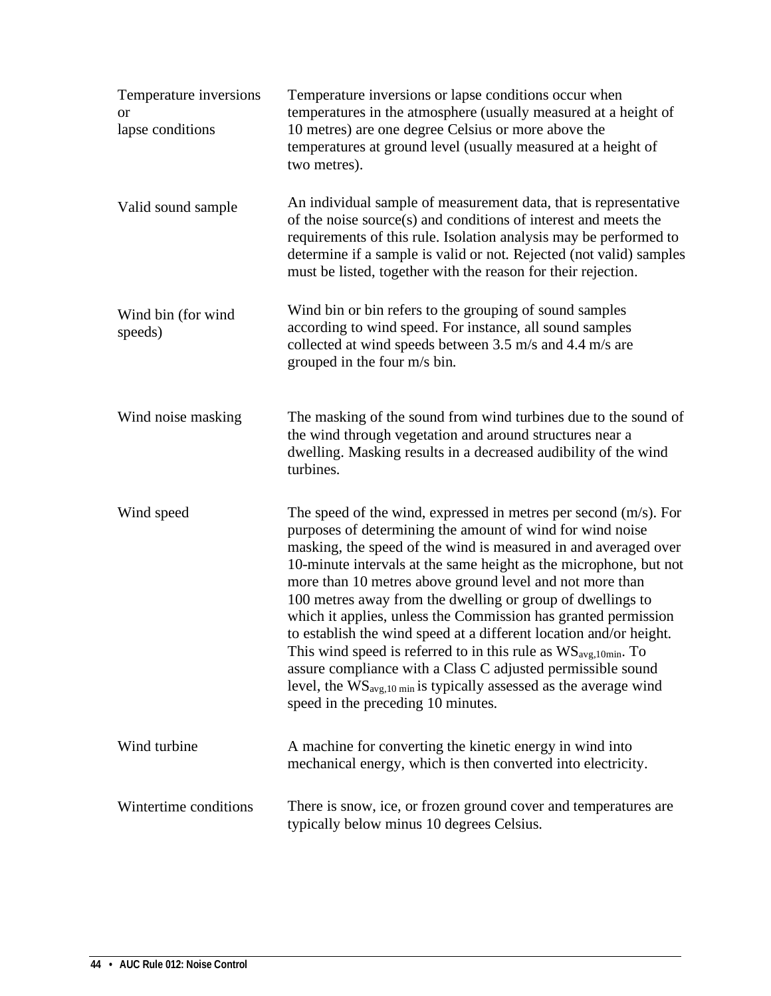| Temperature inversions<br>or<br>lapse conditions | Temperature inversions or lapse conditions occur when<br>temperatures in the atmosphere (usually measured at a height of<br>10 metres) are one degree Celsius or more above the<br>temperatures at ground level (usually measured at a height of<br>two metres).                                                                                                                                                                                                                                                                                                                                                                                                                                                                                                                                          |
|--------------------------------------------------|-----------------------------------------------------------------------------------------------------------------------------------------------------------------------------------------------------------------------------------------------------------------------------------------------------------------------------------------------------------------------------------------------------------------------------------------------------------------------------------------------------------------------------------------------------------------------------------------------------------------------------------------------------------------------------------------------------------------------------------------------------------------------------------------------------------|
| Valid sound sample                               | An individual sample of measurement data, that is representative<br>of the noise source(s) and conditions of interest and meets the<br>requirements of this rule. Isolation analysis may be performed to<br>determine if a sample is valid or not. Rejected (not valid) samples<br>must be listed, together with the reason for their rejection.                                                                                                                                                                                                                                                                                                                                                                                                                                                          |
| Wind bin (for wind<br>speeds)                    | Wind bin or bin refers to the grouping of sound samples<br>according to wind speed. For instance, all sound samples<br>collected at wind speeds between 3.5 m/s and 4.4 m/s are<br>grouped in the four m/s bin.                                                                                                                                                                                                                                                                                                                                                                                                                                                                                                                                                                                           |
| Wind noise masking                               | The masking of the sound from wind turbines due to the sound of<br>the wind through vegetation and around structures near a<br>dwelling. Masking results in a decreased audibility of the wind<br>turbines.                                                                                                                                                                                                                                                                                                                                                                                                                                                                                                                                                                                               |
| Wind speed                                       | The speed of the wind, expressed in metres per second $(m/s)$ . For<br>purposes of determining the amount of wind for wind noise<br>masking, the speed of the wind is measured in and averaged over<br>10-minute intervals at the same height as the microphone, but not<br>more than 10 metres above ground level and not more than<br>100 metres away from the dwelling or group of dwellings to<br>which it applies, unless the Commission has granted permission<br>to establish the wind speed at a different location and/or height.<br>This wind speed is referred to in this rule as $WS_{avg,10min}$ . To<br>assure compliance with a Class C adjusted permissible sound<br>level, the $WS_{avg,10 \text{ min}}$ is typically assessed as the average wind<br>speed in the preceding 10 minutes. |
| Wind turbine                                     | A machine for converting the kinetic energy in wind into<br>mechanical energy, which is then converted into electricity.                                                                                                                                                                                                                                                                                                                                                                                                                                                                                                                                                                                                                                                                                  |
| Wintertime conditions                            | There is snow, ice, or frozen ground cover and temperatures are<br>typically below minus 10 degrees Celsius.                                                                                                                                                                                                                                                                                                                                                                                                                                                                                                                                                                                                                                                                                              |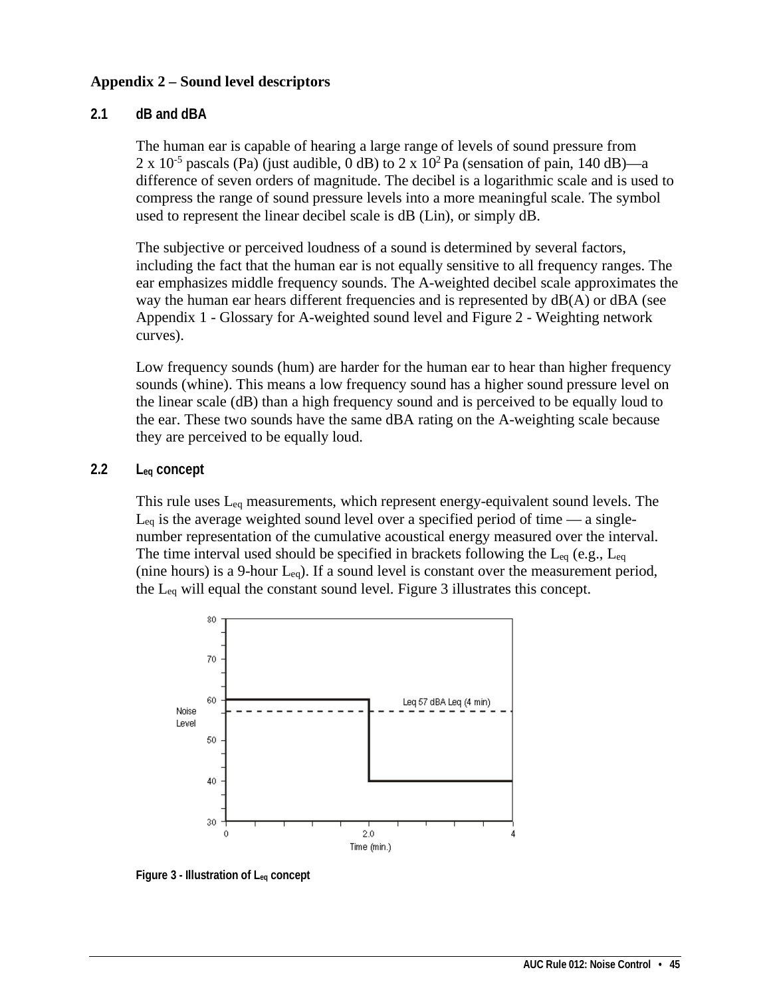### **Appendix 2 – Sound level descriptors**

### **2.1 dB and dBA**

The human ear is capable of hearing a large range of levels of sound pressure from 2 x 10<sup>-5</sup> pascals (Pa) (just audible, 0 dB) to 2 x 10<sup>2</sup> Pa (sensation of pain, 140 dB)—a difference of seven orders of magnitude. The decibel is a logarithmic scale and is used to compress the range of sound pressure levels into a more meaningful scale. The symbol used to represent the linear decibel scale is dB (Lin), or simply dB.

The subjective or perceived loudness of a sound is determined by several factors, including the fact that the human ear is not equally sensitive to all frequency ranges. The ear emphasizes middle frequency sounds. The A-weighted decibel scale approximates the way the human ear hears different frequencies and is represented by dB(A) or dBA (see Appendix 1 - Glossary for A-weighted sound level and Figure 2 - Weighting network curves).

Low frequency sounds (hum) are harder for the human ear to hear than higher frequency sounds (whine). This means a low frequency sound has a higher sound pressure level on the linear scale (dB) than a high frequency sound and is perceived to be equally loud to the ear. These two sounds have the same dBA rating on the A-weighting scale because they are perceived to be equally loud.

### **2.2 Leq concept**

This rule uses Leq measurements, which represent energy-equivalent sound levels. The  $L_{eq}$  is the average weighted sound level over a specified period of time — a singlenumber representation of the cumulative acoustical energy measured over the interval. The time interval used should be specified in brackets following the  $L_{eq}$  (e.g.,  $L_{eq}$ ) (nine hours) is a 9-hour  $L_{eq}$ ). If a sound level is constant over the measurement period, the Leq will equal the constant sound level. Figure 3 illustrates this concept.



**Figure 3 - Illustration of Leq concept**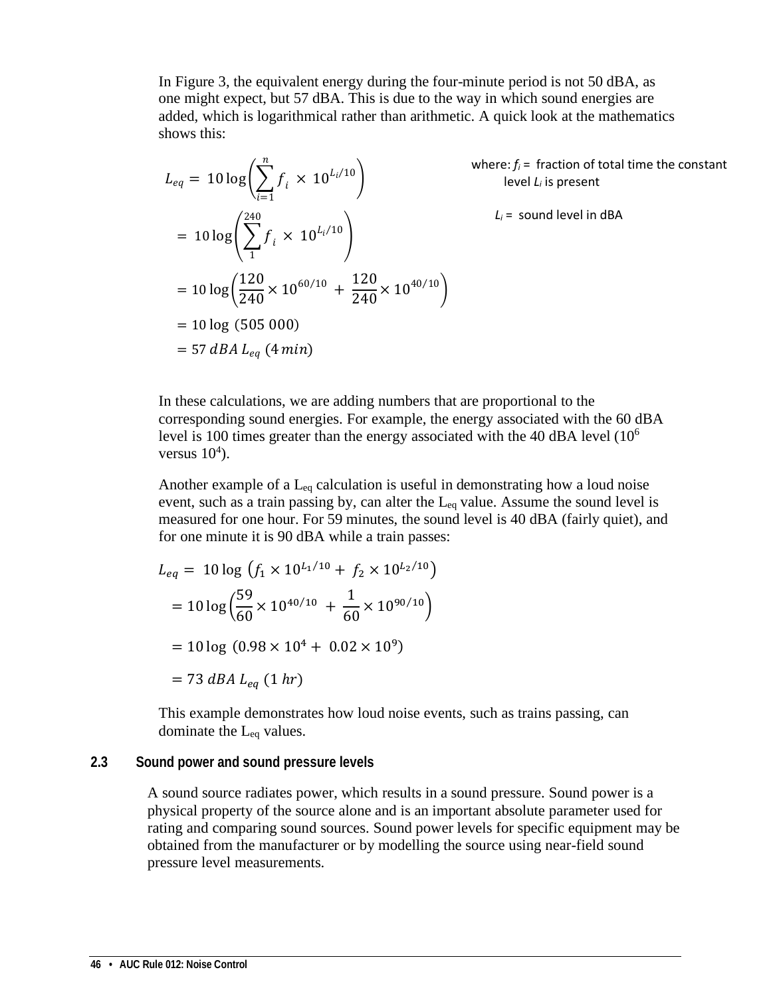In Figure 3, the equivalent energy during the four-minute period is not 50 dBA, as one might expect, but 57 dBA. This is due to the way in which sound energies are added, which is logarithmical rather than arithmetic. A quick look at the mathematics shows this:

$$
L_{eq} = 10 \log \left( \sum_{i=1}^{n} f_i \times 10^{L_i/10} \right)
$$
  
=  $10 \log \left( \sum_{1}^{240} f_i \times 10^{L_i/10} \right)$   
=  $10 \log \left( \frac{120}{240} \times 10^{60/10} + \frac{120}{240} \times 10^{40/10} \right)$   
=  $10 \log (505 000)$   
= 57 dBA L<sub>eq</sub> (4 min)

where:  $f_i$  = fraction of total time the constant level *Li* is present

 $L_i$  = sound level in dBA

In these calculations, we are adding numbers that are proportional to the corresponding sound energies. For example, the energy associated with the 60 dBA level is 100 times greater than the energy associated with the 40 dBA level (10<sup>6</sup>) versus  $10<sup>4</sup>$ ).

Another example of a  $L_{eq}$  calculation is useful in demonstrating how a loud noise event, such as a train passing by, can alter the Leq value. Assume the sound level is measured for one hour. For 59 minutes, the sound level is 40 dBA (fairly quiet), and for one minute it is 90 dBA while a train passes:

$$
L_{eq} = 10 \log \left( f_1 \times 10^{L_1/10} + f_2 \times 10^{L_2/10} \right)
$$
  
=  $10 \log \left( \frac{59}{60} \times 10^{40/10} + \frac{1}{60} \times 10^{90/10} \right)$   
=  $10 \log (0.98 \times 10^4 + 0.02 \times 10^9)$   
= 73 dBA L<sub>eq</sub> (1 hr)

This example demonstrates how loud noise events, such as trains passing, can dominate the Leq values.

### **2.3 Sound power and sound pressure levels**

A sound source radiates power, which results in a sound pressure. Sound power is a physical property of the source alone and is an important absolute parameter used for rating and comparing sound sources. Sound power levels for specific equipment may be obtained from the manufacturer or by modelling the source using near-field sound pressure level measurements.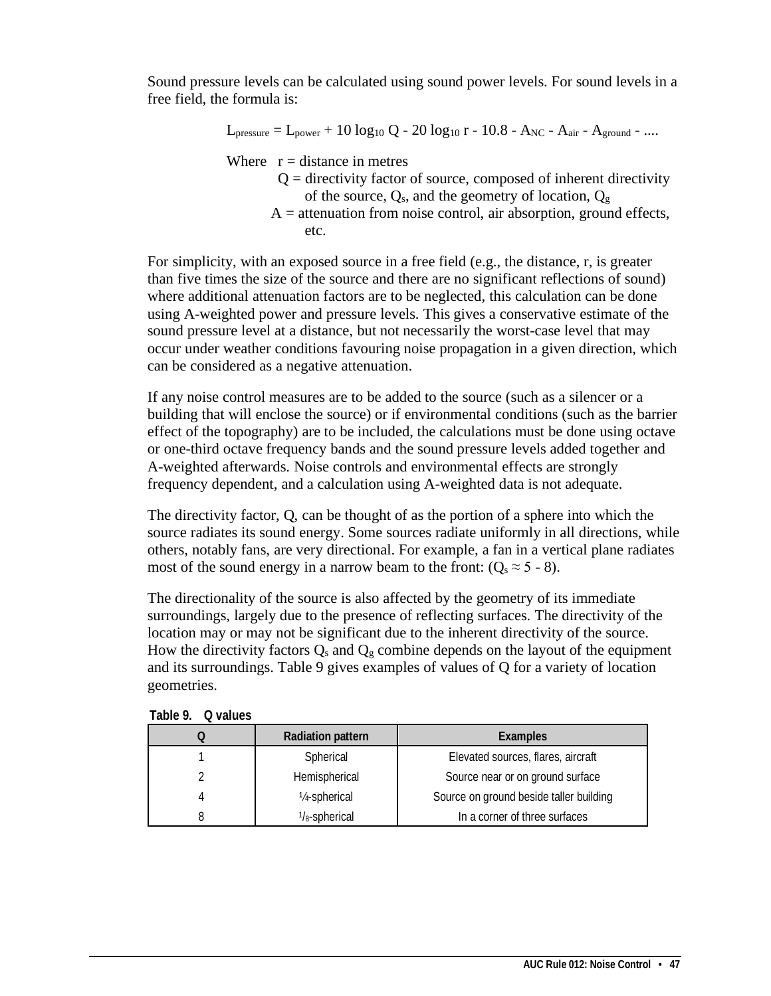Sound pressure levels can be calculated using sound power levels. For sound levels in a free field, the formula is:

$$
L_{pressure} = L_{power} + 10 log_{10} Q - 20 log_{10} r - 10.8 - A_{NC} - A_{air} - A_{ground} - ....
$$

Where  $r = distance$  in metres

- $Q =$  directivity factor of source, composed of inherent directivity of the source,  $Q_s$ , and the geometry of location,  $Q_g$
- $A =$  attenuation from noise control, air absorption, ground effects, etc.

For simplicity, with an exposed source in a free field (e.g., the distance, r, is greater than five times the size of the source and there are no significant reflections of sound) where additional attenuation factors are to be neglected, this calculation can be done using A-weighted power and pressure levels. This gives a conservative estimate of the sound pressure level at a distance, but not necessarily the worst-case level that may occur under weather conditions favouring noise propagation in a given direction, which can be considered as a negative attenuation.

If any noise control measures are to be added to the source (such as a silencer or a building that will enclose the source) or if environmental conditions (such as the barrier effect of the topography) are to be included, the calculations must be done using octave or one-third octave frequency bands and the sound pressure levels added together and A-weighted afterwards. Noise controls and environmental effects are strongly frequency dependent, and a calculation using A-weighted data is not adequate.

The directivity factor, Q, can be thought of as the portion of a sphere into which the source radiates its sound energy. Some sources radiate uniformly in all directions, while others, notably fans, are very directional. For example, a fan in a vertical plane radiates most of the sound energy in a narrow beam to the front:  $(Q_s \approx 5 - 8)$ .

The directionality of the source is also affected by the geometry of its immediate surroundings, largely due to the presence of reflecting surfaces. The directivity of the location may or may not be significant due to the inherent directivity of the source. How the directivity factors  $Q_s$  and  $Q_g$  combine depends on the layout of the equipment and its surroundings. Table 9 gives examples of values of Q for a variety of location geometries.

| <b>Radiation pattern</b>   | <b>Examples</b>                         |  |
|----------------------------|-----------------------------------------|--|
| Spherical                  | Elevated sources, flares, aircraft      |  |
| Hemispherical              | Source near or on ground surface        |  |
| 1/ <sub>4</sub> -spherical | Source on ground beside taller building |  |
| $1/s$ -spherical           | In a corner of three surfaces           |  |

**Table 9. Q values**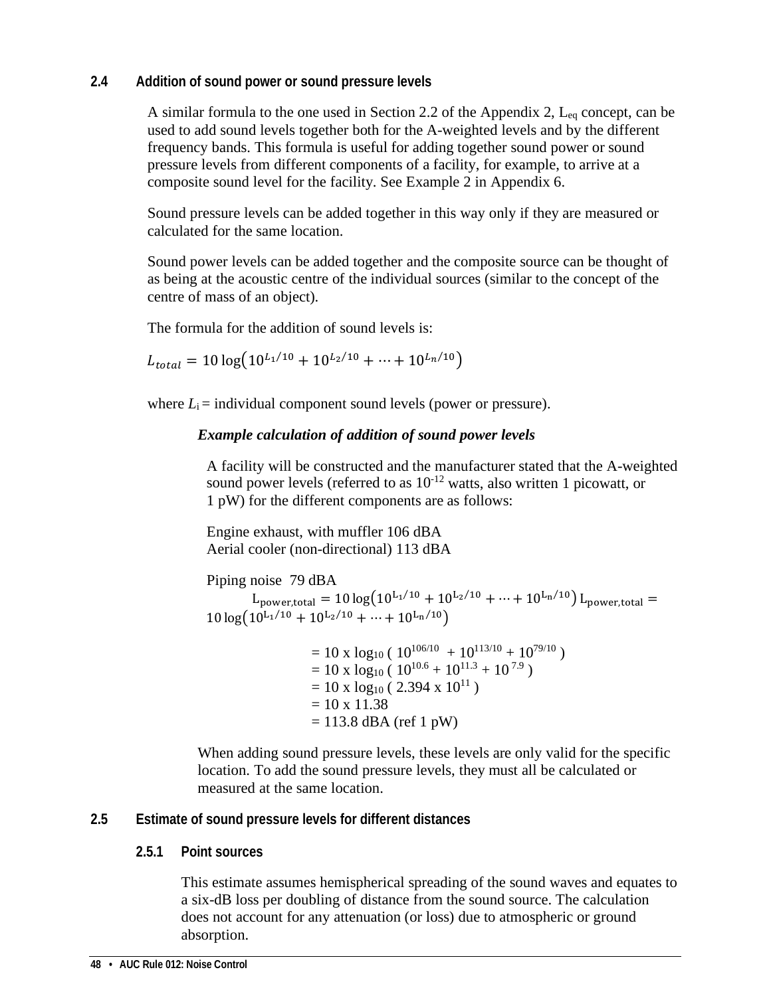### **2.4 Addition of sound power or sound pressure levels**

A similar formula to the one used in Section 2.2 of the Appendix 2,  $L_{eq}$  concept, can be used to add sound levels together both for the A-weighted levels and by the different frequency bands. This formula is useful for adding together sound power or sound pressure levels from different components of a facility, for example, to arrive at a composite sound level for the facility. See Example 2 in Appendix 6.

Sound pressure levels can be added together in this way only if they are measured or calculated for the same location.

Sound power levels can be added together and the composite source can be thought of as being at the acoustic centre of the individual sources (similar to the concept of the centre of mass of an object).

The formula for the addition of sound levels is:

 $L_{total} = 10 \log \left( 10^{L_1/10} + 10^{L_2/10} + \cdots + 10^{L_n/10} \right)$ 

where  $L_i$  = individual component sound levels (power or pressure).

## *Example calculation of addition of sound power levels*

A facility will be constructed and the manufacturer stated that the A-weighted sound power levels (referred to as  $10^{-12}$  watts, also written 1 picowatt, or 1 pW) for the different components are as follows:

Engine exhaust, with muffler 106 dBA Aerial cooler (non-directional) 113 dBA

```
Piping noise 79 dBA 
L_{power, total} = 10 \log(10^{L_1/10} + 10^{L_2/10} + \cdots + 10^{L_n/10}) L_{power, total} =10 \log(10^{\mathrm{L}_1/10} + 10^{\mathrm{L}_2/10} + \cdots + 10^{\mathrm{L}_n/10})
```
 $= 10 \times log_{10} (10^{106/10} + 10^{113/10} + 10^{79/10})$  $= 10 \times \log_{10} (10^{10.6} + 10^{11.3} + 10^{7.9})$  $= 10 \times log_{10} (2.394 \times 10^{11})$  $= 10 \times 11.38$  $= 113.8$  dBA (ref 1 pW)

When adding sound pressure levels, these levels are only valid for the specific location. To add the sound pressure levels, they must all be calculated or measured at the same location.

## **2.5 Estimate of sound pressure levels for different distances**

## **2.5.1 Point sources**

This estimate assumes hemispherical spreading of the sound waves and equates to a six-dB loss per doubling of distance from the sound source. The calculation does not account for any attenuation (or loss) due to atmospheric or ground absorption.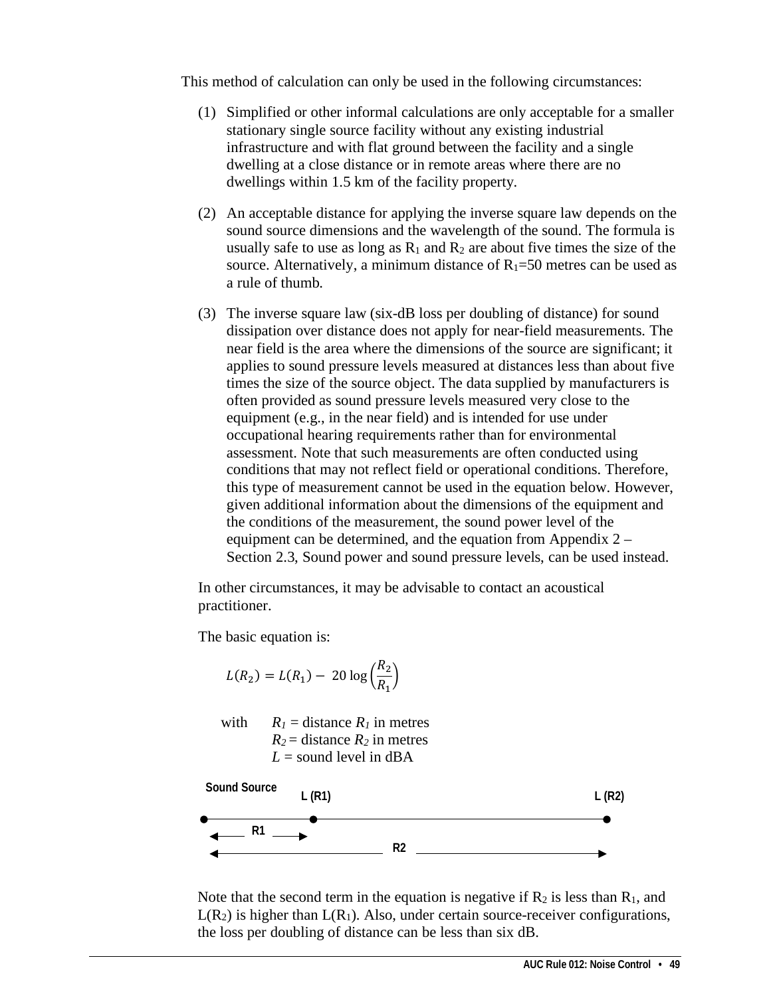This method of calculation can only be used in the following circumstances:

- (1) Simplified or other informal calculations are only acceptable for a smaller stationary single source facility without any existing industrial infrastructure and with flat ground between the facility and a single dwelling at a close distance or in remote areas where there are no dwellings within 1.5 km of the facility property.
- (2) An acceptable distance for applying the inverse square law depends on the sound source dimensions and the wavelength of the sound. The formula is usually safe to use as long as  $R_1$  and  $R_2$  are about five times the size of the source. Alternatively, a minimum distance of  $R_1=50$  metres can be used as a rule of thumb.
- (3) The inverse square law (six-dB loss per doubling of distance) for sound dissipation over distance does not apply for near-field measurements. The near field is the area where the dimensions of the source are significant; it applies to sound pressure levels measured at distances less than about five times the size of the source object. The data supplied by manufacturers is often provided as sound pressure levels measured very close to the equipment (e.g., in the near field) and is intended for use under occupational hearing requirements rather than for environmental assessment. Note that such measurements are often conducted using conditions that may not reflect field or operational conditions. Therefore, this type of measurement cannot be used in the equation below. However, given additional information about the dimensions of the equipment and the conditions of the measurement, the sound power level of the equipment can be determined, and the equation from Appendix 2 – Section 2.3, Sound power and sound pressure levels, can be used instead.

In other circumstances, it may be advisable to contact an acoustical practitioner.

The basic equation is:

$$
L(R_2) = L(R_1) - 20 \log \left(\frac{R_2}{R_1}\right)
$$

with  $R_1 = \text{distance } R_1$  in metres  $R_2$  = distance  $R_2$  in metres  $L =$ sound level in dBA



Note that the second term in the equation is negative if  $R_2$  is less than  $R_1$ , and  $L(R_2)$  is higher than  $L(R_1)$ . Also, under certain source-receiver configurations, the loss per doubling of distance can be less than six dB.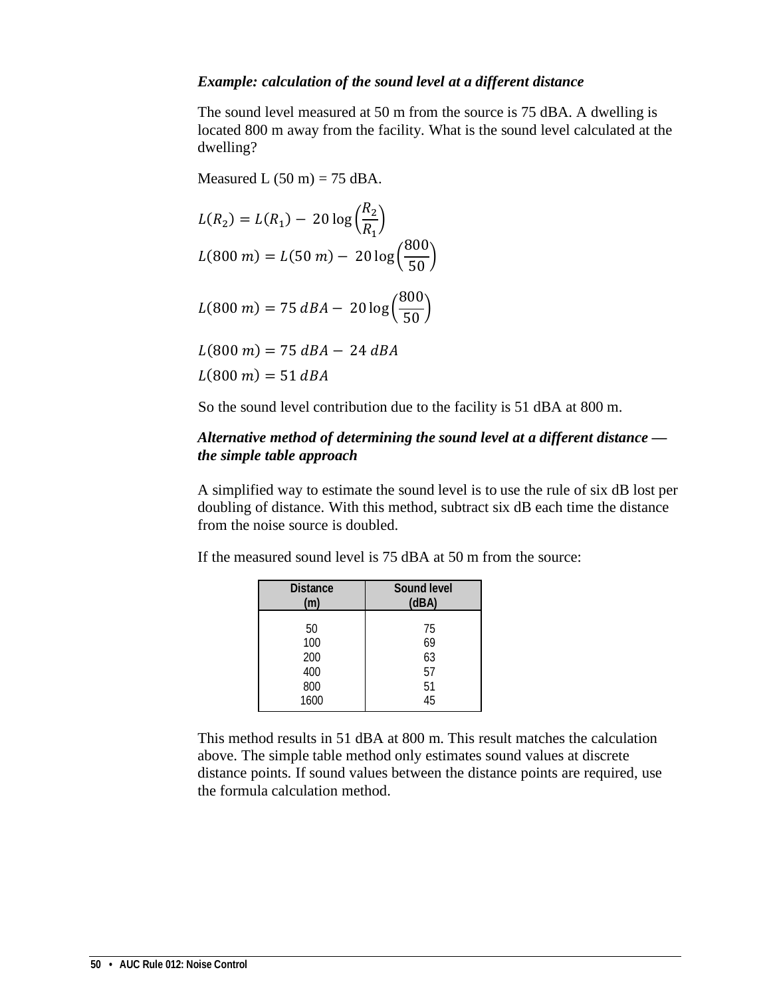### *Example: calculation of the sound level at a different distance*

The sound level measured at 50 m from the source is 75 dBA. A dwelling is located 800 m away from the facility. What is the sound level calculated at the dwelling?

Measured L  $(50 \text{ m}) = 75 \text{ dBA}$ .

$$
L(R_2) = L(R_1) - 20 \log \left(\frac{R_2}{R_1}\right)
$$
  

$$
L(800 \text{ m}) = L(50 \text{ m}) - 20 \log \left(\frac{800}{50}\right)
$$
  

$$
L(800 \text{ m}) = 75 \text{ d}BA - 20 \log \left(\frac{800}{50}\right)
$$

 $L(800 \text{ m}) = 75 \text{ dB} - 24 \text{ dB}$ 

 $L(800 \, m) = 51 \, dBA$ 

So the sound level contribution due to the facility is 51 dBA at 800 m.

### *Alternative method of determining the sound level at a different distance the simple table approach*

A simplified way to estimate the sound level is to use the rule of six dB lost per doubling of distance. With this method, subtract six dB each time the distance from the noise source is doubled.

If the measured sound level is 75 dBA at 50 m from the source:

| <b>Distance</b> | Sound level |
|-----------------|-------------|
| (m)             | (dBA)       |
| 50              | 75          |
| 100             | 69          |
| 200             | 63          |
| 400             | 57          |
| 800             | 51          |
| 1600            | 45          |

This method results in 51 dBA at 800 m. This result matches the calculation above. The simple table method only estimates sound values at discrete distance points. If sound values between the distance points are required, use the formula calculation method.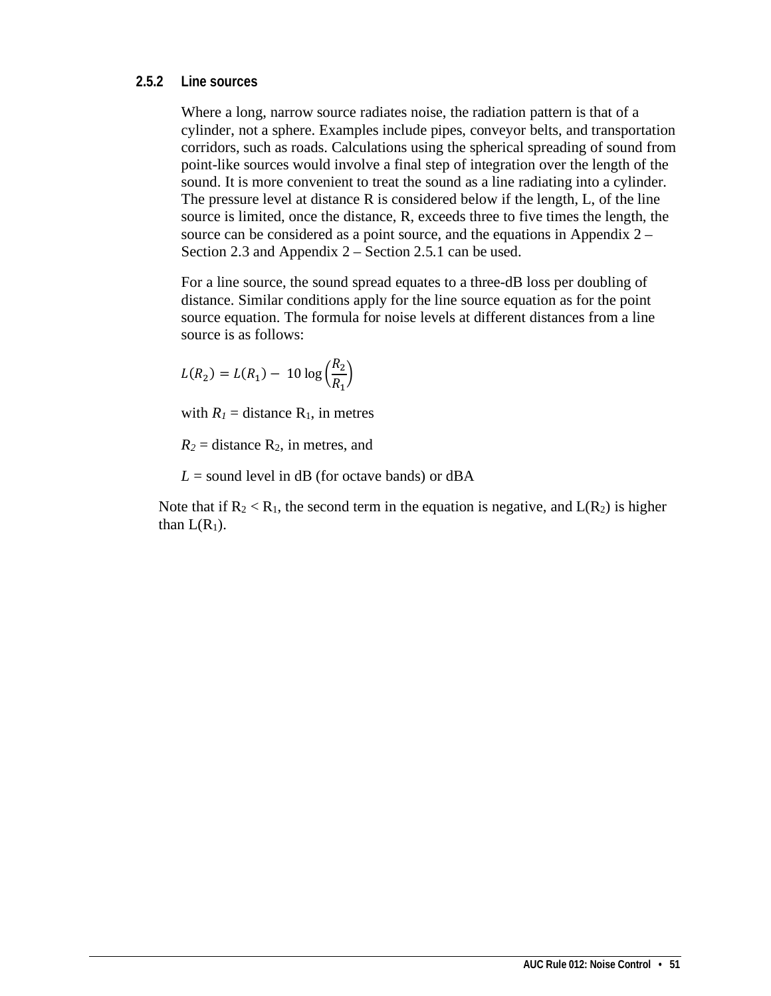### **2.5.2 Line sources**

Where a long, narrow source radiates noise, the radiation pattern is that of a cylinder, not a sphere. Examples include pipes, conveyor belts, and transportation corridors, such as roads. Calculations using the spherical spreading of sound from point-like sources would involve a final step of integration over the length of the sound. It is more convenient to treat the sound as a line radiating into a cylinder. The pressure level at distance R is considered below if the length, L, of the line source is limited, once the distance, R, exceeds three to five times the length, the source can be considered as a point source, and the equations in Appendix 2 – Section 2.3 and Appendix 2 – Section 2.5.1 can be used.

For a line source, the sound spread equates to a three-dB loss per doubling of distance. Similar conditions apply for the line source equation as for the point source equation. The formula for noise levels at different distances from a line source is as follows:

$$
L(R_2) = L(R_1) - 10 \log \left(\frac{R_2}{R_1}\right)
$$

with  $R_1$  = distance  $R_1$ , in metres

 $R_2$  = distance  $R_2$ , in metres, and

 $L =$  sound level in dB (for octave bands) or dBA

Note that if  $R_2 < R_1$ , the second term in the equation is negative, and  $L(R_2)$  is higher than  $L(R_1)$ .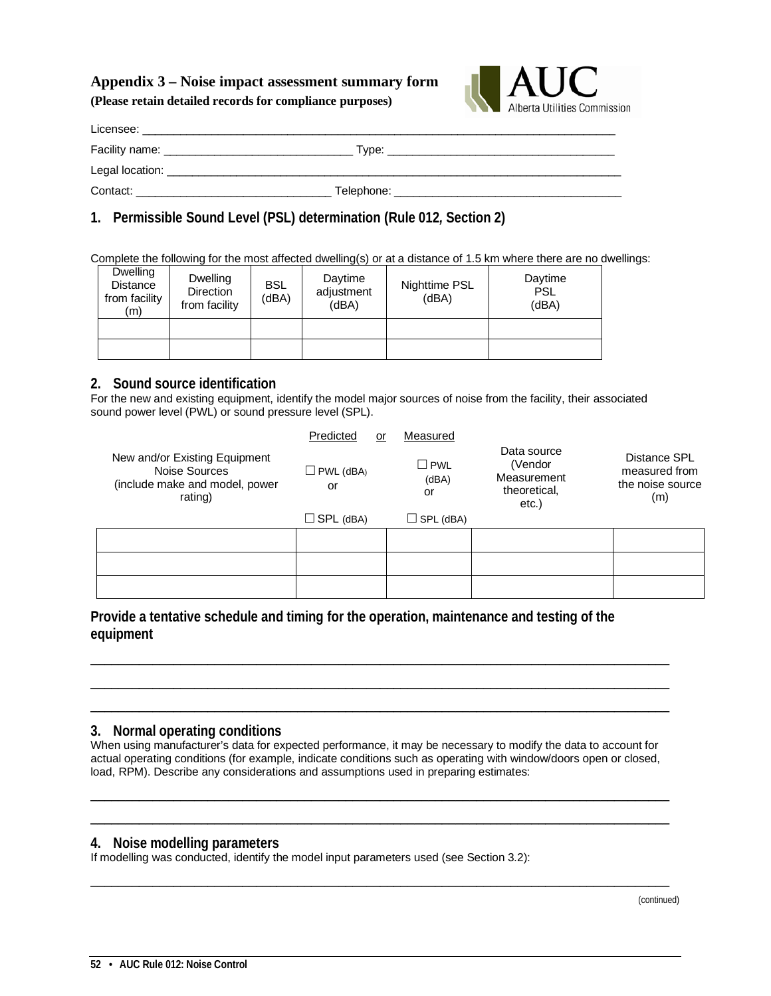# **Appendix 3 – Noise impact assessment summary form**

**(Please retain detailed records for compliance purposes)**



| Licensee:                            |            |  |
|--------------------------------------|------------|--|
| Facility name: _____________________ | Tvpe:      |  |
| Legal location:                      |            |  |
| Contact:                             | Telephone: |  |
|                                      |            |  |

## **1. Permissible Sound Level (PSL) determination (Rule 012***,* **Section 2)**

Complete the following for the most affected dwelling(s) or at a distance of 1.5 km where there are no dwellings:

| <b>Dwelling</b><br><b>Distance</b><br>from facility<br>(m) | Dwelling<br><b>Direction</b><br>from facility | <b>BSL</b><br>(dBA) | Daytime<br>adjustment<br>(dBA) | Nighttime PSL<br>(dBA) | Daytime<br><b>PSL</b><br>(dBA) |
|------------------------------------------------------------|-----------------------------------------------|---------------------|--------------------------------|------------------------|--------------------------------|
|                                                            |                                               |                     |                                |                        |                                |
|                                                            |                                               |                     |                                |                        |                                |

### **2. Sound source identification**

For the new and existing equipment, identify the model major sources of noise from the facility, their associated sound power level (PWL) or sound pressure level (SPL).

|                                                                                             | Predicted<br>or  | Measured                     |                                                                   |                                                          |
|---------------------------------------------------------------------------------------------|------------------|------------------------------|-------------------------------------------------------------------|----------------------------------------------------------|
| New and/or Existing Equipment<br>Noise Sources<br>(include make and model, power<br>rating) | PWL (dBA)<br>or  | $\square$ PWL<br>(dBA)<br>or | Data source<br>(Vendor<br>Measurement<br>theoretical,<br>$etc.$ ) | Distance SPL<br>measured from<br>the noise source<br>(m) |
|                                                                                             | $\Box$ SPL (dBA) | $\Box$ SPL (dBA)             |                                                                   |                                                          |
|                                                                                             |                  |                              |                                                                   |                                                          |
|                                                                                             |                  |                              |                                                                   |                                                          |
|                                                                                             |                  |                              |                                                                   |                                                          |

**Provide a tentative schedule and timing for the operation, maintenance and testing of the equipment**

### **3. Normal operating conditions**

When using manufacturer's data for expected performance, it may be necessary to modify the data to account for actual operating conditions (for example, indicate conditions such as operating with window/doors open or closed, load, RPM). Describe any considerations and assumptions used in preparing estimates:

\_\_\_\_\_\_\_\_\_\_\_\_\_\_\_\_\_\_\_\_\_\_\_\_\_\_\_\_\_\_\_\_\_\_\_\_\_\_\_\_\_\_\_\_\_\_\_\_\_\_\_\_\_\_\_\_\_\_\_\_\_\_\_\_\_\_\_\_\_\_\_\_\_\_\_\_\_\_\_\_\_\_\_\_ \_\_\_\_\_\_\_\_\_\_\_\_\_\_\_\_\_\_\_\_\_\_\_\_\_\_\_\_\_\_\_\_\_\_\_\_\_\_\_\_\_\_\_\_\_\_\_\_\_\_\_\_\_\_\_\_\_\_\_\_\_\_\_\_\_\_\_\_\_\_\_\_\_\_\_\_\_\_\_\_\_\_\_\_

\_\_\_\_\_\_\_\_\_\_\_\_\_\_\_\_\_\_\_\_\_\_\_\_\_\_\_\_\_\_\_\_\_\_\_\_\_\_\_\_\_\_\_\_\_\_\_\_\_\_\_\_\_\_\_\_\_\_\_\_\_\_\_\_\_\_\_\_\_\_\_\_\_\_\_\_\_\_\_\_\_\_\_\_

\_\_\_\_\_\_\_\_\_\_\_\_\_\_\_\_\_\_\_\_\_\_\_\_\_\_\_\_\_\_\_\_\_\_\_\_\_\_\_\_\_\_\_\_\_\_\_\_\_\_\_\_\_\_\_\_\_\_\_\_\_\_\_\_\_\_\_\_\_\_\_\_\_\_\_\_\_\_\_\_\_\_\_\_ \_\_\_\_\_\_\_\_\_\_\_\_\_\_\_\_\_\_\_\_\_\_\_\_\_\_\_\_\_\_\_\_\_\_\_\_\_\_\_\_\_\_\_\_\_\_\_\_\_\_\_\_\_\_\_\_\_\_\_\_\_\_\_\_\_\_\_\_\_\_\_\_\_\_\_\_\_\_\_\_\_\_\_\_ \_\_\_\_\_\_\_\_\_\_\_\_\_\_\_\_\_\_\_\_\_\_\_\_\_\_\_\_\_\_\_\_\_\_\_\_\_\_\_\_\_\_\_\_\_\_\_\_\_\_\_\_\_\_\_\_\_\_\_\_\_\_\_\_\_\_\_\_\_\_\_\_\_\_\_\_\_\_\_\_\_\_\_\_

### **4. Noise modelling parameters**

If modelling was conducted, identify the model input parameters used (see Section 3.2):

(continued)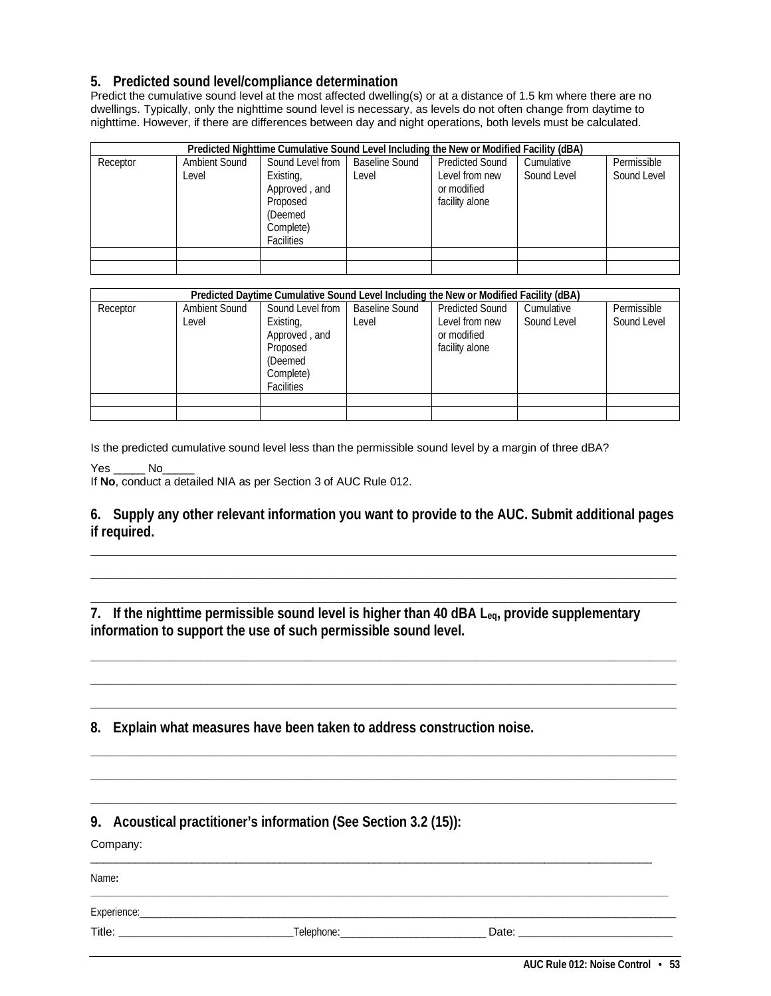### **5. Predicted sound level/compliance determination**

Predict the cumulative sound level at the most affected dwelling(s) or at a distance of 1.5 km where there are no dwellings. Typically, only the nighttime sound level is necessary, as levels do not often change from daytime to nighttime. However, if there are differences between day and night operations, both levels must be calculated.

| Predicted Nighttime Cumulative Sound Level Including the New or Modified Facility (dBA) |                               |                                                                                                         |                                |                                                                           |                           |                            |
|-----------------------------------------------------------------------------------------|-------------------------------|---------------------------------------------------------------------------------------------------------|--------------------------------|---------------------------------------------------------------------------|---------------------------|----------------------------|
| Receptor                                                                                | <b>Ambient Sound</b><br>Level | Sound Level from<br>Existing,<br>Approved, and<br>Proposed<br>(Deemed<br>Complete)<br><b>Facilities</b> | <b>Baseline Sound</b><br>Level | <b>Predicted Sound</b><br>Level from new<br>or modified<br>facility alone | Cumulative<br>Sound Level | Permissible<br>Sound Level |
|                                                                                         |                               |                                                                                                         |                                |                                                                           |                           |                            |
|                                                                                         |                               |                                                                                                         |                                |                                                                           |                           |                            |

|          |                               | Predicted Daytime Cumulative Sound Level Including the New or Modified Facility (dBA)                   |                                |                                                                           |                           |                            |
|----------|-------------------------------|---------------------------------------------------------------------------------------------------------|--------------------------------|---------------------------------------------------------------------------|---------------------------|----------------------------|
| Receptor | <b>Ambient Sound</b><br>Level | Sound Level from<br>Existing,<br>Approved, and<br>Proposed<br>(Deemed<br>Complete)<br><b>Facilities</b> | <b>Baseline Sound</b><br>Level | <b>Predicted Sound</b><br>Level from new<br>or modified<br>facility alone | Cumulative<br>Sound Level | Permissible<br>Sound Level |
|          |                               |                                                                                                         |                                |                                                                           |                           |                            |
|          |                               |                                                                                                         |                                |                                                                           |                           |                            |

Is the predicted cumulative sound level less than the permissible sound level by a margin of three dBA?

Yes No

If **No**, conduct a detailed NIA as per Section 3 of AUC Rule 012.

**6. Supply any other relevant information you want to provide to the AUC. Submit additional pages if required.**

**\_\_\_\_\_\_\_\_\_\_\_\_\_\_\_\_\_\_\_\_\_\_\_\_\_\_\_\_\_\_\_\_\_\_\_\_\_\_\_\_\_\_\_\_\_\_\_\_\_\_\_\_\_\_\_\_\_\_\_\_\_\_\_\_\_\_\_\_\_\_\_\_\_\_\_\_\_\_\_\_\_\_\_\_\_ \_\_\_\_\_\_\_\_\_\_\_\_\_\_\_\_\_\_\_\_\_\_\_\_\_\_\_\_\_\_\_\_\_\_\_\_\_\_\_\_\_\_\_\_\_\_\_\_\_\_\_\_\_\_\_\_\_\_\_\_\_\_\_\_\_\_\_\_\_\_\_\_\_\_\_\_\_\_\_\_\_\_\_\_\_ \_\_\_\_\_\_\_\_\_\_\_\_\_\_\_\_\_\_\_\_\_\_\_\_\_\_\_\_\_\_\_\_\_\_\_\_\_\_\_\_\_\_\_\_\_\_\_\_\_\_\_\_\_\_\_\_\_\_\_\_\_\_\_\_\_\_\_\_\_\_\_\_\_\_\_\_\_\_\_\_\_\_\_\_\_**

**\_\_\_\_\_\_\_\_\_\_\_\_\_\_\_\_\_\_\_\_\_\_\_\_\_\_\_\_\_\_\_\_\_\_\_\_\_\_\_\_\_\_\_\_\_\_\_\_\_\_\_\_\_\_\_\_\_\_\_\_\_\_\_\_\_\_\_\_\_\_\_\_\_\_\_\_\_\_\_\_\_\_\_\_\_ \_\_\_\_\_\_\_\_\_\_\_\_\_\_\_\_\_\_\_\_\_\_\_\_\_\_\_\_\_\_\_\_\_\_\_\_\_\_\_\_\_\_\_\_\_\_\_\_\_\_\_\_\_\_\_\_\_\_\_\_\_\_\_\_\_\_\_\_\_\_\_\_\_\_\_\_\_\_\_\_\_\_\_\_\_ \_\_\_\_\_\_\_\_\_\_\_\_\_\_\_\_\_\_\_\_\_\_\_\_\_\_\_\_\_\_\_\_\_\_\_\_\_\_\_\_\_\_\_\_\_\_\_\_\_\_\_\_\_\_\_\_\_\_\_\_\_\_\_\_\_\_\_\_\_\_\_\_\_\_\_\_\_\_\_\_\_\_\_\_\_**

**\_\_\_\_\_\_\_\_\_\_\_\_\_\_\_\_\_\_\_\_\_\_\_\_\_\_\_\_\_\_\_\_\_\_\_\_\_\_\_\_\_\_\_\_\_\_\_\_\_\_\_\_\_\_\_\_\_\_\_\_\_\_\_\_\_\_\_\_\_\_\_\_\_\_\_\_\_\_\_\_\_\_\_\_\_ \_\_\_\_\_\_\_\_\_\_\_\_\_\_\_\_\_\_\_\_\_\_\_\_\_\_\_\_\_\_\_\_\_\_\_\_\_\_\_\_\_\_\_\_\_\_\_\_\_\_\_\_\_\_\_\_\_\_\_\_\_\_\_\_\_\_\_\_\_\_\_\_\_\_\_\_\_\_\_\_\_\_\_\_\_ \_\_\_\_\_\_\_\_\_\_\_\_\_\_\_\_\_\_\_\_\_\_\_\_\_\_\_\_\_\_\_\_\_\_\_\_\_\_\_\_\_\_\_\_\_\_\_\_\_\_\_\_\_\_\_\_\_\_\_\_\_\_\_\_\_\_\_\_\_\_\_\_\_\_\_\_\_\_\_\_\_\_\_\_\_**

\_\_\_\_\_\_\_\_\_\_\_\_\_\_\_\_\_\_\_\_\_\_\_\_\_\_\_\_\_\_\_\_\_\_\_\_\_\_\_\_\_\_\_\_\_\_\_\_\_\_\_\_\_\_\_\_\_\_\_\_\_\_\_\_\_\_\_\_\_\_\_\_\_\_\_\_\_\_\_\_\_\_\_\_\_\_\_\_\_

**\_\_\_\_\_\_\_\_\_\_\_\_\_\_\_\_\_\_\_\_\_\_\_\_\_\_\_\_\_\_\_\_\_\_\_\_\_\_\_\_\_\_\_\_\_\_\_\_\_\_\_\_\_\_\_\_\_\_\_\_\_\_\_\_\_\_\_\_\_\_\_\_\_\_\_\_\_\_\_\_\_\_\_\_\_\_\_\_\_\_\_\_\_\_\_\_\_\_\_\_\_\_\_\_\_\_\_\_\_\_\_\_**

**7. If the nighttime permissible sound level is higher than 40 dBA Leq, provide supplementary information to support the use of such permissible sound level.**

**8. Explain what measures have been taken to address construction noise.** 

**9. Acoustical practitioner's information (See Section 3.2 (15)):**

Company:

Name**:** 

Experience:\_\_\_\_\_\_\_\_\_\_\_\_\_\_\_\_\_\_\_\_\_\_\_\_\_\_\_\_\_\_\_\_\_\_\_\_\_\_\_\_\_\_\_\_\_\_\_\_\_\_\_\_\_\_\_\_\_\_\_\_\_\_\_\_\_\_\_\_\_\_\_\_\_\_\_\_\_\_\_\_\_\_\_\_\_\_\_\_\_\_\_\_\_\_\_\_\_\_\_\_\_\_\_\_

Title: **\_\_\_\_\_\_\_\_\_\_\_\_\_\_\_\_\_\_\_\_\_\_\_\_\_\_\_\_\_\_\_\_\_\_**Telephone:\_\_\_\_\_\_\_\_\_\_\_\_\_\_\_\_\_\_\_\_\_\_\_ Date: **\_\_\_\_\_\_\_\_\_\_\_\_\_\_\_\_\_\_\_\_\_\_\_\_\_\_\_\_\_\_**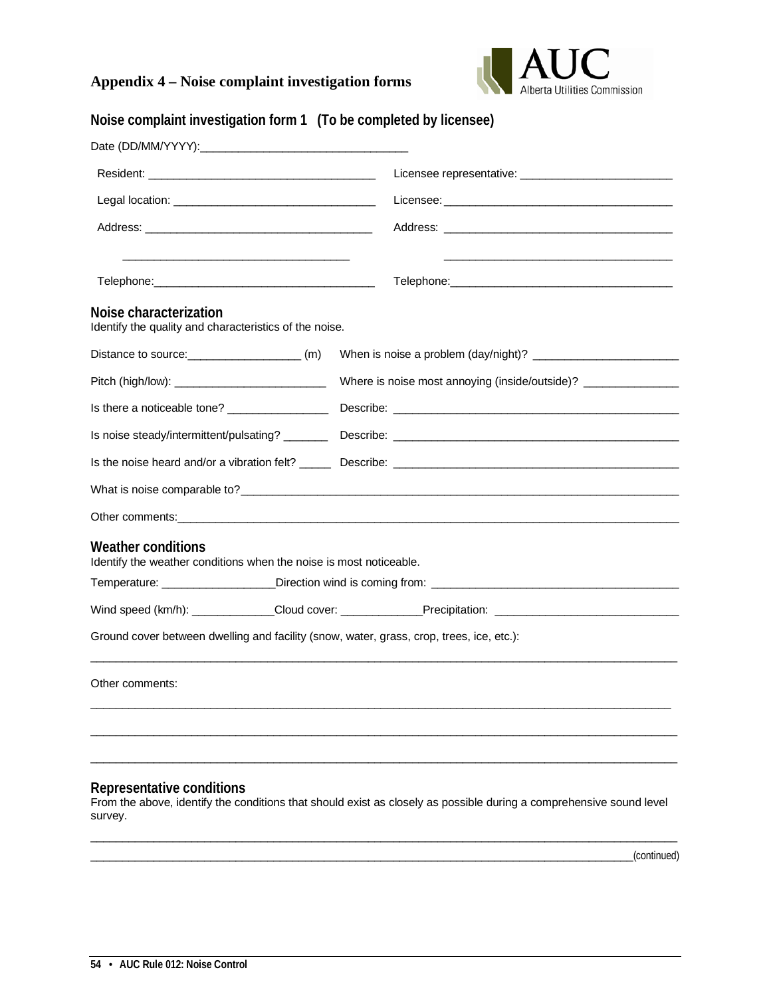## **Appendix 4 – Noise complaint investigation forms**



| Noise complaint investigation form 1 (To be completed by licensee)                              |  |  |                                                                                                                     |
|-------------------------------------------------------------------------------------------------|--|--|---------------------------------------------------------------------------------------------------------------------|
|                                                                                                 |  |  |                                                                                                                     |
|                                                                                                 |  |  |                                                                                                                     |
|                                                                                                 |  |  |                                                                                                                     |
|                                                                                                 |  |  |                                                                                                                     |
|                                                                                                 |  |  |                                                                                                                     |
| Noise characterization<br>Identify the quality and characteristics of the noise.                |  |  |                                                                                                                     |
| Distance to source: (m)                                                                         |  |  |                                                                                                                     |
|                                                                                                 |  |  | Where is noise most annoying (inside/outside)? _________________________________                                    |
|                                                                                                 |  |  |                                                                                                                     |
|                                                                                                 |  |  |                                                                                                                     |
|                                                                                                 |  |  | Is the noise heard and/or a vibration felt? Describe: Describe:                                                     |
|                                                                                                 |  |  |                                                                                                                     |
|                                                                                                 |  |  |                                                                                                                     |
| <b>Weather conditions</b><br>Identify the weather conditions when the noise is most noticeable. |  |  |                                                                                                                     |
|                                                                                                 |  |  |                                                                                                                     |
|                                                                                                 |  |  | Wind speed (km/h): Cloud cover: __________Precipitation: _______________________                                    |
| Ground cover between dwelling and facility (snow, water, grass, crop, trees, ice, etc.):        |  |  |                                                                                                                     |
| Other comments:                                                                                 |  |  |                                                                                                                     |
|                                                                                                 |  |  |                                                                                                                     |
|                                                                                                 |  |  |                                                                                                                     |
| Representative conditions<br>survey.                                                            |  |  | From the above, identify the conditions that should exist as closely as possible during a comprehensive sound level |

 $\overline{\phantom{a}}$  , and the contribution of the contribution of the contribution of the contribution of the contribution of the contribution of the contribution of the contribution of the contribution of the contribution of the

 $\Box$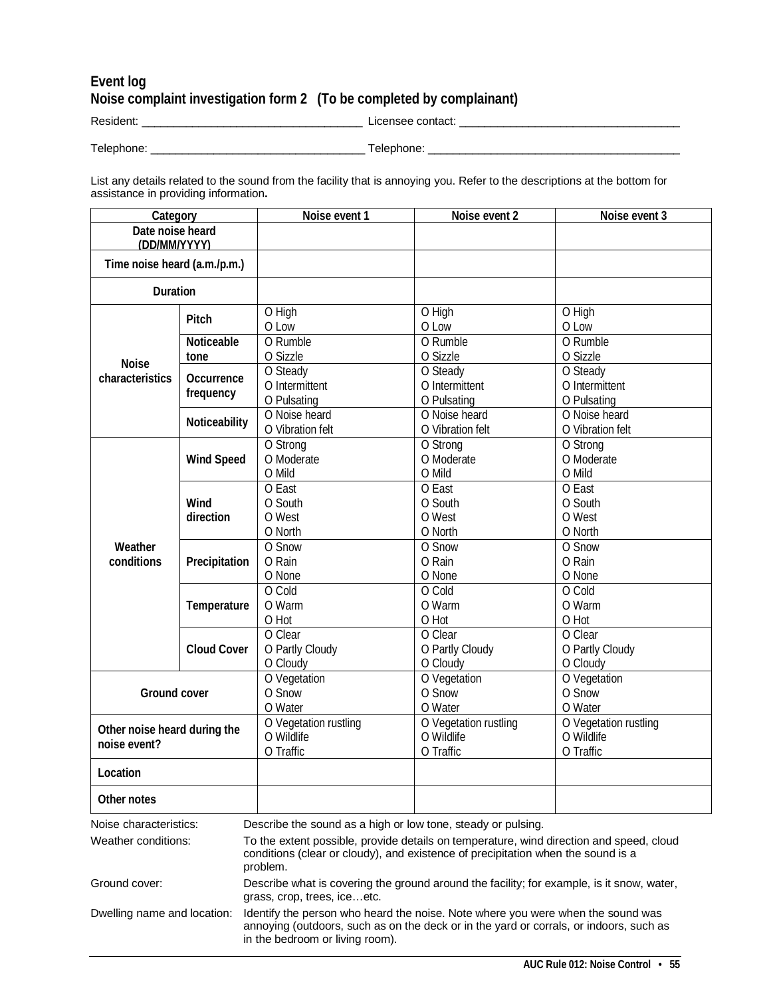## **Event log Noise complaint investigation form 2 (To be completed by complainant)**

Resident: \_\_\_\_\_\_\_\_\_\_\_\_\_\_\_\_\_\_\_\_\_\_\_\_\_\_\_\_\_\_\_\_\_\_\_ Licensee contact: \_\_\_\_\_\_\_\_\_\_\_\_\_\_\_\_\_\_\_\_\_\_\_\_\_\_\_\_\_\_\_\_\_\_\_

Telephone: \_\_\_\_\_\_\_\_\_\_\_\_\_\_\_\_\_\_\_\_\_\_\_\_\_\_\_\_\_\_\_\_\_\_ Telephone: \_\_\_\_\_\_\_\_\_\_\_\_\_\_\_\_\_\_\_\_\_\_\_\_\_\_\_\_\_\_\_\_\_\_\_\_\_\_\_\_

List any details related to the sound from the facility that is annoying you. Refer to the descriptions at the bottom for assistance in providing information**.**

| Category                                      |                         | Noise event 1                                                                                                                                                                                                | Noise event 2                                                                                                                                                                                                                               | Noise event 3                                    |  |  |
|-----------------------------------------------|-------------------------|--------------------------------------------------------------------------------------------------------------------------------------------------------------------------------------------------------------|---------------------------------------------------------------------------------------------------------------------------------------------------------------------------------------------------------------------------------------------|--------------------------------------------------|--|--|
| Date noise heard<br>(DD/MM/YYYY)              |                         |                                                                                                                                                                                                              |                                                                                                                                                                                                                                             |                                                  |  |  |
| Time noise heard (a.m./p.m.)                  |                         |                                                                                                                                                                                                              |                                                                                                                                                                                                                                             |                                                  |  |  |
| Duration                                      |                         |                                                                                                                                                                                                              |                                                                                                                                                                                                                                             |                                                  |  |  |
|                                               | Pitch                   | $\overline{O}$ High<br>O Low                                                                                                                                                                                 | O High<br>O Low                                                                                                                                                                                                                             | O High<br>O Low                                  |  |  |
|                                               | Noticeable<br>tone      | O Rumble<br>O Sizzle                                                                                                                                                                                         | O Rumble<br>O Sizzle                                                                                                                                                                                                                        | O Rumble<br>O Sizzle                             |  |  |
| <b>Noise</b><br>characteristics               | Occurrence<br>frequency | O Steady<br>O Intermittent<br>O Pulsating                                                                                                                                                                    | $\overline{O}$ Steady<br>O Intermittent<br>O Pulsating                                                                                                                                                                                      | O Steady<br>O Intermittent<br>O Pulsating        |  |  |
|                                               | Noticeability           | O Noise heard<br>O Vibration felt                                                                                                                                                                            | O Noise heard<br>O Vibration felt                                                                                                                                                                                                           | O Noise heard<br>O Vibration felt                |  |  |
|                                               | <b>Wind Speed</b>       | O Strong<br>O Moderate<br>O Mild                                                                                                                                                                             | O Strong<br>O Moderate<br>O Mild                                                                                                                                                                                                            | O Strong<br>O Moderate<br>O Mild                 |  |  |
| Weather<br>conditions                         | Wind<br>direction       | O East<br>O South<br>O West<br>O North                                                                                                                                                                       | O East<br>O South<br>O West<br>O North                                                                                                                                                                                                      | O East<br>O South<br>O West<br>O North           |  |  |
|                                               | Precipitation           | O Snow<br>O Rain<br>O None                                                                                                                                                                                   | O Snow<br>O Rain<br>O None                                                                                                                                                                                                                  | O Snow<br>O Rain<br>O None                       |  |  |
|                                               | Temperature             | O Cold<br>O Warm<br>O Hot                                                                                                                                                                                    | O Cold<br>O Warm<br>O Hot                                                                                                                                                                                                                   | O Cold<br>O Warm<br>O Hot                        |  |  |
|                                               | <b>Cloud Cover</b>      | O Clear<br>O Partly Cloudy<br>O Cloudy                                                                                                                                                                       | O Clear<br>O Partly Cloudy<br>O Cloudy                                                                                                                                                                                                      | O Clear<br>O Partly Cloudy<br>O Cloudy           |  |  |
| Ground cover                                  |                         | O Vegetation<br>O Snow<br>O Water                                                                                                                                                                            | O Vegetation<br>O Snow<br>O Water                                                                                                                                                                                                           | O Vegetation<br>O Snow<br>O Water                |  |  |
| Other noise heard during the<br>noise event?  |                         | O Vegetation rustling<br>O Wildlife<br>O Traffic                                                                                                                                                             | O Vegetation rustling<br>O Wildlife<br>O Traffic                                                                                                                                                                                            | O Vegetation rustling<br>O Wildlife<br>O Traffic |  |  |
| Location                                      |                         |                                                                                                                                                                                                              |                                                                                                                                                                                                                                             |                                                  |  |  |
| Other notes                                   |                         |                                                                                                                                                                                                              |                                                                                                                                                                                                                                             |                                                  |  |  |
| Noise characteristics:<br>Weather conditions: |                         | problem.                                                                                                                                                                                                     | Describe the sound as a high or low tone, steady or pulsing.<br>To the extent possible, provide details on temperature, wind direction and speed, cloud<br>conditions (clear or cloudy), and existence of precipitation when the sound is a |                                                  |  |  |
| Ground cover:                                 |                         | Describe what is covering the ground around the facility; for example, is it snow, water,<br>grass, crop, trees, iceetc.                                                                                     |                                                                                                                                                                                                                                             |                                                  |  |  |
| Dwelling name and location:                   |                         | Identify the person who heard the noise. Note where you were when the sound was<br>annoying (outdoors, such as on the deck or in the yard or corrals, or indoors, such as<br>in the bedroom or living room). |                                                                                                                                                                                                                                             |                                                  |  |  |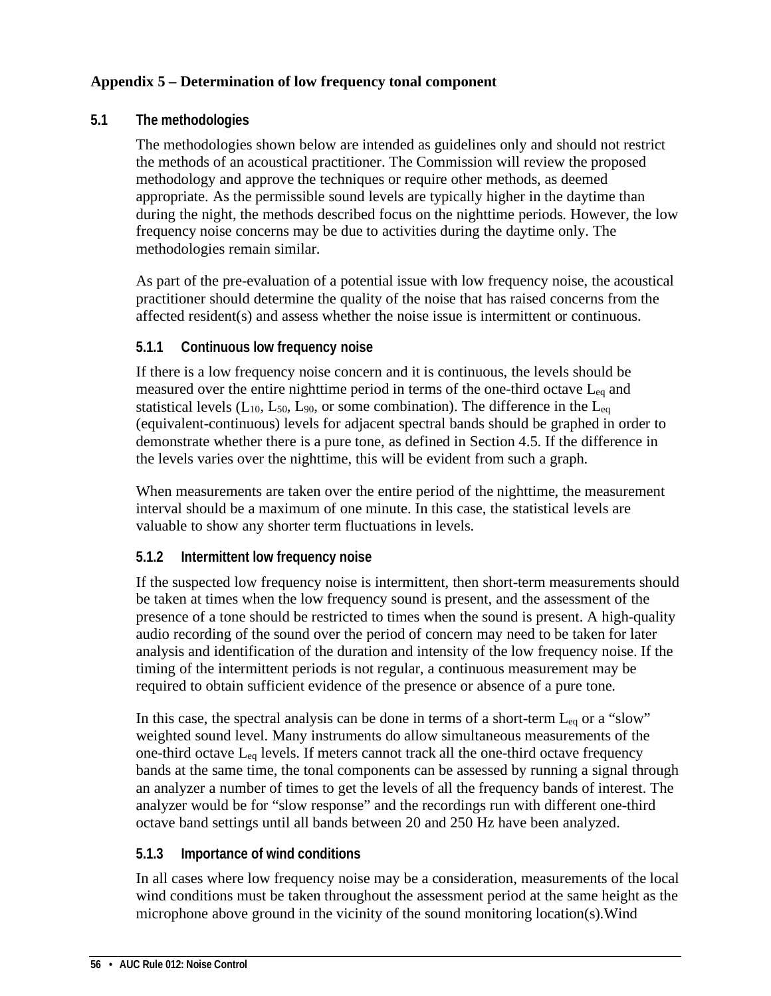## **Appendix 5 – Determination of low frequency tonal component**

### **5.1 The methodologies**

The methodologies shown below are intended as guidelines only and should not restrict the methods of an acoustical practitioner. The Commission will review the proposed methodology and approve the techniques or require other methods, as deemed appropriate. As the permissible sound levels are typically higher in the daytime than during the night, the methods described focus on the nighttime periods. However, the low frequency noise concerns may be due to activities during the daytime only. The methodologies remain similar.

As part of the pre-evaluation of a potential issue with low frequency noise, the acoustical practitioner should determine the quality of the noise that has raised concerns from the affected resident(s) and assess whether the noise issue is intermittent or continuous.

## **5.1.1 Continuous low frequency noise**

If there is a low frequency noise concern and it is continuous, the levels should be measured over the entire nighttime period in terms of the one-third octave Leq and statistical levels ( $L_{10}$ ,  $L_{50}$ ,  $L_{90}$ , or some combination). The difference in the  $L_{eq}$ (equivalent-continuous) levels for adjacent spectral bands should be graphed in order to demonstrate whether there is a pure tone, as defined in Section 4.5. If the difference in the levels varies over the nighttime, this will be evident from such a graph.

When measurements are taken over the entire period of the nighttime, the measurement interval should be a maximum of one minute. In this case, the statistical levels are valuable to show any shorter term fluctuations in levels.

## **5.1.2 Intermittent low frequency noise**

If the suspected low frequency noise is intermittent, then short-term measurements should be taken at times when the low frequency sound is present, and the assessment of the presence of a tone should be restricted to times when the sound is present. A high-quality audio recording of the sound over the period of concern may need to be taken for later analysis and identification of the duration and intensity of the low frequency noise. If the timing of the intermittent periods is not regular, a continuous measurement may be required to obtain sufficient evidence of the presence or absence of a pure tone.

In this case, the spectral analysis can be done in terms of a short-term  $L_{eq}$  or a "slow" weighted sound level. Many instruments do allow simultaneous measurements of the one-third octave Leq levels. If meters cannot track all the one-third octave frequency bands at the same time, the tonal components can be assessed by running a signal through an analyzer a number of times to get the levels of all the frequency bands of interest. The analyzer would be for "slow response" and the recordings run with different one-third octave band settings until all bands between 20 and 250 Hz have been analyzed.

## **5.1.3 Importance of wind conditions**

In all cases where low frequency noise may be a consideration, measurements of the local wind conditions must be taken throughout the assessment period at the same height as the microphone above ground in the vicinity of the sound monitoring location(s).Wind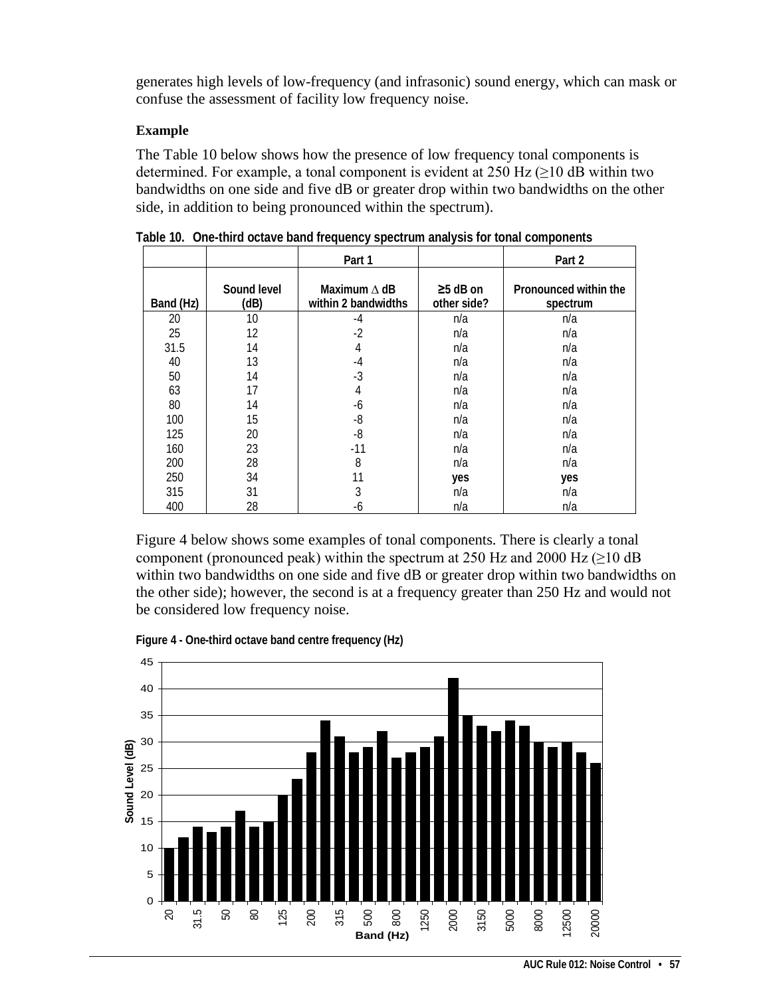generates high levels of low-frequency (and infrasonic) sound energy, which can mask or confuse the assessment of facility low frequency noise.

### **Example**

The Table 10 below shows how the presence of low frequency tonal components is determined. For example, a tonal component is evident at  $250$  Hz ( $\geq 10$  dB within two bandwidths on one side and five dB or greater drop within two bandwidths on the other side, in addition to being pronounced within the spectrum).

|           |                     | Part 1                                     |                               | Part 2                            |
|-----------|---------------------|--------------------------------------------|-------------------------------|-----------------------------------|
| Band (Hz) | Sound level<br>(dB) | Maximum $\Delta$ dB<br>within 2 bandwidths | $\geq$ 5 dB on<br>other side? | Pronounced within the<br>spectrum |
| 20        | 10                  | $-4$                                       | n/a                           | n/a                               |
| 25        | 12                  | $-2$                                       | n/a                           | n/a                               |
| 31.5      | 14                  | 4                                          | n/a                           | n/a                               |
| 40        | 13                  | $-4$                                       | n/a                           | n/a                               |
| 50        | 14                  | $-3$                                       | n/a                           | n/a                               |
| 63        | 17                  | 4                                          | n/a                           | n/a                               |
| 80        | 14                  | -6                                         | n/a                           | n/a                               |
| 100       | 15                  | $-8$                                       | n/a                           | n/a                               |
| 125       | 20                  | $-8$                                       | n/a                           | n/a                               |
| 160       | 23                  | $-11$                                      | n/a                           | n/a                               |
| 200       | 28                  | 8                                          | n/a                           | n/a                               |
| 250       | 34                  | 11                                         | yes                           | yes                               |
| 315       | 31                  | 3                                          | n/a                           | n/a                               |
| 400       | 28                  | -6                                         | n/a                           | n/a                               |

**Table 10. One-third octave band frequency spectrum analysis for tonal components**

Figure 4 below shows some examples of tonal components. There is clearly a tonal component (pronounced peak) within the spectrum at 250 Hz and 2000 Hz ( $\geq$ 10 dB within two bandwidths on one side and five dB or greater drop within two bandwidths on the other side); however, the second is at a frequency greater than 250 Hz and would not be considered low frequency noise.



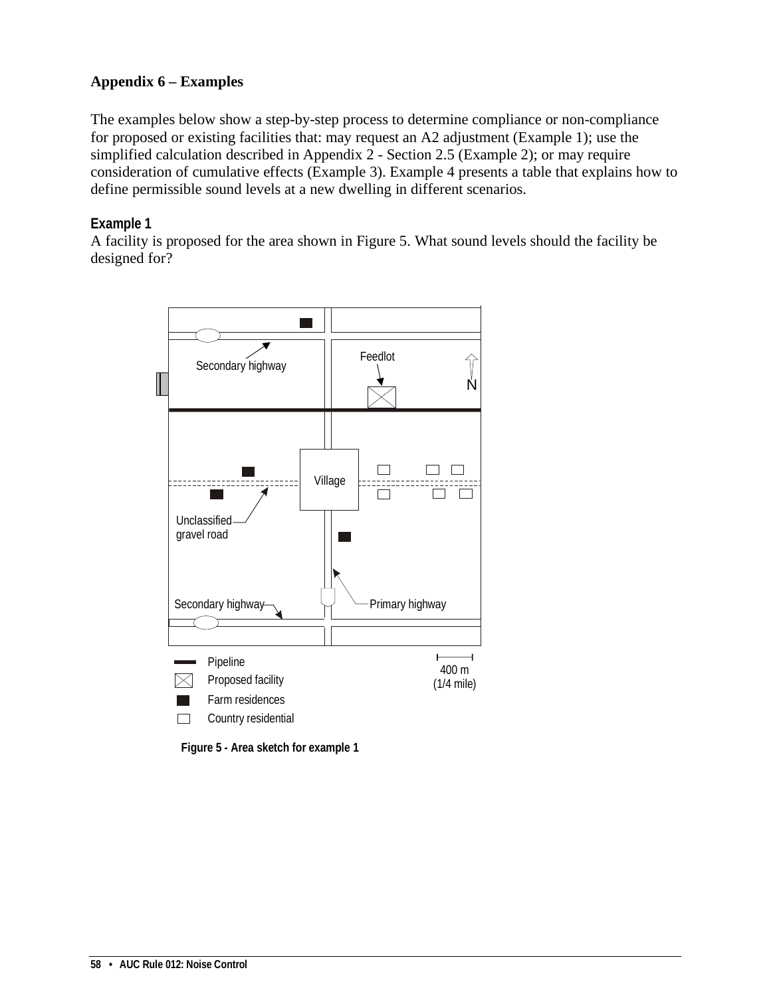## **Appendix 6 – Examples**

The examples below show a step-by-step process to determine compliance or non-compliance for proposed or existing facilities that: may request an A2 adjustment (Example 1); use the simplified calculation described in Appendix 2 - Section 2.5 (Example 2); or may require consideration of cumulative effects (Example 3). Example 4 presents a table that explains how to define permissible sound levels at a new dwelling in different scenarios.

### **Example 1**

A facility is proposed for the area shown in Figure 5. What sound levels should the facility be designed for?



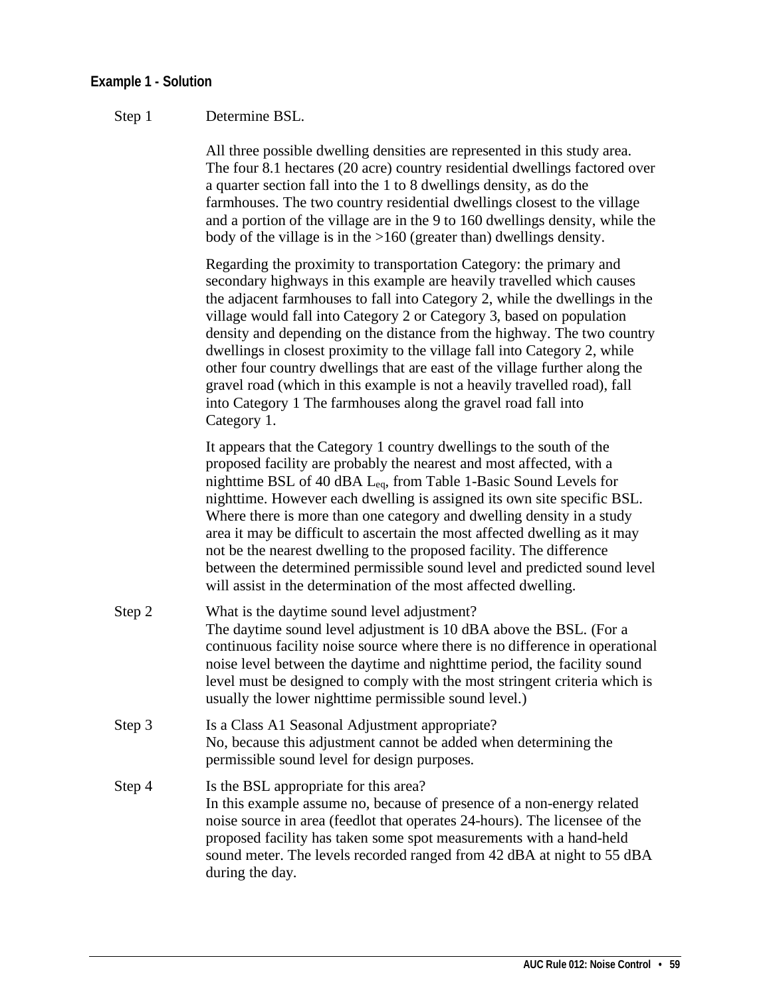### **Example 1 - Solution**

### Step 1 Determine BSL.

All three possible dwelling densities are represented in this study area. The four 8.1 hectares (20 acre) country residential dwellings factored over a quarter section fall into the 1 to 8 dwellings density, as do the farmhouses. The two country residential dwellings closest to the village and a portion of the village are in the 9 to 160 dwellings density, while the body of the village is in the >160 (greater than) dwellings density.

Regarding the proximity to transportation Category: the primary and secondary highways in this example are heavily travelled which causes the adjacent farmhouses to fall into Category 2, while the dwellings in the village would fall into Category 2 or Category 3, based on population density and depending on the distance from the highway. The two country dwellings in closest proximity to the village fall into Category 2, while other four country dwellings that are east of the village further along the gravel road (which in this example is not a heavily travelled road), fall into Category 1 The farmhouses along the gravel road fall into Category 1.

It appears that the Category 1 country dwellings to the south of the proposed facility are probably the nearest and most affected, with a nighttime BSL of 40 dBA Leq, from Table 1-Basic Sound Levels for nighttime. However each dwelling is assigned its own site specific BSL. Where there is more than one category and dwelling density in a study area it may be difficult to ascertain the most affected dwelling as it may not be the nearest dwelling to the proposed facility. The difference between the determined permissible sound level and predicted sound level will assist in the determination of the most affected dwelling.

- Step 2 What is the daytime sound level adjustment? The daytime sound level adjustment is 10 dBA above the BSL. (For a continuous facility noise source where there is no difference in operational noise level between the daytime and nighttime period, the facility sound level must be designed to comply with the most stringent criteria which is usually the lower nighttime permissible sound level.)
- Step 3 Is a Class A1 Seasonal Adjustment appropriate? No, because this adjustment cannot be added when determining the permissible sound level for design purposes.
- Step 4 Is the BSL appropriate for this area? In this example assume no, because of presence of a non-energy related noise source in area (feedlot that operates 24-hours). The licensee of the proposed facility has taken some spot measurements with a hand-held sound meter. The levels recorded ranged from 42 dBA at night to 55 dBA during the day.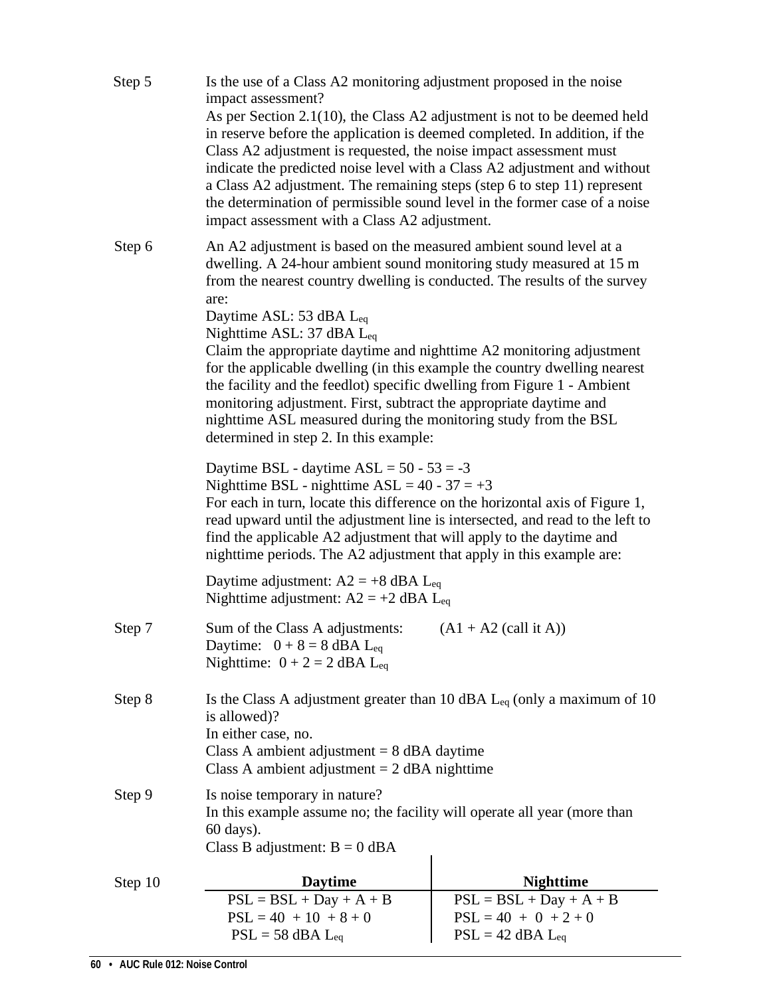| Step 5  | Is the use of a Class A2 monitoring adjustment proposed in the noise<br>impact assessment?                                                                                                                                                                                                                                                                                                                                                                                                                           |                                                                                |  |  |  |
|---------|----------------------------------------------------------------------------------------------------------------------------------------------------------------------------------------------------------------------------------------------------------------------------------------------------------------------------------------------------------------------------------------------------------------------------------------------------------------------------------------------------------------------|--------------------------------------------------------------------------------|--|--|--|
|         | As per Section 2.1(10), the Class A2 adjustment is not to be deemed held<br>in reserve before the application is deemed completed. In addition, if the<br>Class A2 adjustment is requested, the noise impact assessment must<br>indicate the predicted noise level with a Class A2 adjustment and without<br>a Class A2 adjustment. The remaining steps (step 6 to step 11) represent<br>the determination of permissible sound level in the former case of a noise<br>impact assessment with a Class A2 adjustment. |                                                                                |  |  |  |
| Step 6  | An A2 adjustment is based on the measured ambient sound level at a<br>dwelling. A 24-hour ambient sound monitoring study measured at 15 m<br>from the nearest country dwelling is conducted. The results of the survey                                                                                                                                                                                                                                                                                               |                                                                                |  |  |  |
|         | are:<br>Daytime ASL: 53 dBA L <sub>eq</sub><br>Nighttime ASL: 37 dBA $L_{eq}$<br>Claim the appropriate daytime and nighttime A2 monitoring adjustment<br>for the applicable dwelling (in this example the country dwelling nearest<br>the facility and the feedlot) specific dwelling from Figure 1 - Ambient<br>monitoring adjustment. First, subtract the appropriate daytime and<br>nighttime ASL measured during the monitoring study from the BSL<br>determined in step 2. In this example:                     |                                                                                |  |  |  |
|         | Daytime BSL - daytime $ASL = 50 - 53 = -3$<br>Nighttime BSL - nighttime $ASL = 40 - 37 = +3$<br>For each in turn, locate this difference on the horizontal axis of Figure 1,<br>read upward until the adjustment line is intersected, and read to the left to<br>find the applicable A2 adjustment that will apply to the daytime and<br>nighttime periods. The A2 adjustment that apply in this example are:                                                                                                        |                                                                                |  |  |  |
|         | Daytime adjustment: $A2 = +8$ dBA L <sub>eq</sub><br>Nighttime adjustment: $A2 = +2$ dBA L <sub>eq</sub>                                                                                                                                                                                                                                                                                                                                                                                                             |                                                                                |  |  |  |
| Step 7  | Sum of the Class A adjustments:<br>$(A1 + A2$ (call it A))<br>Daytime: $0 + 8 = 8$ dBA L <sub>eq</sub><br>Nighttime: $0 + 2 = 2$ dBA L <sub>eq</sub>                                                                                                                                                                                                                                                                                                                                                                 |                                                                                |  |  |  |
| Step 8  | Is the Class A adjustment greater than 10 dBA $L_{eq}$ (only a maximum of 10<br>is allowed)?<br>In either case, no.<br>Class A ambient adjustment $= 8$ dBA daytime<br>Class A ambient adjustment $= 2$ dBA nighttime                                                                                                                                                                                                                                                                                                |                                                                                |  |  |  |
| Step 9  | Is noise temporary in nature?<br>In this example assume no; the facility will operate all year (more than<br>60 days).<br>Class B adjustment: $B = 0$ dBA                                                                                                                                                                                                                                                                                                                                                            |                                                                                |  |  |  |
| Step 10 | <b>Daytime</b>                                                                                                                                                                                                                                                                                                                                                                                                                                                                                                       | <b>Nighttime</b>                                                               |  |  |  |
|         | $PSL = BSL + Day + A + B$<br>$PSL = 40 + 10 + 8 + 0$<br>$PSL = 58$ dBA $L_{eq}$                                                                                                                                                                                                                                                                                                                                                                                                                                      | $PSL = BSL + Day + A + B$<br>$PSL = 40 + 0 + 2 + 0$<br>$PSL = 42$ dBA $L_{eq}$ |  |  |  |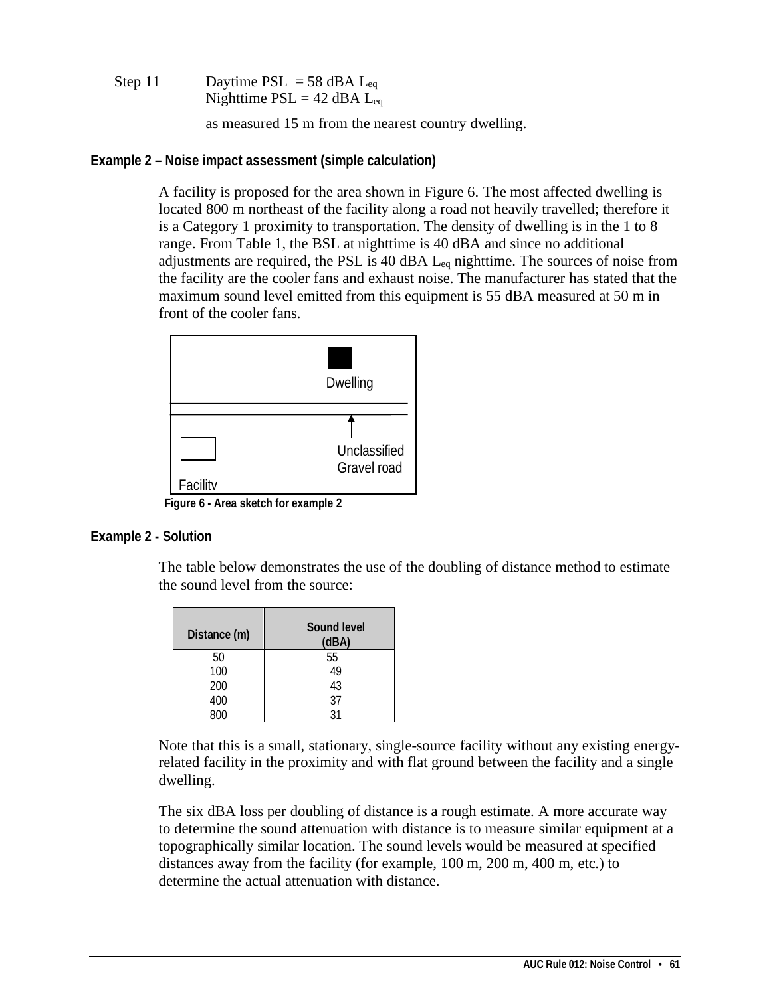```
Step 11 Daytime PSL = 58 dBA L_{eq}Nighttime PSL = 42 dBA L_{eq}
```
as measured 15 m from the nearest country dwelling.

**Example 2 – Noise impact assessment (simple calculation)**

A facility is proposed for the area shown in Figure 6. The most affected dwelling is located 800 m northeast of the facility along a road not heavily travelled; therefore it is a Category 1 proximity to transportation. The density of dwelling is in the 1 to 8 range. From Table 1, the BSL at nighttime is 40 dBA and since no additional adjustments are required, the PSL is 40 dBA  $L_{eq}$  nighttime. The sources of noise from the facility are the cooler fans and exhaust noise. The manufacturer has stated that the maximum sound level emitted from this equipment is 55 dBA measured at 50 m in front of the cooler fans.



 **Figure 6 - Area sketch for example 2**

### **Example 2 - Solution**

The table below demonstrates the use of the doubling of distance method to estimate the sound level from the source:

| Distance (m) | Sound level<br>(dBA) |
|--------------|----------------------|
| 50           | 55                   |
| 100          | 49                   |
| 200          | 43                   |
| 400          | 37                   |
|              | ا ?                  |

Note that this is a small, stationary, single-source facility without any existing energyrelated facility in the proximity and with flat ground between the facility and a single dwelling.

The six dBA loss per doubling of distance is a rough estimate. A more accurate way to determine the sound attenuation with distance is to measure similar equipment at a topographically similar location. The sound levels would be measured at specified distances away from the facility (for example, 100 m, 200 m, 400 m, etc.) to determine the actual attenuation with distance.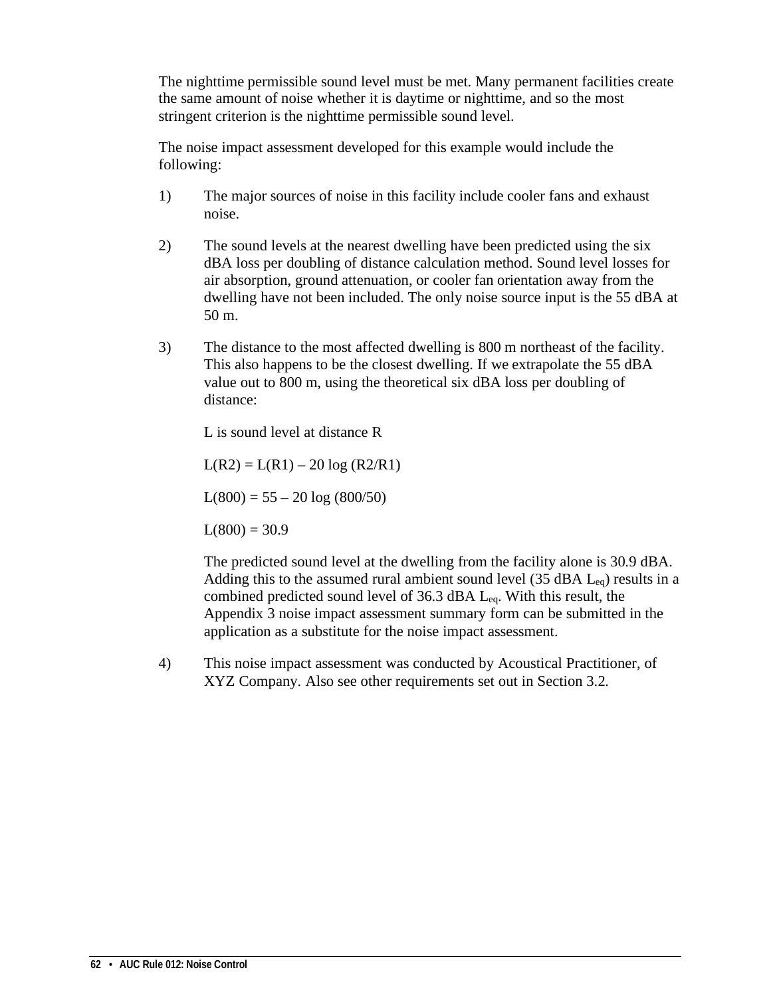The nighttime permissible sound level must be met. Many permanent facilities create the same amount of noise whether it is daytime or nighttime, and so the most stringent criterion is the nighttime permissible sound level.

The noise impact assessment developed for this example would include the following:

- 1) The major sources of noise in this facility include cooler fans and exhaust noise.
- 2) The sound levels at the nearest dwelling have been predicted using the six dBA loss per doubling of distance calculation method. Sound level losses for air absorption, ground attenuation, or cooler fan orientation away from the dwelling have not been included. The only noise source input is the 55 dBA at 50 m.
- 3) The distance to the most affected dwelling is 800 m northeast of the facility. This also happens to be the closest dwelling. If we extrapolate the 55 dBA value out to 800 m, using the theoretical six dBA loss per doubling of distance:

L is sound level at distance R

 $L(R2) = L(R1) - 20 \log (R2/R1)$ 

 $L(800) = 55 - 20 \log (800/50)$ 

 $L(800) = 30.9$ 

The predicted sound level at the dwelling from the facility alone is 30.9 dBA. Adding this to the assumed rural ambient sound level (35 dBA  $L_{eq}$ ) results in a combined predicted sound level of 36.3 dBA Leq. With this result, the Appendix 3 noise impact assessment summary form can be submitted in the application as a substitute for the noise impact assessment.

4) This noise impact assessment was conducted by Acoustical Practitioner, of XYZ Company. Also see other requirements set out in Section 3.2.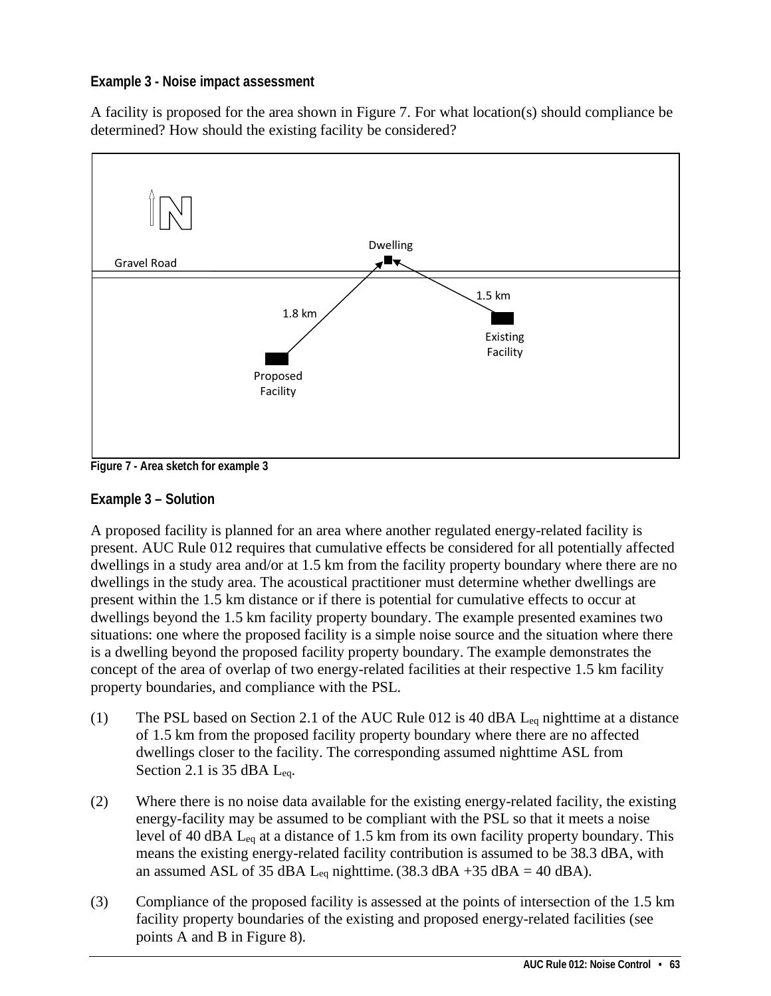## **Example 3 - Noise impact assessment**

A facility is proposed for the area shown in Figure 7. For what location(s) should compliance be determined? How should the existing facility be considered?



**Figure 7 - Area sketch for example 3**

## **Example 3 – Solution**

A proposed facility is planned for an area where another regulated energy-related facility is present. AUC Rule 012 requires that cumulative effects be considered for all potentially affected dwellings in a study area and/or at 1.5 km from the facility property boundary where there are no dwellings in the study area. The acoustical practitioner must determine whether dwellings are present within the 1.5 km distance or if there is potential for cumulative effects to occur at dwellings beyond the 1.5 km facility property boundary. The example presented examines two situations: one where the proposed facility is a simple noise source and the situation where there is a dwelling beyond the proposed facility property boundary. The example demonstrates the concept of the area of overlap of two energy-related facilities at their respective 1.5 km facility property boundaries, and compliance with the PSL.

- (1) The PSL based on Section 2.1 of the AUC Rule 012 is 40 dBA Leq nighttime at a distance of 1.5 km from the proposed facility property boundary where there are no affected dwellings closer to the facility. The corresponding assumed nighttime ASL from Section 2.1 is 35 dBA Leq.
- (2) Where there is no noise data available for the existing energy-related facility, the existing energy-facility may be assumed to be compliant with the PSL so that it meets a noise level of 40 dBA  $L_{eq}$  at a distance of 1.5 km from its own facility property boundary. This means the existing energy-related facility contribution is assumed to be 38.3 dBA, with an assumed ASL of 35 dBA L<sub>eq</sub> nighttime. (38.3 dBA +35 dBA = 40 dBA).
- (3) Compliance of the proposed facility is assessed at the points of intersection of the 1.5 km facility property boundaries of the existing and proposed energy-related facilities (see points A and B in Figure 8).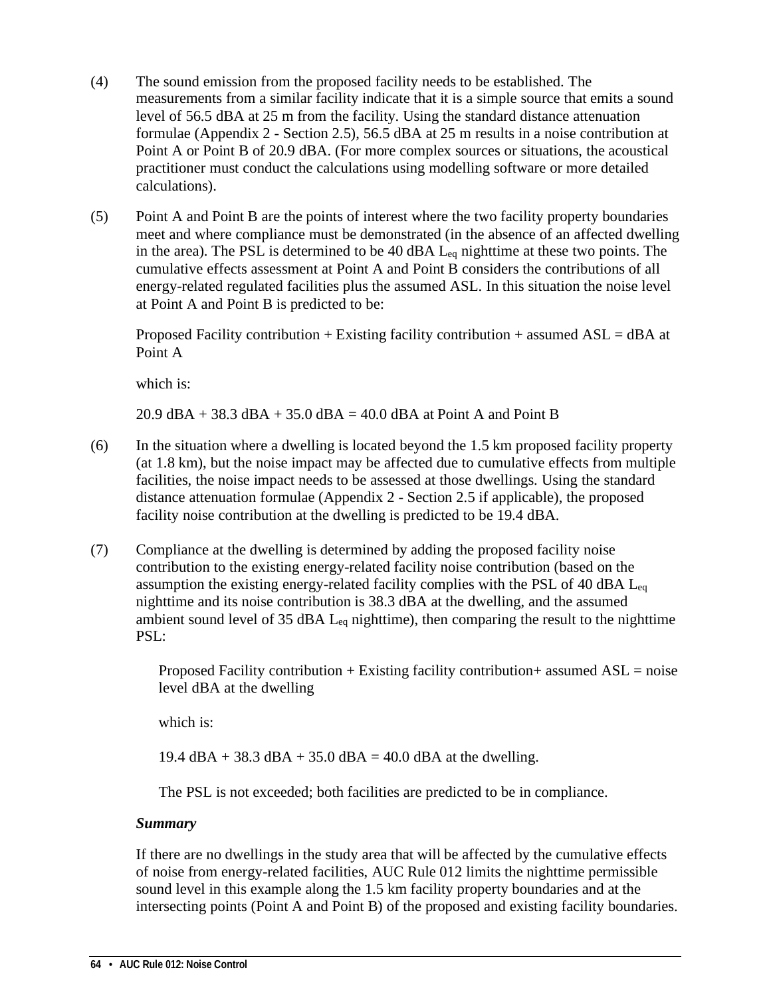- (4) The sound emission from the proposed facility needs to be established. The measurements from a similar facility indicate that it is a simple source that emits a sound level of 56.5 dBA at 25 m from the facility. Using the standard distance attenuation formulae (Appendix 2 - Section 2.5), 56.5 dBA at 25 m results in a noise contribution at Point A or Point B of 20.9 dBA. (For more complex sources or situations, the acoustical practitioner must conduct the calculations using modelling software or more detailed calculations).
- (5) Point A and Point B are the points of interest where the two facility property boundaries meet and where compliance must be demonstrated (in the absence of an affected dwelling in the area). The PSL is determined to be 40 dBA  $L_{eq}$  nighttime at these two points. The cumulative effects assessment at Point A and Point B considers the contributions of all energy-related regulated facilities plus the assumed ASL. In this situation the noise level at Point A and Point B is predicted to be:

Proposed Facility contribution + Existing facility contribution + assumed  $ASL = dBA$  at Point A

which is:

20.9 dBA + 38.3 dBA + 35.0 dBA = 40.0 dBA at Point A and Point B

- (6) In the situation where a dwelling is located beyond the 1.5 km proposed facility property (at 1.8 km), but the noise impact may be affected due to cumulative effects from multiple facilities, the noise impact needs to be assessed at those dwellings. Using the standard distance attenuation formulae (Appendix 2 - Section 2.5 if applicable), the proposed facility noise contribution at the dwelling is predicted to be 19.4 dBA.
- (7) Compliance at the dwelling is determined by adding the proposed facility noise contribution to the existing energy-related facility noise contribution (based on the assumption the existing energy-related facility complies with the PSL of 40 dBA Leq nighttime and its noise contribution is 38.3 dBA at the dwelling, and the assumed ambient sound level of 35 dBA Leq nighttime), then comparing the result to the nighttime PSL:

Proposed Facility contribution + Existing facility contribution + assumed  $ASL = noise$ level dBA at the dwelling

which is:

19.4 dBA + 38.3 dBA + 35.0 dBA = 40.0 dBA at the dwelling.

The PSL is not exceeded; both facilities are predicted to be in compliance.

### *Summary*

If there are no dwellings in the study area that will be affected by the cumulative effects of noise from energy-related facilities, AUC Rule 012 limits the nighttime permissible sound level in this example along the 1.5 km facility property boundaries and at the intersecting points (Point A and Point B) of the proposed and existing facility boundaries.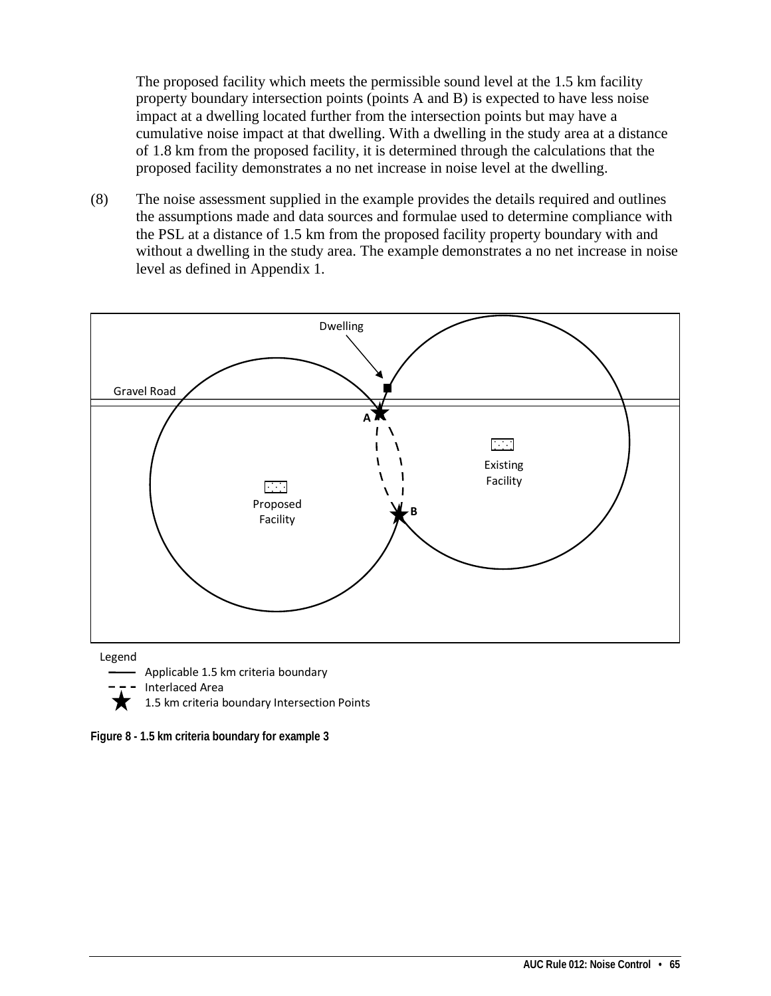The proposed facility which meets the permissible sound level at the 1.5 km facility property boundary intersection points (points A and B) is expected to have less noise impact at a dwelling located further from the intersection points but may have a cumulative noise impact at that dwelling. With a dwelling in the study area at a distance of 1.8 km from the proposed facility, it is determined through the calculations that the proposed facility demonstrates a no net increase in noise level at the dwelling.

(8) The noise assessment supplied in the example provides the details required and outlines the assumptions made and data sources and formulae used to determine compliance with the PSL at a distance of 1.5 km from the proposed facility property boundary with and without a dwelling in the study area. The example demonstrates a no net increase in noise level as defined in Appendix 1.



Interlaced Area

1.5 km criteria boundary Intersection Points

**Figure 8 - 1.5 km criteria boundary for example 3**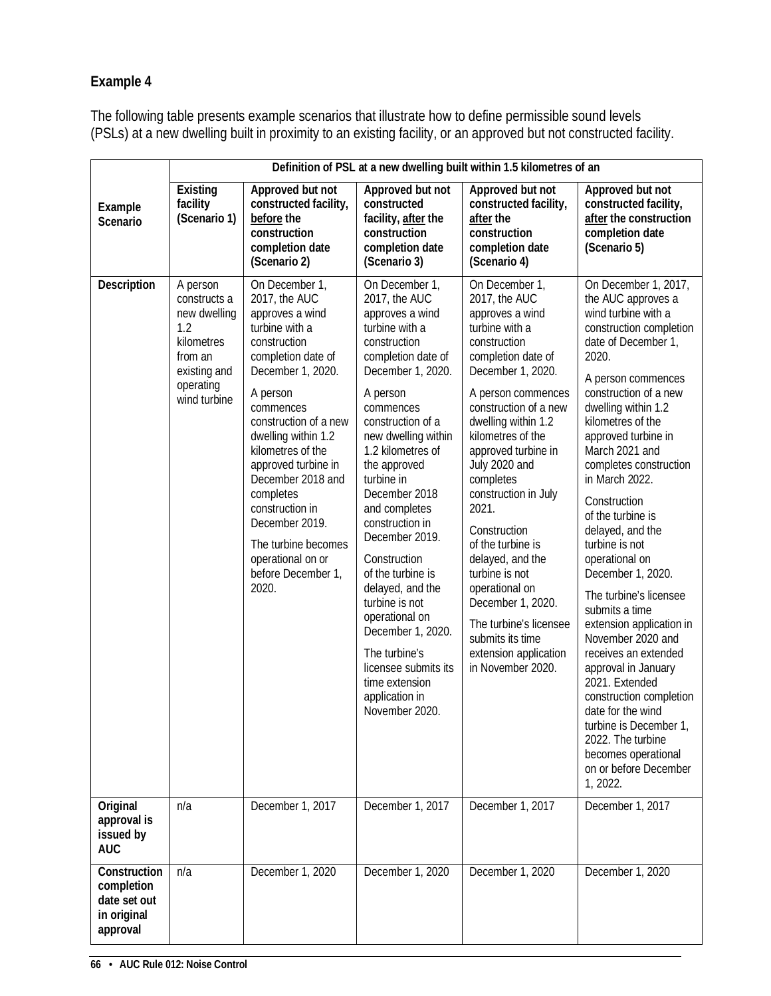## **Example 4**

The following table presents example scenarios that illustrate how to define permissible sound levels (PSLs) at a new dwelling built in proximity to an existing facility, or an approved but not constructed facility.

|                                                                       |                                                                                                                       |                                                                                                                                                                                                                                                                                                                                                                                                        |                                                                                                                                                                                                                                                                                                                                                                                                                                                                                                                                                 | Definition of PSL at a new dwelling built within 1.5 kilometres of an                                                                                                                                                                                                                                                                                                                                                                                                                                                          |                                                                                                                                                                                                                                                                                                                                                                                                                                                                                                                                                                                                                                                                                                                                                         |
|-----------------------------------------------------------------------|-----------------------------------------------------------------------------------------------------------------------|--------------------------------------------------------------------------------------------------------------------------------------------------------------------------------------------------------------------------------------------------------------------------------------------------------------------------------------------------------------------------------------------------------|-------------------------------------------------------------------------------------------------------------------------------------------------------------------------------------------------------------------------------------------------------------------------------------------------------------------------------------------------------------------------------------------------------------------------------------------------------------------------------------------------------------------------------------------------|--------------------------------------------------------------------------------------------------------------------------------------------------------------------------------------------------------------------------------------------------------------------------------------------------------------------------------------------------------------------------------------------------------------------------------------------------------------------------------------------------------------------------------|---------------------------------------------------------------------------------------------------------------------------------------------------------------------------------------------------------------------------------------------------------------------------------------------------------------------------------------------------------------------------------------------------------------------------------------------------------------------------------------------------------------------------------------------------------------------------------------------------------------------------------------------------------------------------------------------------------------------------------------------------------|
| Example<br>Scenario                                                   | Existing<br>facility<br>(Scenario 1)                                                                                  | Approved but not<br>constructed facility,<br>before the<br>construction<br>completion date<br>(Scenario 2)                                                                                                                                                                                                                                                                                             | Approved but not<br>constructed<br>facility, after the<br>construction<br>completion date<br>(Scenario 3)                                                                                                                                                                                                                                                                                                                                                                                                                                       | Approved but not<br>constructed facility,<br>after the<br>construction<br>completion date<br>(Scenario 4)                                                                                                                                                                                                                                                                                                                                                                                                                      | Approved but not<br>constructed facility,<br>after the construction<br>completion date<br>(Scenario 5)                                                                                                                                                                                                                                                                                                                                                                                                                                                                                                                                                                                                                                                  |
| Description                                                           | A person<br>constructs a<br>new dwelling<br>1.2<br>kilometres<br>from an<br>existing and<br>operating<br>wind turbine | On December 1,<br>2017, the AUC<br>approves a wind<br>turbine with a<br>construction<br>completion date of<br>December 1, 2020.<br>A person<br>commences<br>construction of a new<br>dwelling within 1.2<br>kilometres of the<br>approved turbine in<br>December 2018 and<br>completes<br>construction in<br>December 2019.<br>The turbine becomes<br>operational on or<br>before December 1,<br>2020. | On December 1,<br>2017, the AUC<br>approves a wind<br>turbine with a<br>construction<br>completion date of<br>December 1, 2020.<br>A person<br>commences<br>construction of a<br>new dwelling within<br>1.2 kilometres of<br>the approved<br>turbine in<br>December 2018<br>and completes<br>construction in<br>December 2019.<br>Construction<br>of the turbine is<br>delayed, and the<br>turbine is not<br>operational on<br>December 1, 2020.<br>The turbine's<br>licensee submits its<br>time extension<br>application in<br>November 2020. | On December 1,<br>2017, the AUC<br>approves a wind<br>turbine with a<br>construction<br>completion date of<br>December 1, 2020.<br>A person commences<br>construction of a new<br>dwelling within 1.2<br>kilometres of the<br>approved turbine in<br>July 2020 and<br>completes<br>construction in July<br>2021.<br>Construction<br>of the turbine is<br>delayed, and the<br>turbine is not<br>operational on<br>December 1, 2020.<br>The turbine's licensee<br>submits its time<br>extension application<br>in November 2020. | On December 1, 2017,<br>the AUC approves a<br>wind turbine with a<br>construction completion<br>date of December 1,<br>2020.<br>A person commences<br>construction of a new<br>dwelling within 1.2<br>kilometres of the<br>approved turbine in<br>March 2021 and<br>completes construction<br>in March 2022.<br>Construction<br>of the turbine is<br>delayed, and the<br>turbine is not<br>operational on<br>December 1, 2020.<br>The turbine's licensee<br>submits a time<br>extension application in<br>November 2020 and<br>receives an extended<br>approval in January<br>2021. Extended<br>construction completion<br>date for the wind<br>turbine is December 1,<br>2022. The turbine<br>becomes operational<br>on or before December<br>1, 2022. |
| Original<br>approval is<br>issued by<br><b>AUC</b>                    | n/a                                                                                                                   | December 1, 2017                                                                                                                                                                                                                                                                                                                                                                                       | December 1, 2017                                                                                                                                                                                                                                                                                                                                                                                                                                                                                                                                | December 1, 2017                                                                                                                                                                                                                                                                                                                                                                                                                                                                                                               | December 1, 2017                                                                                                                                                                                                                                                                                                                                                                                                                                                                                                                                                                                                                                                                                                                                        |
| Construction<br>completion<br>date set out<br>in original<br>approval | n/a                                                                                                                   | December 1, 2020                                                                                                                                                                                                                                                                                                                                                                                       | December 1, 2020                                                                                                                                                                                                                                                                                                                                                                                                                                                                                                                                | December 1, 2020                                                                                                                                                                                                                                                                                                                                                                                                                                                                                                               | December 1, 2020                                                                                                                                                                                                                                                                                                                                                                                                                                                                                                                                                                                                                                                                                                                                        |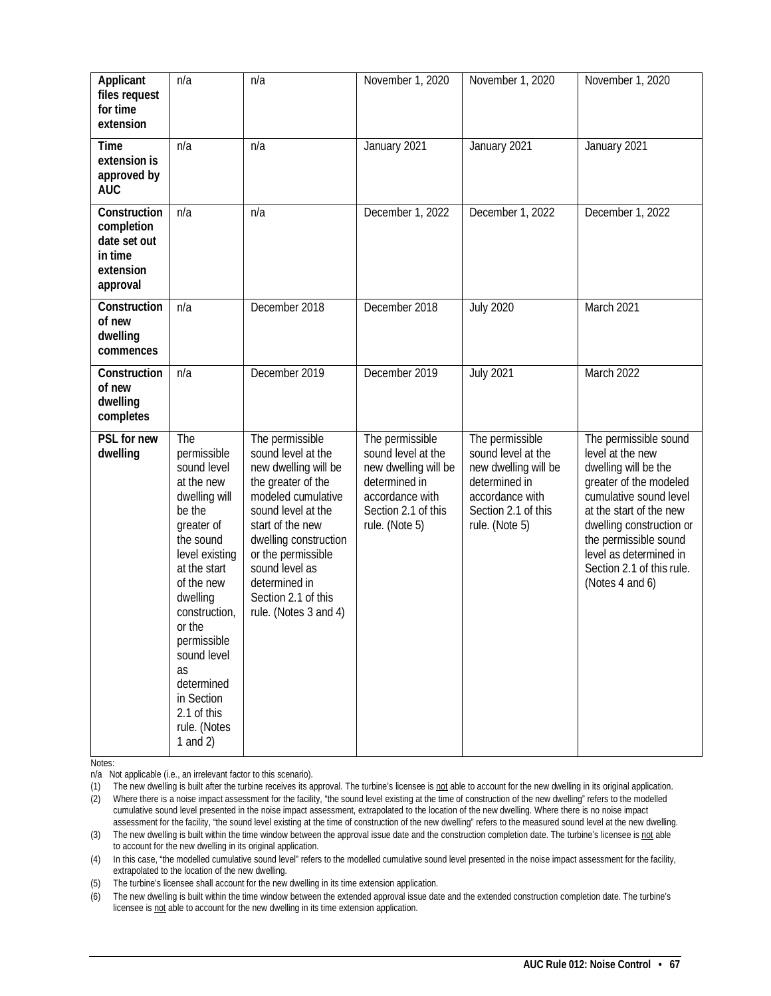| Applicant<br>files request<br>for time<br>extension                            | n/a                                                                                                                                                                                                                                                                                                       | n/a                                                                                                                                                                                                                                                                                   | November 1, 2020                                                                                                                           | November 1, 2020                                                                                                                           | November 1, 2020                                                                                                                                                                                                                                                                |
|--------------------------------------------------------------------------------|-----------------------------------------------------------------------------------------------------------------------------------------------------------------------------------------------------------------------------------------------------------------------------------------------------------|---------------------------------------------------------------------------------------------------------------------------------------------------------------------------------------------------------------------------------------------------------------------------------------|--------------------------------------------------------------------------------------------------------------------------------------------|--------------------------------------------------------------------------------------------------------------------------------------------|---------------------------------------------------------------------------------------------------------------------------------------------------------------------------------------------------------------------------------------------------------------------------------|
| <b>Time</b><br>extension is<br>approved by<br><b>AUC</b>                       | n/a                                                                                                                                                                                                                                                                                                       | n/a                                                                                                                                                                                                                                                                                   | January 2021                                                                                                                               | January 2021                                                                                                                               | January 2021                                                                                                                                                                                                                                                                    |
| Construction<br>completion<br>date set out<br>in time<br>extension<br>approval | n/a                                                                                                                                                                                                                                                                                                       | n/a                                                                                                                                                                                                                                                                                   | December 1, 2022                                                                                                                           | December 1, 2022                                                                                                                           | December 1, 2022                                                                                                                                                                                                                                                                |
| Construction<br>of new<br>dwelling<br>commences                                | n/a                                                                                                                                                                                                                                                                                                       | December 2018                                                                                                                                                                                                                                                                         | December 2018                                                                                                                              | <b>July 2020</b>                                                                                                                           | March 2021                                                                                                                                                                                                                                                                      |
| Construction<br>of new<br>dwelling<br>completes                                | n/a                                                                                                                                                                                                                                                                                                       | December 2019                                                                                                                                                                                                                                                                         | December 2019                                                                                                                              | <b>July 2021</b>                                                                                                                           | March 2022                                                                                                                                                                                                                                                                      |
| PSL for new<br>dwelling                                                        | The<br>permissible<br>sound level<br>at the new<br>dwelling will<br>be the<br>greater of<br>the sound<br>level existing<br>at the start<br>of the new<br>dwelling<br>construction,<br>or the<br>permissible<br>sound level<br>as<br>determined<br>in Section<br>2.1 of this<br>rule. (Notes<br>1 and $2)$ | The permissible<br>sound level at the<br>new dwelling will be<br>the greater of the<br>modeled cumulative<br>sound level at the<br>start of the new<br>dwelling construction<br>or the permissible<br>sound level as<br>determined in<br>Section 2.1 of this<br>rule. (Notes 3 and 4) | The permissible<br>sound level at the<br>new dwelling will be<br>determined in<br>accordance with<br>Section 2.1 of this<br>rule. (Note 5) | The permissible<br>sound level at the<br>new dwelling will be<br>determined in<br>accordance with<br>Section 2.1 of this<br>rule. (Note 5) | The permissible sound<br>level at the new<br>dwelling will be the<br>greater of the modeled<br>cumulative sound level<br>at the start of the new<br>dwelling construction or<br>the permissible sound<br>level as determined in<br>Section 2.1 of this rule.<br>(Notes 4 and 6) |

Notes:

n/a Not applicable (i.e., an irrelevant factor to this scenario).

(1) The new dwelling is built after the turbine receives its approval. The turbine's licensee is not able to account for the new dwelling in its original application. (2) Where there is a noise impact assessment for the facility, "the sound level existing at the time of construction of the new dwelling" refers to the modelled cumulative sound level presented in the noise impact assessment, extrapolated to the location of the new dwelling. Where there is no noise impact assessment for the facility, "the sound level existing at the time of construction of the new dwelling" refers to the measured sound level at the new dwelling.

(3) The new dwelling is built within the time window between the approval issue date and the construction completion date. The turbine's licensee is not able to account for the new dwelling in its original application.

(4) In this case, "the modelled cumulative sound level" refers to the modelled cumulative sound level presented in the noise impact assessment for the facility, extrapolated to the location of the new dwelling.

(5) The turbine's licensee shall account for the new dwelling in its time extension application.

(6) The new dwelling is built within the time window between the extended approval issue date and the extended construction completion date. The turbine's licensee is not able to account for the new dwelling in its time extension application.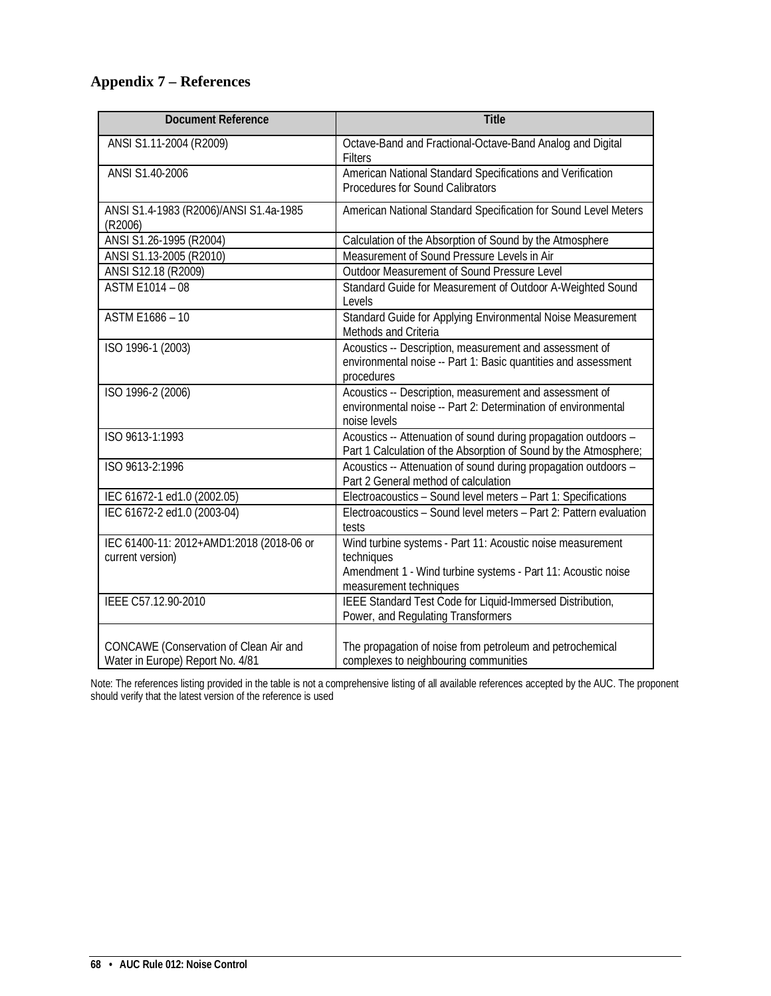## **Appendix 7 – References**

| <b>Document Reference</b>                                                  | <b>Title</b>                                                                                                                                                       |
|----------------------------------------------------------------------------|--------------------------------------------------------------------------------------------------------------------------------------------------------------------|
| ANSI S1.11-2004 (R2009)                                                    | Octave-Band and Fractional-Octave-Band Analog and Digital<br>Filters                                                                                               |
| ANSI S1.40-2006                                                            | American National Standard Specifications and Verification<br>Procedures for Sound Calibrators                                                                     |
| ANSI S1.4-1983 (R2006)/ANSI S1.4a-1985<br>(R2006)                          | American National Standard Specification for Sound Level Meters                                                                                                    |
| ANSI S1.26-1995 (R2004)                                                    | Calculation of the Absorption of Sound by the Atmosphere                                                                                                           |
| ANSI S1.13-2005 (R2010)                                                    | Measurement of Sound Pressure Levels in Air                                                                                                                        |
| ANSI S12.18 (R2009)                                                        | Outdoor Measurement of Sound Pressure Level                                                                                                                        |
| ASTM E1014 $-\overline{08}$                                                | Standard Guide for Measurement of Outdoor A-Weighted Sound<br>Levels                                                                                               |
| ASTM E1686 - 10                                                            | Standard Guide for Applying Environmental Noise Measurement<br>Methods and Criteria                                                                                |
| ISO 1996-1 (2003)                                                          | Acoustics -- Description, measurement and assessment of<br>environmental noise -- Part 1: Basic quantities and assessment<br>procedures                            |
| ISO 1996-2 (2006)                                                          | Acoustics -- Description, measurement and assessment of<br>environmental noise -- Part 2: Determination of environmental<br>noise levels                           |
| ISO 9613-1:1993                                                            | Acoustics -- Attenuation of sound during propagation outdoors -<br>Part 1 Calculation of the Absorption of Sound by the Atmosphere;                                |
| ISO 9613-2:1996                                                            | Acoustics -- Attenuation of sound during propagation outdoors -<br>Part 2 General method of calculation                                                            |
| IEC 61672-1 ed1.0 (2002.05)                                                | Electroacoustics - Sound level meters - Part 1: Specifications                                                                                                     |
| IEC 61672-2 ed1.0 (2003-04)                                                | Electroacoustics - Sound level meters - Part 2: Pattern evaluation<br>tests                                                                                        |
| IEC 61400-11: 2012+AMD1:2018 (2018-06 or<br>current version)               | Wind turbine systems - Part 11: Acoustic noise measurement<br>techniques<br>Amendment 1 - Wind turbine systems - Part 11: Acoustic noise<br>measurement techniques |
| IEEE C57.12.90-2010                                                        | IEEE Standard Test Code for Liquid-Immersed Distribution,<br>Power, and Regulating Transformers                                                                    |
| CONCAWE (Conservation of Clean Air and<br>Water in Europe) Report No. 4/81 | The propagation of noise from petroleum and petrochemical<br>complexes to neighbouring communities                                                                 |

Note: The references listing provided in the table is not a comprehensive listing of all available references accepted by the AUC. The proponent should verify that the latest version of the reference is used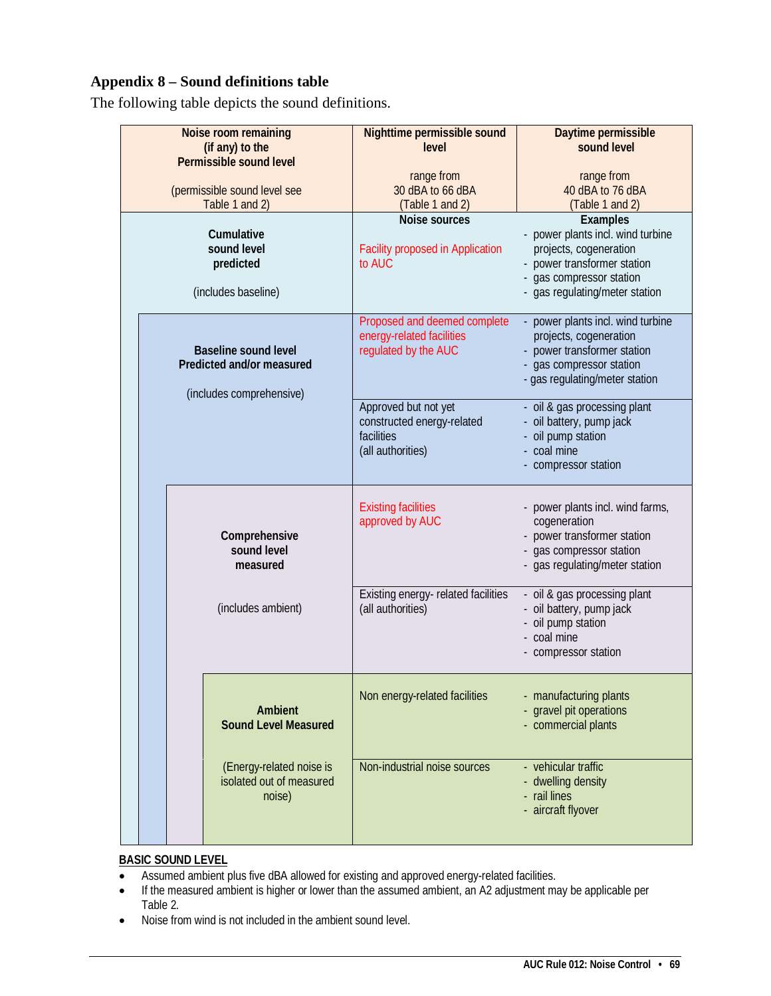## **Appendix 8 – Sound definitions table**

The following table depicts the sound definitions.

| Noise room remaining<br>(if any) to the<br>Permissible sound level                   |                                                                | Nighttime permissible sound<br>level                                                  | Daytime permissible<br>sound level                                                                                                                                          |
|--------------------------------------------------------------------------------------|----------------------------------------------------------------|---------------------------------------------------------------------------------------|-----------------------------------------------------------------------------------------------------------------------------------------------------------------------------|
| (permissible sound level see<br>Table 1 and 2)                                       |                                                                | range from<br>30 dBA to 66 dBA<br>(Table 1 and 2)                                     | range from<br>40 dBA to 76 dBA<br>(Table 1 and 2)                                                                                                                           |
| Cumulative<br>sound level<br>predicted<br>(includes baseline)                        |                                                                | Noise sources<br><b>Facility proposed in Application</b><br>to AUC                    | <b>Examples</b><br>- power plants incl. wind turbine<br>projects, cogeneration<br>- power transformer station<br>- gas compressor station<br>- gas regulating/meter station |
| <b>Baseline sound level</b><br>Predicted and/or measured<br>(includes comprehensive) |                                                                | Proposed and deemed complete<br>energy-related facilities<br>regulated by the AUC     | - power plants incl. wind turbine<br>projects, cogeneration<br>- power transformer station<br>- gas compressor station<br>- gas regulating/meter station                    |
|                                                                                      |                                                                | Approved but not yet<br>constructed energy-related<br>facilities<br>(all authorities) | - oil & gas processing plant<br>- oil battery, pump jack<br>- oil pump station<br>- coal mine<br>- compressor station                                                       |
|                                                                                      | Comprehensive<br>sound level<br>measured                       | <b>Existing facilities</b><br>approved by AUC                                         | - power plants incl. wind farms,<br>cogeneration<br>- power transformer station<br>- gas compressor station<br>- gas regulating/meter station                               |
|                                                                                      | (includes ambient)                                             | Existing energy-related facilities<br>(all authorities)                               | - oil & gas processing plant<br>- oil battery, pump jack<br>- oil pump station<br>- coal mine<br>- compressor station                                                       |
|                                                                                      | Ambient<br><b>Sound Level Measured</b>                         | Non energy-related facilities                                                         | - manufacturing plants<br>- gravel pit operations<br>- commercial plants                                                                                                    |
|                                                                                      | (Energy-related noise is<br>isolated out of measured<br>noise) | Non-industrial noise sources                                                          | - vehicular traffic<br>- dwelling density<br>- rail lines<br>- aircraft flyover                                                                                             |

## **BASIC SOUND LEVEL**

- Assumed ambient plus five dBA allowed for existing and approved energy-related facilities.
- If the measured ambient is higher or lower than the assumed ambient, an A2 adjustment may be applicable per Table 2.
- Noise from wind is not included in the ambient sound level.